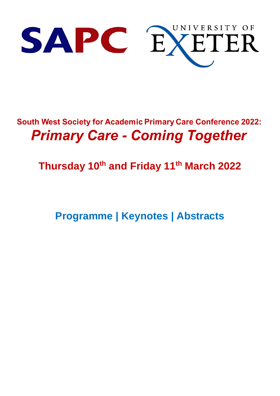

## **South West Society for Academic Primary Care Conference 2022: Primary Care - Coming Together**

## **Thursday 10th and Friday 11th March 2022**

**Programme | Keynotes | Abstracts**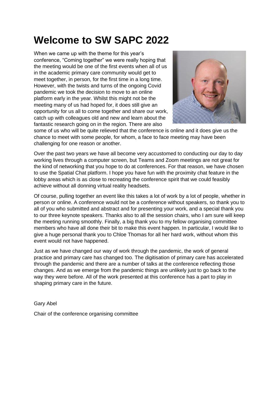## **Welcome to SW SAPC 2022**

When we came up with the theme for this year's conference, "Coming together" we were really hoping that the meeting would be one of the first events when all of us in the academic primary care community would get to meet together, in person, for the first time in a long time. However, with the twists and turns of the ongoing Covid pandemic we took the decision to move to an online platform early in the year. Whilst this might not be the meeting many of us had hoped for, it does still give an opportunity for us all to come together and share our work, catch up with colleagues old and new and learn about the fantastic research going on in the region. There are also



some of us who will be quite relieved that the conference is online and it does give us the chance to meet with some people, for whom, a face to face meeting may have been challenging for one reason or another.

Over the past two years we have all become very accustomed to conducting our day to day working lives through a computer screen, but Teams and Zoom meetings are not great for the kind of networking that you hope to do at conferences. For that reason, we have chosen to use the Spatial Chat platform. I hope you have fun with the proximity chat feature in the lobby areas which is as close to recreating the conference spirit that we could feasibly achieve without all donning virtual reality headsets.

Of course, pulling together an event like this takes a lot of work by a lot of people, whether in person or online. A conference would not be a conference without speakers, so thank you to all of you who submitted and abstract and for presenting your work, and a special thank you to our three keynote speakers. Thanks also to all the session chairs, who I am sure will keep the meeting running smoothly. Finally, a big thank you to my fellow organising committee members who have all done their bit to make this event happen. In particular, I would like to give a huge personal thank you to Chloe Thomas for all her hard work, without whom this event would not have happened.

Just as we have changed our way of work through the pandemic, the work of general practice and primary care has changed too. The digitisation of primary care has accelerated through the pandemic and there are a number of talks at the conference reflecting those changes. And as we emerge from the pandemic things are unlikely just to go back to the way they were before. All of the work presented at this conference has a part to play in shaping primary care in the future.

Gary Abel

Chair of the conference organising committee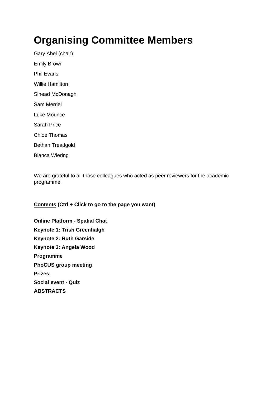## **Organising Committee Members**

Gary Abel (chair) Emily Brown Phil Evans Willie Hamilton Sinead McDonagh Sam Merriel Luke Mounce Sarah Price Chloe Thomas Bethan Treadgold Bianca Wiering

We are grateful to all those colleagues who acted as peer reviewers for the academic programme.

**Contents (Ctrl + Click to go to the page you want)**

**[Online Platform -](#page-3-0) Spatial Chat [Keynote 1: Trish Greenhalgh](#page-5-0) [Keynote 2: Ruth Garside](#page-6-0) [Keynote 3: Angela Wood](#page-7-0) [Programme](#page-8-0) [PhoCUS group meeting](#page-14-0) [Prizes](#page-15-0) [Social event -](#page-16-0) Quiz [ABSTRACTS](#page-17-0)**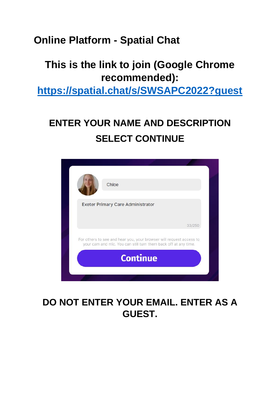## <span id="page-3-0"></span>**Online Platform - Spatial Chat**

## **This is the link to join (Google Chrome recommended):**

**<https://spatial.chat/s/SWSAPC2022?guest>**

## **ENTER YOUR NAME AND DESCRIPTION SELECT CONTINUE**



## **DO NOT ENTER YOUR EMAIL. ENTER AS A GUEST.**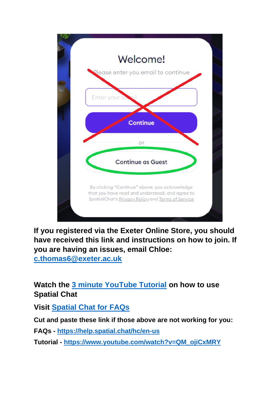

**If you registered via the Exeter Online Store, you should have received this link and instructions on how to join. If you are having an issues, email Chloe:** 

**[c.thomas6@exeter.ac.uk](mailto:c.thomas6@exeter.ac.uk)**

**Watch the [3 minute YouTube Tutorial](https://www.youtube.com/watch?v=QM_ojiCxMRY) on how to use Spatial Chat** 

**Visit [Spatial Chat for FAQs](https://help.spatial.chat/hc/en-us)**

**Cut and paste these link if those above are not working for you:**

**FAQs - <https://help.spatial.chat/hc/en-us>**

**Tutorial - [https://www.youtube.com/watch?v=QM\\_ojiCxMRY](https://www.youtube.com/watch?v=QM_ojiCxMRY)**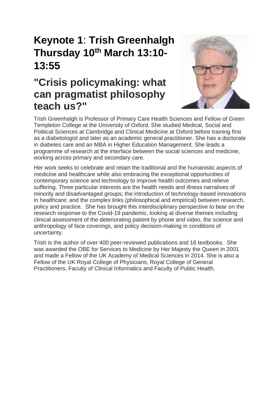## <span id="page-5-0"></span>**Keynote 1**: **Trish Greenhalgh Thursday 10th March 13:10- 13:55**

## **"Crisis policymaking: what can pragmatist philosophy teach us?"**



Trish Greenhalgh is Professor of Primary Care Health Sciences and Fellow of Green Templeton College at the University of Oxford. She studied Medical, Social and Political Sciences at Cambridge and Clinical Medicine at Oxford before training first as a diabetologist and later as an academic general practitioner. She has a doctorate in diabetes care and an MBA in Higher Education Management. She leads a programme of research at the interface between the social sciences and medicine, working across primary and secondary care.

Her work seeks to celebrate and retain the traditional and the humanistic aspects of medicine and healthcare while also embracing the exceptional opportunities of contemporary science and technology to improve health outcomes and relieve suffering. Three particular interests are the health needs and illness narratives of minority and disadvantaged groups; the introduction of technology-based innovations in healthcare; and the complex links (philosophical and empirical) between research, policy and practice. She has brought this interdisciplinary perspective to bear on the research response to the Covid-19 pandemic, looking at diverse themes including clinical assessment of the deteriorating patient by phone and video, the science and anthropology of face coverings, and policy decision-making in conditions of uncertainty.

Trish is the author of over 400 peer-reviewed publications and 16 textbooks. She was awarded the OBE for Services to Medicine by Her Majesty the Queen in 2001 and made a Fellow of the UK Academy of Medical Sciences in 2014. She is also a Fellow of the UK Royal College of Physicians, Royal College of General Practitioners, Faculty of Clinical Informatics and Faculty of Public Health.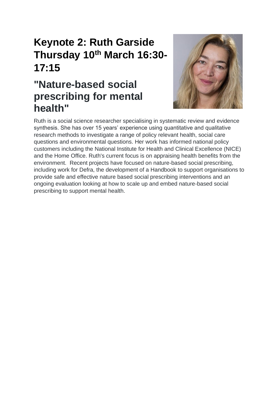## <span id="page-6-0"></span>**Keynote 2: Ruth Garside Thursday 10th March 16:30- 17:15**

## **"Nature-based social prescribing for mental health"**



Ruth is a social science researcher specialising in systematic review and evidence synthesis. She has over 15 years' experience using quantitative and qualitative research methods to investigate a range of policy relevant health, social care questions and environmental questions. Her work has informed national policy customers including the National Institute for Health and Clinical Excellence (NICE) and the Home Office. Ruth's current focus is on appraising health benefits from the environment. Recent projects have focused on nature-based social prescribing, including work for Defra, the development of a Handbook to support organisations to provide safe and effective nature based social prescribing interventions and an ongoing evaluation looking at how to scale up and embed nature-based social prescribing to support mental health.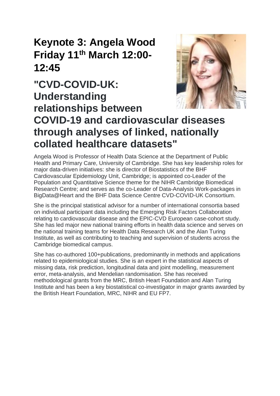## <span id="page-7-0"></span>**Keynote 3: Angela Wood Friday 11 th March 12:00- 12:45**

# **"CVD-COVID-UK: Understanding relationships between**



## **COVID-19 and cardiovascular diseases through analyses of linked, nationally collated healthcare datasets"**

Angela Wood is Professor of Health Data Science at the Department of Public Health and Primary Care, University of Cambridge. She has key leadership roles for major data-driven initiatives: she is director of Biostatistics of the BHF Cardiovascular Epidemiology Unit, Cambridge; is appointed co-Leader of the Population and Quantitative Science theme for the NIHR Cambridge Biomedical Research Centre; and serves as the co-Leader of Data-Analysis Work-packages in BigData@Heart and the BHF Data Science Centre CVD-COVID-UK Consortium.

She is the principal statistical advisor for a number of international consortia based on individual participant data including the Emerging Risk Factors Collaboration relating to cardiovascular disease and the EPIC-CVD European case-cohort study. She has led major new national training efforts in health data science and serves on the national training teams for Health Data Research UK and the Alan Turing Institute, as well as contributing to teaching and supervision of students across the Cambridge biomedical campus.

She has co-authored 100+publications, predominantly in methods and applications related to epidemiological studies. She is an expert in the statistical aspects of missing data, risk prediction, longitudinal data and joint modelling, measurement error, meta-analysis, and Mendelian randomisation. She has received methodological grants from the MRC, British Heart Foundation and Alan Turing Institute and has been a key biostatistical co-investigator in major grants awarded by the British Heart Foundation, MRC, NIHR and EU FP7.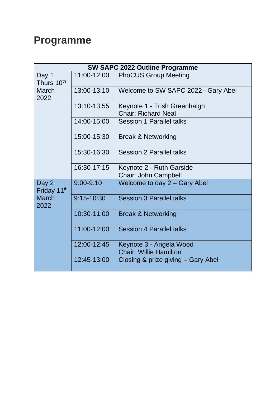## <span id="page-8-0"></span>**Programme**

| <b>SW SAPC 2022 Outline Programme</b> |                |                                                            |  |  |  |
|---------------------------------------|----------------|------------------------------------------------------------|--|--|--|
| Day 1<br>Thurs 10 <sup>th</sup>       | 11:00-12:00    | <b>PhoCUS Group Meeting</b>                                |  |  |  |
| <b>March</b><br>2022                  | 13:00-13:10    | Welcome to SW SAPC 2022- Gary Abel                         |  |  |  |
|                                       | 13:10-13:55    | Keynote 1 - Trish Greenhalgh<br><b>Chair: Richard Neal</b> |  |  |  |
|                                       | 14:00-15:00    | <b>Session 1 Parallel talks</b>                            |  |  |  |
|                                       | 15:00-15:30    | <b>Break &amp; Networking</b>                              |  |  |  |
|                                       | 15:30-16:30    | <b>Session 2 Parallel talks</b>                            |  |  |  |
|                                       | 16:30-17:15    | Keynote 2 - Ruth Garside<br>Chair: John Campbell           |  |  |  |
| Day 2<br>Friday 11th                  | $9:00 - 9:10$  | Welcome to day 2 - Gary Abel                               |  |  |  |
| <b>March</b><br>2022                  | $9:15 - 10:30$ | <b>Session 3 Parallel talks</b>                            |  |  |  |
|                                       | 10:30-11:00    | <b>Break &amp; Networking</b>                              |  |  |  |
|                                       | 11:00-12:00    | <b>Session 4 Parallel talks</b>                            |  |  |  |
|                                       | 12:00-12:45    | Keynote 3 - Angela Wood<br><b>Chair: Willie Hamilton</b>   |  |  |  |
|                                       | 12:45-13:00    | Closing & prize giving – Gary Abel                         |  |  |  |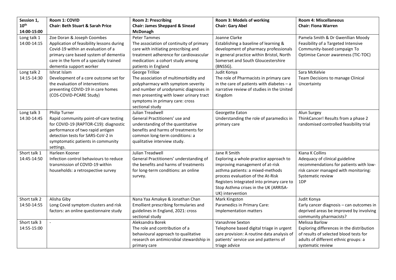| Session 1,                  | Room 1: COVID                                                                                                                                                                                                                     | <b>Room 2: Prescribing</b>                                                                                                                                                                                                              | Room 3: Models of working                                                                                                                                                                                                                                                    | <b>Room 4: Miscellaneous</b>                                                                                                                                       |
|-----------------------------|-----------------------------------------------------------------------------------------------------------------------------------------------------------------------------------------------------------------------------------|-----------------------------------------------------------------------------------------------------------------------------------------------------------------------------------------------------------------------------------------|------------------------------------------------------------------------------------------------------------------------------------------------------------------------------------------------------------------------------------------------------------------------------|--------------------------------------------------------------------------------------------------------------------------------------------------------------------|
| $10^{\text{th}}$            | <b>Chair: Beth Stuart &amp; Sarah Price</b>                                                                                                                                                                                       | <b>Chair: James Sheppard &amp; Sinead</b>                                                                                                                                                                                               | <b>Chair: Gary Abel</b>                                                                                                                                                                                                                                                      | <b>Chair: Fiona Warren</b>                                                                                                                                         |
| 14:00-15:00                 |                                                                                                                                                                                                                                   | <b>McDonagh</b>                                                                                                                                                                                                                         |                                                                                                                                                                                                                                                                              |                                                                                                                                                                    |
| Long talk 1<br>14:00-14:15  | Zoe Doran & Joseph Coombes<br>Application of feasibility lessons during<br>Covid-19 within an evaluation of a<br>primary care based system of dementia<br>care in the form of a specially trained<br>dementia support worker      | <b>Peter Tammes</b><br>The association of continuity of primary<br>care with initiating prescribing and<br>treatment adherence for cardiovascular<br>medication: a cohort study among<br>patients in England                            | Joanne Clarke<br>Establishing a baseline of learning &<br>development of pharmacy professionals<br>in general practice within Bristol, North<br>Somerset and South Gloucestershire<br>(BNSSG).                                                                               | Pamela Smith & Dr Gwenllian Moody<br>Feasibility of a Targeted Intensive<br>Community-based campaign To<br>Optimise Cancer awareness (TIC-TOC)                     |
| Long talk 2<br>14:15-14:30  | Ishrat Islam<br>Development of a core outcome set for<br>the evaluation of interventions<br>preventing COVID-19 in care homes<br>(COS-COVID-PCARE Study)                                                                          | George Trilloe<br>The association of multimorbidity and<br>polypharmacy with symptom severity<br>and number of urodynamic diagnoses in<br>men presenting with lower urinary tract<br>symptoms in primary care: cross<br>sectional study | Judit Konya<br>The role of Pharmacists in primary care<br>in the care of patients with diabetes $-$ a<br>narrative review of studies in the United<br>Kingdom                                                                                                                | Sara McKelvie<br>Team Decisions to manage Clinical<br>Uncertainty                                                                                                  |
| Long talk 3<br>14:30-14:45  | <b>Philip Turner</b><br>Rapid community point-of-care testing<br>for COVID-19 (RAPTOR-C19): diagnostic<br>performance of two rapid antigen<br>detection tests for SARS-CoV-2 in<br>symptomatic patients in community<br>settings. | Julian Treadwell<br>General Practitioners' use and<br>understanding of the quantitative<br>benefits and harms of treatments for<br>common long-term conditions: a<br>qualitative interview study.                                       | Georgette Eaton<br>Understanding the role of paramedics in<br>primary care                                                                                                                                                                                                   | Alun Surgey<br>ThinkCancer! Results from a phase 2<br>randomised controlled feasibility trial                                                                      |
| Short talk 1<br>14:45-14:50 | Harleen Kooner<br>Infection control behaviours to reduce<br>transmission of COVID-19 within<br>households: a retrospective survey                                                                                                 | Julian Treadwell<br>General Practitioners' understanding of<br>the benefits and harms of treatments<br>for long-term conditions: an online<br>survey.                                                                                   | Jane R Smith<br>Exploring a whole-practice approach to<br>improving management of at-risk<br>asthma patients: a mixed-methods<br>process evaluation of the At-Risk<br>Registers Integrated into primary care to<br>Stop Asthma crises in the UK (ARRISA-<br>UK) intervention | Kiana K Collins<br>Adequacy of clinical guideline<br>recommendations for patients with low-<br>risk cancer managed with monitoring:<br>Systematic review<br>1DP    |
| Short talk 2<br>14:50-14:55 | Alisha Giby<br>Long Covid symptom clusters and risk<br>factors: an online questionnaire study                                                                                                                                     | Nana Yaa Amakye & Jonathan Chan<br>Emollient prescribing formularies and<br>guidelines in England, 2021: cross<br>sectional study                                                                                                       | Mark Kingston<br>Paramedics in Primary Care:<br>Implementation matters                                                                                                                                                                                                       | Judit Konya<br>Early cancer diagnosis - can outcomes in<br>deprived areas be improved by involving<br>community pharmacists?                                       |
| Short talk 3<br>14:55-15:00 |                                                                                                                                                                                                                                   | Aleksandra Borek<br>The role and contribution of a<br>behavioural approach to qualitative<br>research on antimicrobial stewardship in<br>primary care                                                                                   | Vanashree Sexton<br>Telephone based digital triage in urgent<br>care provision: A routine data analysis of<br>patients' service use and patterns of<br>triage advice                                                                                                         | Melissa Barlow<br>Exploring differences in the distribution<br>of results of selected blood tests for<br>adults of different ethnic groups: a<br>systematic review |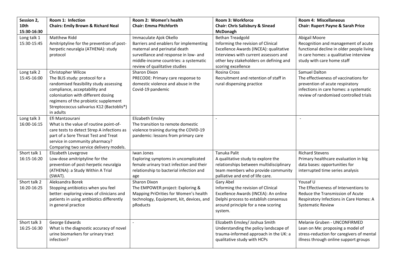| Session 2,                  | Room 1: Infection                                                                                                                                                                                                                                                       | Room 2: Women's health                                                                                                                                                                                              | Room 3: Workforce                                                                                                                                                                                                | Room 4: Miscellaneous                                                                                                                                                         |
|-----------------------------|-------------------------------------------------------------------------------------------------------------------------------------------------------------------------------------------------------------------------------------------------------------------------|---------------------------------------------------------------------------------------------------------------------------------------------------------------------------------------------------------------------|------------------------------------------------------------------------------------------------------------------------------------------------------------------------------------------------------------------|-------------------------------------------------------------------------------------------------------------------------------------------------------------------------------|
| 10th<br>15:30-16:30         | <b>Chairs: Emily Brown &amp; Richard Neal</b>                                                                                                                                                                                                                           | <b>Chair: Emma Pitchforth</b>                                                                                                                                                                                       | <b>Chair: Chris Salisbury &amp; Sinead</b><br><b>McDonagh</b>                                                                                                                                                    | <b>Chair: Rupert Payne &amp; Sarah Price</b>                                                                                                                                  |
| Long talk 1<br>15:30-15:45  | <b>Matthew Ridd</b><br>Amitriptyline for the prevention of post-<br>herpetic neuralgia (ATHENA): study<br>protocol                                                                                                                                                      | Immaculate Ajok Okello<br>Barriers and enablers for implementing<br>maternal and perinatal death<br>surveillance and response in low- and<br>middle-income countries: a systematic<br>review of qualitative studies | <b>Bethan Treadgold</b><br>Informing the revision of Clinical<br>Excellence Awards (INCEA): qualitative<br>interviews with current assessors and<br>other key stakeholders on defining and<br>scoring excellence | Abigail Moore<br>Recognition and management of acute<br>functional decline in older people living<br>in care homes: a qualitative interview<br>study with care home staff     |
| Long talk 2<br>15:45-16:00  | Christopher Wilcox<br>The BLIS study: protocol for a<br>randomised feasibility study assessing<br>compliance, acceptability and<br>colonisation with different dosing<br>regimens of the probiotic supplement<br>Streptococcus salivarius K12 (Bactoblis®)<br>in adults | Sharon Dixon<br>PRECODE: Primary care response to<br>domestic violence and abuse in the<br>Covid-19 pandemic                                                                                                        | Rosina Cross<br>Recruitment and retention of staff in<br>rural dispensing practice                                                                                                                               | Samuel Dalton<br>The effectiveness of vaccinations for<br>prevention of acute respiratory<br>infections in care homes: a systematic<br>review of randomised controlled trials |
| Long talk 3<br>16:00-16:15  | Efi Mantzourani<br>What is the value of routine point-of-<br>care tests to detect Strep A infections as<br>part of a Sore Throat Test and Treat<br>service in community pharmacy?<br>Comparing two service delivery models.                                             | Elizabeth Emsley<br>The transition to remote domestic<br>violence training during the COVID-19<br>pandemic: lessons from primary care                                                                               |                                                                                                                                                                                                                  |                                                                                                                                                                               |
| Short talk 1<br>16:15-16:20 | Elizabeth Lovegrove<br>Low-dose amitriptyline for the<br>prevention of post-herpetic neuralgia<br>(ATHENA): a Study Within A Trial<br>(SWAT).                                                                                                                           | Iwan Jones<br>Exploring symptoms in uncomplicated<br>female urinary tract infection and their<br>relationship to bacterial infection and<br>age                                                                     | Tanuka Palit<br>A qualitative study to explore the<br>relationships between multidisciplinary<br>team members who provide community<br>palliative and end of life care.                                          | <b>Richard Stevens</b><br>Primary healthcare evaluation in big<br>data bases: opportunities for<br>interrupted time series analysis                                           |
| Short talk 2<br>16:20-16:25 | Aleksandra Borek<br>Stopping antibiotics when you feel<br>better: exploring views of clinicians and<br>patients in using antibiotics differently<br>in general practice                                                                                                 | Sharon Dixon<br>The EMPOWER project: Exploring &<br>Mapping PriOrities for Women's health<br>technology, Equipment, kit, devices, and<br>pRoducts                                                                   | Gary Abel<br>Informing the revision of Clinical<br>Excellence Awards (INCEA): An online<br>Delphi process to establish consensus<br>around principle for a new scoring<br>system.                                | Yousaf U<br>The Effectiveness of Interventions to<br>Reduce the Transmission of Acute<br>Respiratory Infections in Care Homes: A<br><b>Systematic Review</b>                  |
| Short talk 3<br>16:25-16:30 | George Edwards<br>What is the diagnostic accuracy of novel<br>urine biomarkers for urinary tract<br>infection?                                                                                                                                                          |                                                                                                                                                                                                                     | Elizabeth Emsley/ Joshua Smith<br>Understanding the policy landscape of<br>trauma-informed approach in the UK: a<br>qualitative study with HCPs                                                                  | Melanie Gruben - UNCONFIRMED<br>Lean on Me: proposing a model of<br>stress-reduction for caregivers of mental<br>illness through online support groups                        |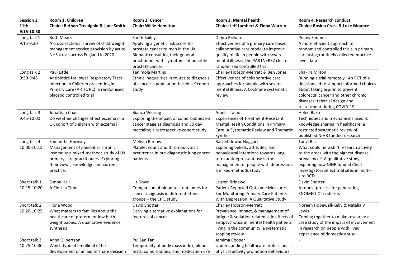| Session 3,       | Room 1: Children                                 | Room 2: Cancer                             | Room 3: Mental health                          | Room 4: Research conduct                      |
|------------------|--------------------------------------------------|--------------------------------------------|------------------------------------------------|-----------------------------------------------|
| 11 <sup>th</sup> | <b>Chairs: Bethan Treadgold &amp; Jane Smith</b> | <b>Chair: Willie Hamilton</b>              | <b>Chairs: Jeff Lambert &amp; Fiona Warren</b> | <b>Chairs: Rosina Cross &amp; Luke Mounce</b> |
| 9:15-10:30       |                                                  |                                            |                                                |                                               |
| Long talk 1      | <b>Ruth Mears</b>                                | Sarah Bailey                               | Debra Richards                                 | Penny Seume                                   |
| 9:15-9:30        | A cross-sectional survey of child weight         | Applying a genetic risk score for          | Effectiveness of a primary care based          | A more efficient approach to                  |
|                  | management service provision by acute            | prostate cancer to men in the UK           | collaborative care model to improve            | randomised controlled trials in primary       |
|                  | NHS trusts across England in 2020                | Biobank consulting their general           | quality of life in people with severe          | care using routinely collected practice-      |
|                  |                                                  | practitioner with symptoms of possible     | mental illness: the PARTNERS2 cluster          | level data                                    |
|                  |                                                  | prostate cancer                            | randomised controlled trial                    |                                               |
| Long talk 2      | Paul Little                                      | <b>Tanimola Martins</b>                    | Charley Hobson-Merrett & Ben Jones             | Shakira Milton                                |
| 9:30-9:45        | Antibiotics for lower Respiratory Tract          | Ethnic inequalities in routes to diagnosis | Effectiveness of collaborative care            | Running a trial remotely. An RCT of a         |
|                  | Infection in Children presenting in              | of cancer: a population-based UK cohort    | approaches for people with severe              | decision aid to support informed choices      |
|                  | Primary Care (ARTIC PC): a randomised            | study                                      | mental illness: A Cochrane systematic          | about taking aspirin to prevent               |
|                  | placebo controlled trial                         |                                            | review                                         | colorectal cancer and other chronic           |
|                  |                                                  |                                            |                                                | diseases: teletrial design and                |
|                  |                                                  |                                            |                                                | recruitment during COVID-19                   |
| Long talk 3      | Jonathan Chan                                    | <b>Bianca Wiering</b>                      | Amelia Talbot                                  | <b>Helen Baxter</b>                           |
| 9:45-10:00       | Do weather changes affect eczema in a            | Exploring the impact of comorbidities on   | <b>Experiences of Treatment-Resistant</b>      | Techniques and mechanisms used for            |
|                  | UK cohort of children with eczema?               | cancer stage at diagnosis and 30 day       | Mental Health Conditions in Primary            | knowledge sharing in healthcare: a            |
|                  |                                                  | mortality; a retrospective cohort study    | Care: A Systematic Review and Thematic         | restricted systematic review of               |
|                  |                                                  |                                            | Synthesis                                      | published NIHR funded research.               |
| Long talk 4      | Samantha Hornsey                                 | Melissa Barlow                             | Rachel Dewar-Haggart                           | Tanvi Rai                                     |
| 10:00-10:15      | Management of paediatric chronic                 | Platelet count and thrombocytosis          | Exploring beliefs, attitudes, and              | What could help shift research activity       |
|                  | insomnia: a mixed-methods study of UK            | occurrence in pre-diagnostic lung cancer   | behavioural intentions towards long-           | to the areas with the highest disease         |
|                  | primary care practitioners. Exploring            | patients                                   | term antidepressant use in the                 | prevalence? A qualitative study               |
|                  | their views, knowledge and current               |                                            | management of people with depression:          | exploring how NIHR funded Chief               |
|                  | practice.                                        |                                            | a mixed-methods study                          | Investigators select trial sites in multi-    |
|                  |                                                  |                                            |                                                | site RCTs.                                    |
| Short talk 1     | Simon Hall                                       | Liz Down                                   | Lauren Bridewell                               | David Shotter                                 |
| 10:15-10:20      | A Cleft In Time                                  | Comparison of blood test outcomes for      | <b>Patient Reported Outcome Measures</b>       | A robust process for generating               |
|                  |                                                  | cancer diagnosis in different ethnic       | For Monitoring Primary Care Patients           | SNOMED-CT codelists                           |
|                  |                                                  | groups - the EPIC study                    | With Depression: A Qualitative Study           |                                               |
| Short talk 2     | Fiona Wood                                       | David Shotter                              | Charley Hobson-Merrett                         | Noreen Hopewell-Kelly & Natalia V             |
| 10:20-10:25      | What matters to families about the               | Deriving alternative explanations for      | Prevalence, impact, & management of            | Lewis                                         |
|                  | healthcare of preterm or low birth               | features of cancer                         | fatigue & sedation related side effects of     | Coming together to make research: a           |
|                  | weight babies: A qualitative evidence            |                                            | antipsychotics in mental health patients       | case study of the impact of involvement       |
|                  | synthesis                                        |                                            | living in the community: a systematic          | in research on people with lived              |
|                  |                                                  |                                            | scoping review                                 | experience of domestic abuse                  |
| Short talk 3     | Anna Gilbertson                                  | Pui San Tan                                | Jemima Cooper                                  |                                               |
| 10:25-10:30      | Which type of emollient? The                     | Temporality of body mass index, blood      | Understanding healthcare professionals'        |                                               |
|                  | development of an aid to share decision          | tests, comorbidities, and medication use   | physical activity promotion behaviours         |                                               |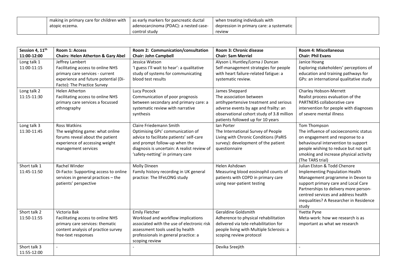| I making in primary care for children with $\perp$ | l as early markers for pancreatic ductal | when treating individuals with           |  |
|----------------------------------------------------|------------------------------------------|------------------------------------------|--|
| atopic eczema.                                     | adenocarcinoma (PDAC): a nested case-    | depression in primary care: a systematic |  |
|                                                    | control study                            | review                                   |  |

| Session 4, 11 <sup>th</sup><br>11:00-12:00 | <b>Room 1: Access</b><br><b>Chairs: Helen Atherton &amp; Gary Abel</b>                                                                                         | Room 2: Communication/consultation<br><b>Chair: John Campbell</b>                                                                                                                                                                  | Room 3: Chronic disease<br><b>Chair: Sam Merriel</b>                                                                                                                                                           | <b>Room 4: Miscellaneous</b><br><b>Chair: Phil Evans</b>                                                                                                                                                                                                                      |
|--------------------------------------------|----------------------------------------------------------------------------------------------------------------------------------------------------------------|------------------------------------------------------------------------------------------------------------------------------------------------------------------------------------------------------------------------------------|----------------------------------------------------------------------------------------------------------------------------------------------------------------------------------------------------------------|-------------------------------------------------------------------------------------------------------------------------------------------------------------------------------------------------------------------------------------------------------------------------------|
| Long talk 1<br>11:00-11:15                 | Jeffrey Lambert<br>Facilitating access to online NHS<br>primary care services - current<br>experience and future potential (Di-<br>Facto): The Practice Survey | Jessica Watson<br>'I guess I'll wait to hear': a qualitative<br>study of systems for communicating<br>blood test results                                                                                                           | Alyson L Huntley/Lorna J Duncan<br>Self-management strategies for people<br>with heart failure-related fatigue: a<br>systematic review.                                                                        | Janice Hoang<br>Exploring stakeholders' perceptions of<br>education and training pathways for<br>GPs: an international qualitative study                                                                                                                                      |
| Long talk 2<br>11:15-11:30                 | <b>Helen Atherton</b><br>Facilitating access to online NHS<br>primary care services a focussed<br>ethnography                                                  | Lucy Pocock<br>Communication of poor prognosis<br>between secondary and primary care: a<br>systematic review with narrative<br>synthesis                                                                                           | James Sheppard<br>The association between<br>antihypertensive treatment and serious<br>adverse events by age and frailty: an<br>observational cohort study of 3.8 million<br>patients followed up for 10 years | Charley Hobson-Merrett<br>Realist process evaluation of the<br>PARTNERS collaborative care<br>intervention for people with diagnoses<br>of severe mental illness                                                                                                              |
| Long talk 3<br>11:30-11:45                 | <b>Ross Watkins</b><br>The weighting game: what online<br>forums reveal about the patient<br>experience of accessing weight<br>management services             | <b>Claire Friedemann Smith</b><br>Optimising GPs' communication of<br>advice to facilitate patients' self-care<br>and prompt follow-up when the<br>diagnosis is uncertain: A realist review of<br>'safety-netting' in primary care | Ian Porter<br>The International Survey of People<br>Living with Chronic Conditions (PaRIS<br>survey): development of the patient<br>questionnaire                                                              | Tom Thompson<br>The influence of socioeconomic status<br>on engagement and response to a<br>behavioural intervention to support<br>people wishing to reduce but not quit<br>smoking and increase physical activity<br>(The TARS trial)                                        |
| Short talk 1<br>11:45-11:50                | <b>Rachel Winder</b><br>Di-Facto: Supporting access to online<br>services in general practices - the<br>patients' perspective                                  | Molly Dineen<br>Family history recording in UK general<br>practice: The IIFeLONG study                                                                                                                                             | Helen Ashdown<br>Measuring blood eosinophil counts of<br>patients with COPD in primary care<br>using near-patient testing                                                                                      | Julian Elston & Todd Chenore<br>Implementing Population Health<br>Management programme in Devon to<br>support primary care and Local Care<br>Partnerships to delivery more person-<br>centred services and address health<br>inequalities? A Researcher in Residence<br>study |
| Short talk 2<br>11:50-11:55                | Victoria Bak<br>Facilitating access to online NHS<br>primary care services: thematic<br>content analysis of practice survey<br>free-text responses             | <b>Emily Fletcher</b><br>Workload and workflow implications<br>associated with the use of electronic risk<br>assessment tools used by health<br>professionals in general practice: a<br>scoping review                             | Geraldine Goldsmith<br>Adherence to physical rehabilitation<br>delivered via tele-rehabilitation for<br>people living with Multiple Sclerosis: a<br>scoping review protocol                                    | Yvette Pyne<br>Meta-work: how we research is as<br>important as what we research                                                                                                                                                                                              |
| Short talk 3<br>11:55-12:00                |                                                                                                                                                                |                                                                                                                                                                                                                                    | Devika Sreejith                                                                                                                                                                                                |                                                                                                                                                                                                                                                                               |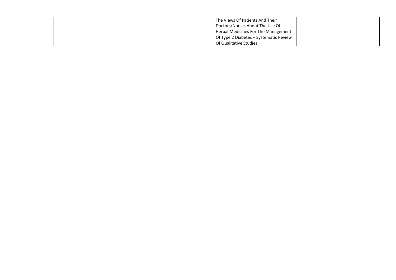|  | The Views Of Patients And Their        |  |
|--|----------------------------------------|--|
|  | Doctors/Nurses About The Use Of        |  |
|  | Herbal Medicines For The Management    |  |
|  | Of Type 2 Diabetes - Systematic Review |  |
|  | Of Qualitative Studies                 |  |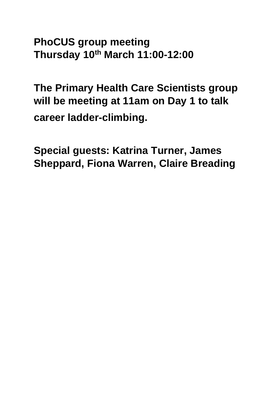<span id="page-14-0"></span>**PhoCUS group meeting Thursday 10th March 11:00-12:00**

**The Primary Health Care Scientists group will be meeting at 11am on Day 1 to talk career ladder-climbing.**

**Special guests: Katrina Turner, James Sheppard, Fiona Warren, Claire Breading**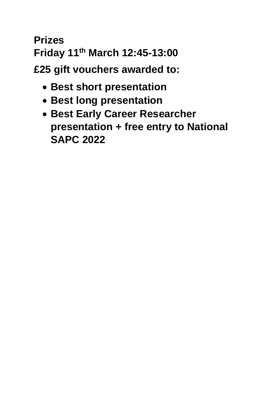## <span id="page-15-0"></span>**Prizes Friday 11th March 12:45-13:00**

**£25 gift vouchers awarded to:**

- **Best short presentation**
- **Best long presentation**
- **Best Early Career Researcher presentation + free entry to National SAPC 2022**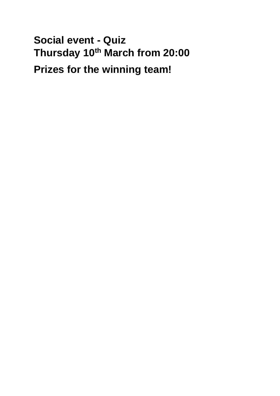<span id="page-16-0"></span>**Social event - Quiz Thursday 10th March from 20:00 Prizes for the winning team!**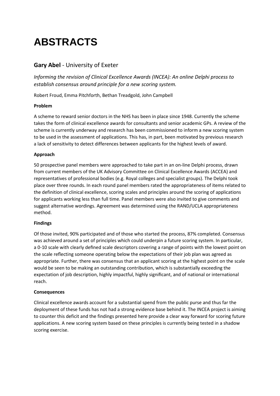## <span id="page-17-0"></span>**ABSTRACTS**

### **Gary Abel** - University of Exeter

*Informing the revision of Clinical Excellence Awards (INCEA): An online Delphi process to establish consensus around principle for a new scoring system.*

Robert Froud, Emma Pitchforth, Bethan Treadgold, John Campbell

#### **Problem**

A scheme to reward senior doctors in the NHS has been in place since 1948. Currently the scheme takes the form of clinical excellence awards for consultants and senior academic GPs. A review of the scheme is currently underway and research has been commissioned to inform a new scoring system to be used in the assessment of applications. This has, in part, been motivated by previous research a lack of sensitivity to detect differences between applicants for the highest levels of award.

#### **Approach**

50 prospective panel members were approached to take part in an on-line Delphi process, drawn from current members of the UK Advisory Committee on Clinical Excellence Awards (ACCEA) and representatives of professional bodies (e.g. Royal colleges and specialist groups). The Delphi took place over three rounds. In each round panel members rated the appropriateness of items related to the definition of clinical excellence, scoring scales and principles around the scoring of applications for applicants working less than full time. Panel members were also invited to give comments and suggest alternative wordings. Agreement was determined using the RAND/UCLA appropriateness method.

#### **Findings**

Of those invited, 90% participated and of those who started the process, 87% completed. Consensus was achieved around a set of principles which could underpin a future scoring system. In particular, a 0-10 scale with clearly defined scale descriptors covering a range of points with the lowest point on the scale reflecting someone operating below the expectations of their job plan was agreed as appropriate. Further, there was consensus that an applicant scoring at the highest point on the scale would be seen to be making an outstanding contribution, which is substantially exceeding the expectation of job description, highly impactful, highly significant, and of national or international reach.

#### **Consequences**

Clinical excellence awards account for a substantial spend from the public purse and thus far the deployment of these funds has not had a strong evidence base behind it. The INCEA project is aiming to counter this deficit and the findings presented here provide a clear way forward for scoring future applications. A new scoring system based on these principles is currently being tested in a shadow scoring exercise.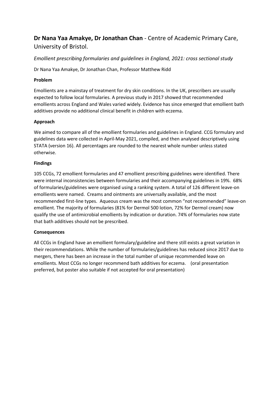**Dr Nana Yaa Amakye, Dr Jonathan Chan** - Centre of Academic Primary Care, University of Bristol.

#### *Emollient prescribing formularies and guidelines in England, 2021: cross sectional study*

Dr Nana Yaa Amakye, Dr Jonathan Chan, Professor Matthew Ridd

#### **Problem**

Emollients are a mainstay of treatment for dry skin conditions. In the UK, prescribers are usually expected to follow local formularies. A previous study in 2017 showed that recommended emollients across England and Wales varied widely. Evidence has since emerged that emollient bath additives provide no additional clinical benefit in children with eczema.

#### **Approach**

We aimed to compare all of the emollient formularies and guidelines in England. CCG formulary and guidelines data were collected in April-May 2021, compiled, and then analysed descriptively using STATA (version 16). All percentages are rounded to the nearest whole number unless stated otherwise.

#### **Findings**

105 CCGs, 72 emollient formularies and 47 emollient prescribing guidelines were identified. There were internal inconsistencies between formularies and their accompanying guidelines in 19%. 68% of formularies/guidelines were organised using a ranking system. A total of 126 different leave-on emollients were named. Creams and ointments are universally available, and the most recommended first-line types. Aqueous cream was the most common "not recommended" leave-on emollient. The majority of formularies (81% for Dermol 500 lotion, 72% for Dermol cream) now qualify the use of antimicrobial emollients by indication or duration. 74% of formularies now state that bath additives should not be prescribed.

#### **Consequences**

All CCGs in England have an emollient formulary/guideline and there still exists a great variation in their recommendations. While the number of formularies/guidelines has reduced since 2017 due to mergers, there has been an increase in the total number of unique recommended leave on emollients. Most CCGs no longer recommend bath additives for eczema. (oral presentation preferred, but poster also suitable if not accepted for oral presentation)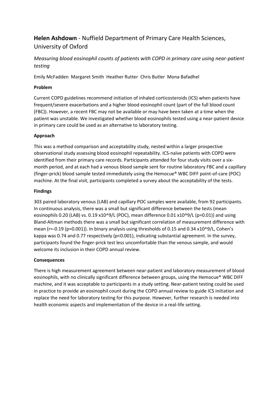## **Helen Ashdown** - Nuffield Department of Primary Care Health Sciences, University of Oxford

*Measuring blood eosinophil counts of patients with COPD in primary care using near-patient testing*

Emily McFadden Margaret Smith Heather Rutter Chris Butler Mona Bafadhel

#### **Problem**

Current COPD guidelines recommend initiation of inhaled corticosteroids (ICS) when patients have frequent/severe exacerbations and a higher blood eosinophil count (part of the full blood count (FBC)). However, a recent FBC may not be available or may have been taken at a time when the patient was unstable. We investigated whether blood eosinophils tested using a near-patient device in primary care could be used as an alternative to laboratory testing.

#### **Approach**

This was a method comparison and acceptability study, nested within a larger prospective observational study assessing blood eosinophil repeatability. ICS-naïve patients with COPD were identified from their primary care records. Participants attended for four study visits over a sixmonth period, and at each had a venous blood sample sent for routine laboratory FBC and a capillary (finger-prick) blood sample tested immediately using the Hemocue® WBC DIFF point-of-care (POC) machine. At the final visit, participants completed a survey about the acceptability of the tests.

#### **Findings**

303 paired laboratory venous (LAB) and capillary POC samples were available, from 92 participants. In continuous analysis, there was a small but significant difference between the tests (mean eosinophils 0.20 (LAB) vs. 0.19 x10^9/L (POC), mean difference 0.01 x10^9/L (p=0.01)) and using Bland-Altman methods there was a small but significant correlation of measurement difference with mean (r=-0.19 (p=0.001)). In binary analysis using thresholds of 0.15 and 0.34 x10^9/L, Cohen's kappa was 0.74 and 0.77 respectively (p<0.001), indicating substantial agreement. In the survey, participants found the finger-prick test less uncomfortable than the venous sample, and would welcome its inclusion in their COPD annual review.

#### **Consequences**

There is high measurement agreement between near-patient and laboratory measurement of blood eosinophils, with no clinically significant difference between groups, using the Hemocue® WBC DIFF machine, and it was acceptable to participants in a study setting. Near-patient testing could be used in practice to provide an eosinophil count during the COPD annual review to guide ICS initiation and replace the need for laboratory testing for this purpose. However, further research is needed into health economic aspects and implementation of the device in a real-life setting.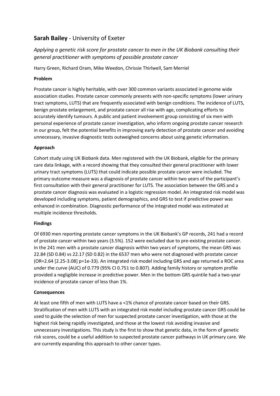### **Sarah Bailey** - University of Exeter

*Applying a genetic risk score for prostate cancer to men in the UK Biobank consulting their general practitioner with symptoms of possible prostate cancer*

Harry Green, Richard Oram, Mike Weedon, Chrissie Thirlwell, Sam Merriel

#### **Problem**

Prostate cancer is highly heritable, with over 300 common variants associated in genome wide association studies. Prostate cancer commonly presents with non-specific symptoms (lower urinary tract symptoms, LUTS) that are frequently associated with benign conditions. The incidence of LUTS, benign prostate enlargement, and prostate cancer all rise with age, complicating efforts to accurately identify tumours. A public and patient involvement group consisting of six men with personal experience of prostate cancer investigation, who inform ongoing prostate cancer research in our group, felt the potential benefits in improving early detection of prostate cancer and avoiding unnecessary, invasive diagnostic tests outweighed concerns about using genetic information.

#### **Approach**

Cohort study using UK Biobank data. Men registered with the UK Biobank, eligible for the primary care data linkage, with a record showing that they consulted their general practitioner with lower urinary tract symptoms (LUTS) that could indicate possible prostate cancer were included. The primary outcome measure was a diagnosis of prostate cancer within two years of the participant's first consultation with their general practitioner for LUTS. The association between the GRS and a prostate cancer diagnosis was evaluated in a logistic regression model. An integrated risk model was developed including symptoms, patient demographics, and GRS to test if predictive power was enhanced in combination. Diagnostic performance of the integrated model was estimated at multiple incidence thresholds.

#### **Findings**

Of 6930 men reporting prostate cancer symptoms in the UK Biobank's GP records, 241 had a record of prostate cancer within two years (3.5%). 152 were excluded due to pre-existing prostate cancer. In the 241 men with a prostate cancer diagnosis within two years of symptoms, the mean GRS was 22.84 (SD 0.84) vs 22.17 (SD 0.82) in the 6537 men who were not diagnosed with prostate cancer (OR=2.64 [2.25-3.08] p=1e-33). An integrated risk model including GRS and age returned a ROC area under the curve (AUC) of 0.779 (95% CI 0.751 to 0.807). Adding family history or symptom profile provided a negligible increase in predictive power. Men in the bottom GRS quintile had a two-year incidence of prostate cancer of less than 1%.

#### **Consequences**

At least one fifth of men with LUTS have a <1% chance of prostate cancer based on their GRS. Stratification of men with LUTS with an integrated risk model including prostate cancer GRS could be used to guide the selection of men for suspected prostate cancer investigation, with those at the highest risk being rapidly investigated, and those at the lowest risk avoiding invasive and unnecessary investigations. This study is the first to show that genetic data, in the form of genetic risk scores, could be a useful addition to suspected prostate cancer pathways in UK primary care. We are currently expanding this approach to other cancer types.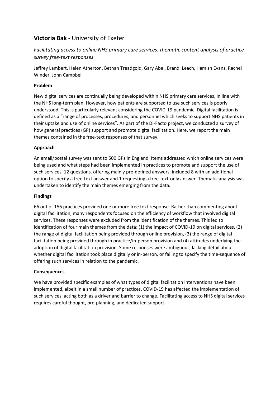### **Victoria Bak** - University of Exeter

### *Facilitating access to online NHS primary care services: thematic content analysis of practice survey free-text responses*

Jeffrey Lambert, Helen Atherton, Bethan Treadgold, Gary Abel, Brandi Leach, Hamish Evans, Rachel Winder, John Campbell

#### **Problem**

New digital services are continually being developed within NHS primary care services, in line with the NHS long-term plan. However, how patients are supported to use such services is poorly understood. This is particularly relevant considering the COVID-19 pandemic. Digital facilitation is defined as a "range of processes, procedures, and personnel which seeks to support NHS patients in their uptake and use of online services". As part of the Di-Facto project, we conducted a survey of how general practices (GP) support and promote digital facilitation. Here, we report the main themes contained in the free-text responses of that survey.

#### **Approach**

An email/postal survey was sent to 500 GPs in England. Items addressed which online services were being used and what steps had been implemented in practices to promote and support the use of such services. 12 questions, offering mainly pre-defined answers, included 8 with an additional option to specify a free-text answer and 1 requesting a free-text-only answer. Thematic analysis was undertaken to identify the main themes emerging from the data.

#### **Findings**

66 out of 156 practices provided one or more free text response. Rather than commenting about digital facilitation, many respondents focused on the efficiency of workflow that involved digital services. These responses were excluded from the identification of the themes. This led to identification of four main themes from the data: (1) the impact of COVID-19 on digital services, (2) the range of digital facilitation being provided through online provision, (3) the range of digital facilitation being provided through in practice/in-person provision and (4) attitudes underlying the adoption of digital facilitation provision. Some responses were ambiguous, lacking detail about whether digital facilitation took place digitally or in-person, or failing to specify the time-sequence of offering such services in relation to the pandemic.

#### **Consequences**

We have provided specific examples of what types of digital facilitation interventions have been implemented, albeit in a small number of practices. COVID-19 has affected the implementation of such services, acting both as a driver and barrier to change. Facilitating access to NHS digital services requires careful thought, pre-planning, and dedicated support.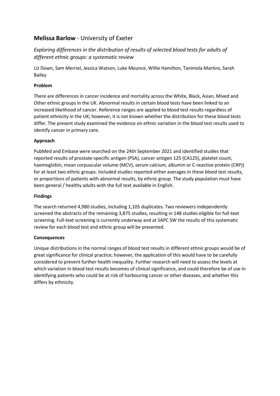### **Melissa Barlow** - University of Exeter

*Exploring differences in the distribution of results of selected blood tests for adults of different ethnic groups: a systematic review*

Liz Down, Sam Merriel, Jessica Watson, Luke Mounce, Willie Hamilton, Tanimola Martins, Sarah Bailey

#### **Problem**

There are differences in cancer incidence and mortality across the White, Black, Asian, Mixed and Other ethnic groups in the UK. Abnormal results in certain blood tests have been linked to an increased likelihood of cancer. Reference ranges are applied to blood test results regardless of patient ethnicity in the UK; however, it is not known whether the distribution for these blood tests differ. The present study examined the evidence on ethnic variation in the blood test results used to identify cancer in primary care.

#### **Approach**

PubMed and Embase were searched on the 24th September 2021 and identified studies that reported results of prostate-specific antigen (PSA), cancer antigen 125 (CA125), platelet count, haemoglobin, mean corpuscular volume (MCV), serum calcium, albumin or C-reactive protein (CRP)) for at least two ethnic groups. Included studies reported either averages in these blood test results, or proportions of patients with abnormal results, by ethnic group. The study population must have been general / healthy adults with the full text available in English.

#### **Findings**

The search returned 4,980 studies, including 1,105 duplicates. Two reviewers independently screened the abstracts of the remaining 3,875 studies, resulting in 148 studies eligible for full-text screening. Full-text screening is currently underway and at SAPC SW the results of this systematic review for each blood test and ethnic group will be presented.

#### **Consequences**

Unique distributions in the normal ranges of blood test results in different ethnic groups would be of great significance for clinical practice; however, the application of this would have to be carefully considered to prevent further health inequality. Further research will need to assess the levels at which variation in blood test results becomes of clinical significance, and could therefore be of use in identifying patients who could be at risk of harbouring cancer or other diseases, and whether this differs by ethnicity.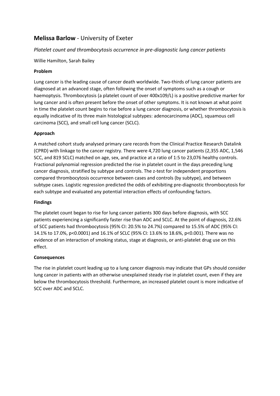### **Melissa Barlow** - University of Exeter

#### *Platelet count and thrombocytosis occurrence in pre-diagnostic lung cancer patients*

Willie Hamilton, Sarah Bailey

#### **Problem**

Lung cancer is the leading cause of cancer death worldwide. Two-thirds of lung cancer patients are diagnosed at an advanced stage, often following the onset of symptoms such as a cough or haemoptysis. Thrombocytosis (a platelet count of over 400x109/L) is a positive predictive marker for lung cancer and is often present before the onset of other symptoms. It is not known at what point in time the platelet count begins to rise before a lung cancer diagnosis, or whether thrombocytosis is equally indicative of its three main histological subtypes: adenocarcinoma (ADC), squamous cell carcinoma (SCC), and small cell lung cancer (SCLC).

#### **Approach**

A matched cohort study analysed primary care records from the Clinical Practice Research Datalink (CPRD) with linkage to the cancer registry. There were 4,720 lung cancer patients (2,355 ADC, 1,546 SCC, and 819 SCLC) matched on age, sex, and practice at a ratio of 1:5 to 23,076 healthy controls. Fractional polynomial regression predicted the rise in platelet count in the days preceding lung cancer diagnosis, stratified by subtype and controls. The z-test for independent proportions compared thrombocytosis occurrence between cases and controls (by subtype), and between subtype cases. Logistic regression predicted the odds of exhibiting pre-diagnostic thrombocytosis for each subtype and evaluated any potential interaction effects of confounding factors.

#### **Findings**

The platelet count began to rise for lung cancer patients 300 days before diagnosis, with SCC patients experiencing a significantly faster rise than ADC and SCLC. At the point of diagnosis, 22.6% of SCC patients had thrombocytosis (95% CI: 20.5% to 24.7%) compared to 15.5% of ADC (95% CI: 14.1% to 17.0%, p<0.0001) and 16.1% of SCLC (95% CI: 13.6% to 18.6%, p<0.001). There was no evidence of an interaction of smoking status, stage at diagnosis, or anti-platelet drug use on this effect.

#### **Consequences**

The rise in platelet count leading up to a lung cancer diagnosis may indicate that GPs should consider lung cancer in patients with an otherwise unexplained steady rise in platelet count, even if they are below the thrombocytosis threshold. Furthermore, an increased platelet count is more indicative of SCC over ADC and SCLC.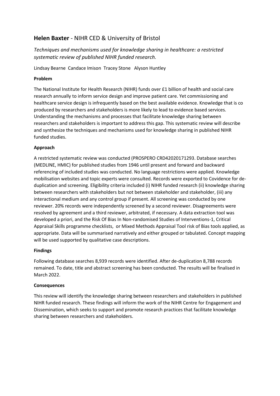### **Helen Baxter** - NIHR CED & University of Bristol

*Techniques and mechanisms used for knowledge sharing in healthcare: a restricted systematic review of published NIHR funded research.*

Lindsay Bearne Candace Imison Tracey Stone Alyson Huntley

#### **Problem**

The National Institute for Health Research (NIHR) funds over £1 billion of health and social care research annually to inform service design and improve patient care. Yet commissioning and healthcare service design is infrequently based on the best available evidence. Knowledge that is co produced by researchers and stakeholders is more likely to lead to evidence based services. Understanding the mechanisms and processes that facilitate knowledge sharing between researchers and stakeholders is important to address this gap. This systematic review will describe and synthesize the techniques and mechanisms used for knowledge sharing in published NIHR funded studies.

#### **Approach**

A restricted systematic review was conducted (PROSPERO CRD42020171293. Database searches (MEDLINE, HMIC) for published studies from 1946 until present and forward and backward referencing of included studies was conducted. No language restrictions were applied. Knowledge mobilisation websites and topic experts were consulted. Records were exported to Covidence for deduplication and screening. Eligibility criteria included (i) NIHR funded research (ii) knowledge sharing between researchers with stakeholders but not between stakeholder and stakeholder, (iii) any interactional medium and any control group if present. All screening was conducted by one reviewer. 20% records were independently screened by a second reviewer. Disagreements were resolved by agreement and a third reviewer, arbitrated, if necessary. A data extraction tool was developed a priori, and the Risk Of Bias In Non-randomised Studies of Interventions-1, Critical Appraisal Skills programme checklists, or Mixed Methods Appraisal Tool risk of Bias tools applied, as appropriate. Data will be summarised narratively and either grouped or tabulated. Concept mapping will be used supported by qualitative case descriptions.

#### **Findings**

Following database searches 8,939 records were identified. After de-duplication 8,788 records remained. To date, title and abstract screening has been conducted. The results will be finalised in March 2022.

#### **Consequences**

This review will identify the knowledge sharing between researchers and stakeholders in published NIHR funded research. These findings will inform the work of the NIHR Centre for Engagement and Dissemination, which seeks to support and promote research practices that facilitate knowledge sharing between researchers and stakeholders.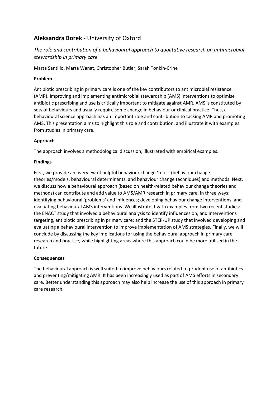## **Aleksandra Borek** - University of Oxford

### *The role and contribution of a behavioural approach to qualitative research on antimicrobial stewardship in primary care*

Marta Santillo, Marta Wanat, Christopher Butler, Sarah Tonkin-Crine

#### **Problem**

Antibiotic prescribing in primary care is one of the key contributors to antimicrobial resistance (AMR). Improving and implementing antimicrobial stewardship (AMS) interventions to optimise antibiotic prescribing and use is critically important to mitigate against AMR. AMS is constituted by sets of behaviours and usually require some change in behaviour or clinical practice. Thus, a behavioural science approach has an important role and contribution to tacking AMR and promoting AMS. This presentation aims to highlight this role and contribution, and illustrate it with examples from studies in primary care.

#### **Approach**

The approach involves a methodological discussion, illustrated with empirical examples.

#### **Findings**

First, we provide an overview of helpful behaviour change 'tools' (behaviour change theories/models, behavioural determinants, and behaviour change techniques) and methods. Next, we discuss how a behavioural approach (based on health-related behaviour change theories and methods) can contribute and add value to AMS/AMR research in primary care, in three ways: identifying behavioural 'problems' and influences; developing behaviour change interventions, and evaluating behavioural AMS interventions. We illustrate it with examples from two recent studies: the ENACT study that involved a behavioural analysis to identify influences on, and interventions targeting, antibiotic prescribing in primary care; and the STEP-UP study that involved developing and evaluating a behavioural intervention to improve implementation of AMS strategies. Finally, we will conclude by discussing the key implications for using the behavioural approach in primary care research and practice, while highlighting areas where this approach could be more utilised in the future.

#### **Consequences**

The behavioural approach is well suited to improve behaviours related to prudent use of antibiotics and preventing/mitigating AMR. It has been increasingly used as part of AMS efforts in secondary care. Better understanding this approach may also help increase the use of this approach in primary care research.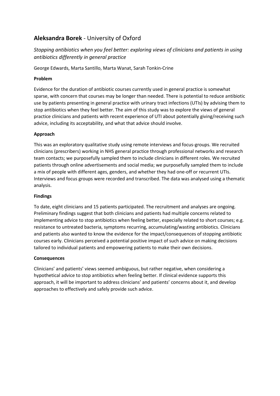### **Aleksandra Borek** - University of Oxford

*Stopping antibiotics when you feel better: exploring views of clinicians and patients in using antibiotics differently in general practice*

George Edwards, Marta Santillo, Marta Wanat, Sarah Tonkin-Crine

#### **Problem**

Evidence for the duration of antibiotic courses currently used in general practice is somewhat sparse, with concern that courses may be longer than needed. There is potential to reduce antibiotic use by patients presenting in general practice with urinary tract infections (UTIs) by advising them to stop antibiotics when they feel better. The aim of this study was to explore the views of general practice clinicians and patients with recent experience of UTI about potentially giving/receiving such advice, including its acceptability, and what that advice should involve.

#### **Approach**

This was an exploratory qualitative study using remote interviews and focus-groups. We recruited clinicians (prescribers) working in NHS general practice through professional networks and research team contacts; we purposefully sampled them to include clinicians in different roles. We recruited patients through online advertisements and social media; we purposefully sampled them to include a mix of people with different ages, genders, and whether they had one-off or recurrent UTIs. Interviews and focus groups were recorded and transcribed. The data was analysed using a thematic analysis.

#### **Findings**

To date, eight clinicians and 15 patients participated. The recruitment and analyses are ongoing. Preliminary findings suggest that both clinicians and patients had multiple concerns related to implementing advice to stop antibiotics when feeling better, especially related to short courses; e.g. resistance to untreated bacteria, symptoms recurring, accumulating/wasting antibiotics. Clinicians and patients also wanted to know the evidence for the impact/consequences of stopping antibiotic courses early. Clinicians perceived a potential positive impact of such advice on making decisions tailored to individual patients and empowering patients to make their own decisions.

#### **Consequences**

Clinicians' and patients' views seemed ambiguous, but rather negative, when considering a hypothetical advice to stop antibiotics when feeling better. If clinical evidence supports this approach, it will be important to address clinicians' and patients' concerns about it, and develop approaches to effectively and safely provide such advice.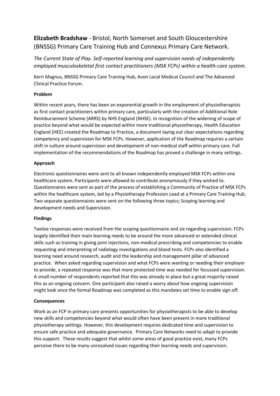## **Elizabeth Bradshaw** - Bristol, North Somerset and South Gloucestershire (BNSSG) Primary Care Training Hub and Connexus Primary Care Network.

*The Current State of Play. Self-reported learning and supervision needs of independently employed musculoskeletal first contact practitioners (MSK FCPs) within a health-care system.*

Kerri Magnus, BNSSG Primary Care Training Hub, Avon Local Medical Council and The Advanced Clinical Practice Forum.

#### **Problem**

Within recent years, there has been an exponential growth in the employment of physiotherapists as first contact practitioners within primary care, particularly with the creation of Additional Role Reimbursement Scheme (ARRS) by NHS England (NHSE). In recognition of the widening of scope of practice beyond what would be expected within more traditional physiotherapy, Health Education England (HEE) created the Roadmap to Practice, a document laying out clear expectations regarding competency and supervision for MSK FCPs. However, application of the Roadmap requires a certain shift in culture around supervision and development of non-medical staff within primary care. Full implementation of the recommendations of the Roadmap has proved a challenge in many settings.

#### **Approach**

Electronic questionnaires were sent to all known independently employed MSK FCPs within one healthcare system. Participants were allowed to contribute anonymously if they wished to. Questionnaires were sent as part of the process of establishing a Community of Practice of MSK FCPs within the healthcare system, led by a Physiotherapy Profession Lead at a Primary Care Training Hub. Two separate questionnaires were sent on the following three topics; Scoping learning and development needs and Supervision.

#### **Findings**

Twelve responses were received from the scoping questionnaire and six regarding supervision. FCPs largely identified their main learning needs to be around the more advanced or extended clinical skills such as training in giving joint injections, non-medical prescribing and competencies to enable requesting and interpreting of radiology investigations and blood tests. FCPs also identified a learning need around research, audit and the leadership and management pillar of advanced practice. When asked regarding supervision and what FCPs were wanting or needing their employer to provide, a repeated response was that more protected time was needed for focussed supervision. A small number of respondents reported that this was already in place but a great majority raised this as an ongoing concern. One participant also raised a worry about how ongoing supervision might look once the formal Roadmap was completed as this mandates set time to enable sign off.

#### **Consequences**

Work as an FCP in primary care presents opportunities for physiotherapists to be able to develop new skills and competencies beyond what would often have been present in more traditional physiotherapy settings. However, this development requires dedicated time and supervision to ensure safe practice and adequate governance. Primary Care Networks need to adapt to provide this support. These results suggest that whilst some areas of good practice exist, many FCPs perceive there to be many unresolved issues regarding their learning needs and supervision.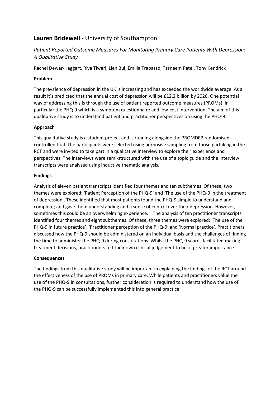### **Lauren Bridewell** - University of Southampton

### *Patient Reported Outcome Measures For Monitoring Primary Care Patients With Depression: A Qualitative Study*

Rachel Dewar-Haggart, Riya Tiwari, Lien Bui, Emilia Trapasso, Tasneem Patel, Tony Kendrick

#### **Problem**

The prevalence of depression in the UK is increasing and has exceeded the worldwide average. As a result it's predicted that the annual cost of depression will be £12.2 billion by 2026. One potential way of addressing this is through the use of patient reported outcome measures (PROMs), in particular the PHQ-9 which is a symptom questionnaire and low-cost intervention. The aim of this qualitative study is to understand patient and practitioner perspectives on using the PHQ-9.

#### **Approach**

This qualitative study is a student project and is running alongside the PROMDEP randomised controlled trial. The participants were selected using purposive sampling from those partaking in the RCT and were invited to take part in a qualitative interview to explore their experience and perspectives. The interviews were semi-structured with the use of a topic guide and the interview transcripts were analysed using inductive thematic analysis.

#### **Findings**

Analysis of eleven patient transcripts identified four themes and ten subthemes. Of these, two themes were explored: 'Patient Perception of the PHQ-9' and 'The use of the PHQ-9 in the treatment of depression'. These identified that most patients found the PHQ-9 simple to understand and complete; and gave them understanding and a sense of control over their depression. However, sometimes this could be an overwhelming experience. The analysis of ten practitioner transcripts identified four themes and eight subthemes. Of these, three themes were explored: 'The use of the PHQ-9 in future practice', 'Practitioner perception of the PHQ-9' and 'Normal practice'. Practitioners discussed how the PHQ-9 should be administered on an individual basis and the challenges of finding the time to administer the PHQ-9 during consultations. Whilst the PHQ-9 scores facilitated making treatment decisions, practitioners felt their own clinical judgement to be of greater importance.

#### **Consequences**

The findings from this qualitative study will be important in explaining the findings of the RCT around the effectiveness of the use of PROMs in primary care. While patients and practitioners value the use of the PHQ-9 in consultations, further consideration is required to understand how the use of the PHQ-9 can be successfully implemented this into general practice.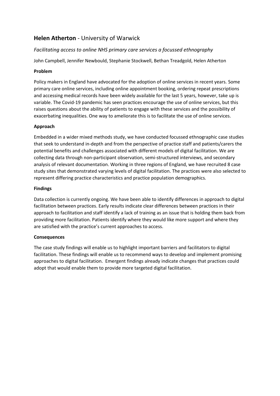### **Helen Atherton** - University of Warwick

#### *Facilitating access to online NHS primary care services a focussed ethnography*

John Campbell, Jennifer Newbould, Stephanie Stockwell, Bethan Treadgold, Helen Atherton

#### **Problem**

Policy makers in England have advocated for the adoption of online services in recent years. Some primary care online services, including online appointment booking, ordering repeat prescriptions and accessing medical records have been widely available for the last 5 years, however, take up is variable. The Covid-19 pandemic has seen practices encourage the use of online services, but this raises questions about the ability of patients to engage with these services and the possibility of exacerbating inequalities. One way to ameliorate this is to facilitate the use of online services.

#### **Approach**

Embedded in a wider mixed methods study, we have conducted focussed ethnographic case studies that seek to understand in-depth and from the perspective of practice staff and patients/carers the potential benefits and challenges associated with different models of digital facilitation. We are collecting data through non-participant observation, semi-structured interviews, and secondary analysis of relevant documentation. Working in three regions of England, we have recruited 8 case study sites that demonstrated varying levels of digital facilitation. The practices were also selected to represent differing practice characteristics and practice population demographics.

#### **Findings**

Data collection is currently ongoing. We have been able to identify differences in approach to digital facilitation between practices. Early results indicate clear differences between practices in their approach to facilitation and staff identify a lack of training as an issue that is holding them back from providing more facilitation. Patients identify where they would like more support and where they are satisfied with the practice's current approaches to access.

#### **Consequences**

The case study findings will enable us to highlight important barriers and facilitators to digital facilitation. These findings will enable us to recommend ways to develop and implement promising approaches to digital facilitation. Emergent findings already indicate changes that practices could adopt that would enable them to provide more targeted digital facilitation.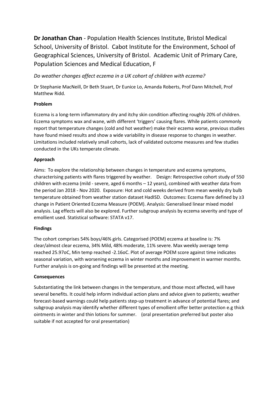**Dr Jonathan Chan** - Population Health Sciences Institute, Bristol Medical School, University of Bristol. Cabot Institute for the Environment, School of Geographical Sciences, University of Bristol. Academic Unit of Primary Care, Population Sciences and Medical Education, F

*Do weather changes affect eczema in a UK cohort of children with eczema?*

Dr Stephanie MacNeill, Dr Beth Stuart, Dr Eunice Lo, Amanda Roberts, Prof Dann Mitchell, Prof Matthew Ridd.

#### **Problem**

Eczema is a long-term inflammatory dry and itchy skin condition affecting roughly 20% of children. Eczema symptoms wax and wane, with different 'triggers' causing flares. While patients commonly report that temperature changes (cold and hot weather) make their eczema worse, previous studies have found mixed results and show a wide variability in disease response to changes in weather. Limitations included relatively small cohorts, lack of validated outcome measures and few studies conducted in the UKs temperate climate.

#### **Approach**

Aims: To explore the relationship between changes in temperature and eczema symptoms, characterising patients with flares triggered by weather. Design: Retrospective cohort study of 550 children with eczema (mild - severe, aged 6 months – 12 years), combined with weather data from the period Jan 2018 - Nov 2020. Exposure: Hot and cold weeks derived from mean weekly dry bulb temperature obtained from weather station dataset HadISD. Outcomes: Eczema flare defined by ≥3 change in Patient Oriented Eczema Measure (POEM). Analysis: Generalised linear mixed model analysis. Lag effects will also be explored. Further subgroup analysis by eczema severity and type of emollient used. Statistical software: STATA v17.

#### **Findings**

The cohort comprises 54% boys/46% girls. Categorised (POEM) eczema at baseline is: 7% clear/almost clear eczema, 34% Mild, 48% moderate, 11% severe. Max weekly average temp reached 25.97oC, Min temp reached -2.16oC. Plot of average POEM score against time indicates seasonal variation, with worsening eczema in winter months and improvement in warmer months. Further analysis is on-going and findings will be presented at the meeting.

#### **Consequences**

Substantiating the link between changes in the temperature, and those most affected, will have several benefits. It could help inform individual action plans and advice given to patients; weather forecast-based warnings could help patients step-up treatment in advance of potential flares; and subgroup analysis may identify whether different types of emollient offer better protection e.g thick ointments in winter and thin lotions for summer. (oral presentation preferred but poster also suitable if not accepted for oral presentation)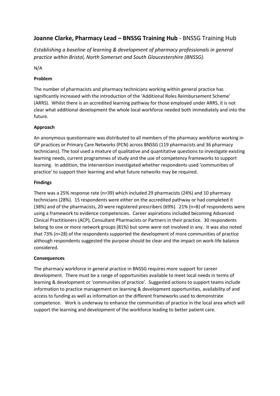### **Joanne Clarke, Pharmacy Lead – BNSSG Training Hub** - BNSSG Training Hub

*Establishing a baseline of learning & development of pharmacy professionals in general practice within Bristol, North Somerset and South Gloucestershire (BNSSG).*

N/A

#### **Problem**

The number of pharmacists and pharmacy technicians working within general practice has significantly increased with the introduction of the 'Additional Roles Reimbursement Scheme' (ARRS). Whilst there is an accredited learning pathway for those employed under ARRS, it is not clear what additional development the whole local workforce needed both immediately and into the future.

#### **Approach**

An anonymous questionnaire was distributed to all members of the pharmacy workforce working in GP practices or Primary Care Networks (PCN) across BNSSG (119 pharmacists and 36 pharmacy technicians). The tool used a mixture of qualitative and quantitative questions to investigate existing learning needs, current programmes of study and the use of competency frameworks to support learning. In addition, the intervention investigated whether respondents used 'communities of practice' to support their learning and what future networks may be required.

#### **Findings**

There was a 25% response rate (n=39) which included 29 pharmacists (24%) and 10 pharmacy technicians (28%). 15 respondents were either on the accredited pathway or had completed it (38%) and of the pharmacists, 20 were registered prescribers (69%). 21% (n=8) of respondents were using a framework to evidence competencies. Career aspirations included becoming Advanced Clinical Practitioners (ACP), Consultant Pharmacists or Partners in their practice. 30 respondents belong to one or more network groups (81%) but some were not involved in any. It was also noted that 73% (n=28) of the respondents supported the development of more communities of practice although respondents suggested the purpose should be clear and the impact on work-life balance considered.

#### **Consequences**

The pharmacy workforce in general practice in BNSSG requires more support for career development. There must be a range of opportunities available to meet local needs in terms of learning & development or 'communities of practice'. Suggested actions to support teams include information to practice management on learning & development opportunities, availability of and access to funding as well as information on the different frameworks used to demonstrate competence. Work is underway to enhance the communities of practice in the local area which will support the learning and development of the workforce leading to better patient care.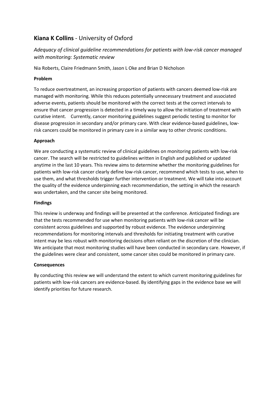### **Kiana K Collins** - University of Oxford

### *Adequacy of clinical guideline recommendations for patients with low-risk cancer managed with monitoring: Systematic review*

Nia Roberts, Claire Friedmann Smith, Jason L Oke and Brian D Nicholson

#### **Problem**

To reduce overtreatment, an increasing proportion of patients with cancers deemed low-risk are managed with monitoring. While this reduces potentially unnecessary treatment and associated adverse events, patients should be monitored with the correct tests at the correct intervals to ensure that cancer progression is detected in a timely way to allow the initiation of treatment with curative intent. Currently, cancer monitoring guidelines suggest periodic testing to monitor for disease progression in secondary and/or primary care. With clear evidence-based guidelines, lowrisk cancers could be monitored in primary care in a similar way to other chronic conditions.

#### **Approach**

We are conducting a systematic review of clinical guidelines on monitoring patients with low-risk cancer. The search will be restricted to guidelines written in English and published or updated anytime in the last 10 years. This review aims to determine whether the monitoring guidelines for patients with low-risk cancer clearly define low-risk cancer, recommend which tests to use, when to use them, and what thresholds trigger further intervention or treatment. We will take into account the quality of the evidence underpinning each recommendation, the setting in which the research was undertaken, and the cancer site being monitored.

#### **Findings**

This review is underway and findings will be presented at the conference. Anticipated findings are that the tests recommended for use when monitoring patients with low-risk cancer will be consistent across guidelines and supported by robust evidence. The evidence underpinning recommendations for monitoring intervals and thresholds for initiating treatment with curative intent may be less robust with monitoring decisions often reliant on the discretion of the clinician. We anticipate that most monitoring studies will have been conducted in secondary care. However, if the guidelines were clear and consistent, some cancer sites could be monitored in primary care.

#### **Consequences**

By conducting this review we will understand the extent to which current monitoring guidelines for patients with low-risk cancers are evidence-based. By identifying gaps in the evidence base we will identify priorities for future research.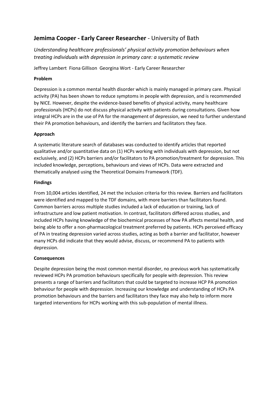### **Jemima Cooper - Early Career Researcher** - University of Bath

*Understanding healthcare professionals' physical activity promotion behaviours when treating individuals with depression in primary care: a systematic review*

Jeffrey Lambert Fiona Gillison Georgina Wort - Early Career Researcher

#### **Problem**

Depression is a common mental health disorder which is mainly managed in primary care. Physical activity (PA) has been shown to reduce symptoms in people with depression, and is recommended by NICE. However, despite the evidence-based benefits of physical activity, many healthcare professionals (HCPs) do not discuss physical activity with patients during consultations. Given how integral HCPs are in the use of PA for the management of depression, we need to further understand their PA promotion behaviours, and identify the barriers and facilitators they face.

#### **Approach**

A systematic literature search of databases was conducted to identify articles that reported qualitative and/or quantitative data on (1) HCPs working with individuals with depression, but not exclusively, and (2) HCPs barriers and/or facilitators to PA promotion/treatment for depression. This included knowledge, perceptions, behaviours and views of HCPs. Data were extracted and thematically analysed using the Theoretical Domains Framework (TDF).

#### **Findings**

From 10,004 articles identified, 24 met the inclusion criteria for this review. Barriers and facilitators were identified and mapped to the TDF domains, with more barriers than facilitators found. Common barriers across multiple studies included a lack of education or training, lack of infrastructure and low patient motivation. In contrast, facilitators differed across studies, and included HCPs having knowledge of the biochemical processes of how PA affects mental health, and being able to offer a non-pharmacological treatment preferred by patients. HCPs perceived efficacy of PA in treating depression varied across studies, acting as both a barrier and facilitator, however many HCPs did indicate that they would advise, discuss, or recommend PA to patients with depression.

#### **Consequences**

Despite depression being the most common mental disorder, no previous work has systematically reviewed HCPs PA promotion behaviours specifically for people with depression. This review presents a range of barriers and facilitators that could be targeted to increase HCP PA promotion behaviour for people with depression. Increasing our knowledge and understanding of HCPs PA promotion behaviours and the barriers and facilitators they face may also help to inform more targeted interventions for HCPs working with this sub-population of mental illness.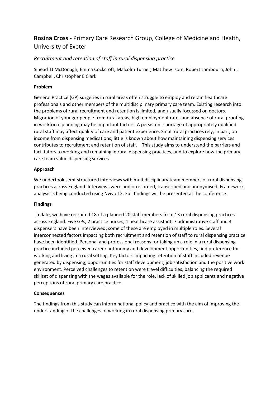### **Rosina Cross** - Primary Care Research Group, College of Medicine and Health, University of Exeter

#### *Recruitment and retention of staff in rural dispensing practice*

Sinead TJ McDonagh, Emma Cockcroft, Malcolm Turner, Matthew Isom, Robert Lambourn, John L Campbell, Christopher E Clark

#### **Problem**

General Practice (GP) surgeries in rural areas often struggle to employ and retain healthcare professionals and other members of the multidisciplinary primary care team. Existing research into the problems of rural recruitment and retention is limited, and usually focussed on doctors. Migration of younger people from rural areas, high employment rates and absence of rural proofing in workforce planning may be important factors. A persistent shortage of appropriately qualified rural staff may affect quality of care and patient experience. Small rural practices rely, in part, on income from dispensing medications; little is known about how maintaining dispensing services contributes to recruitment and retention of staff. This study aims to understand the barriers and facilitators to working and remaining in rural dispensing practices, and to explore how the primary care team value dispensing services.

#### **Approach**

We undertook semi-structured interviews with multidisciplinary team members of rural dispensing practices across England. Interviews were audio-recorded, transcribed and anonymised. Framework analysis is being conducted using Nvivo 12. Full findings will be presented at the conference.

#### **Findings**

To date, we have recruited 18 of a planned 20 staff members from 13 rural dispensing practices across England. Five GPs, 2 practice nurses, 1 healthcare assistant, 7 administrative staff and 3 dispensers have been interviewed; some of these are employed in multiple roles. Several interconnected factors impacting both recruitment and retention of staff to rural dispensing practice have been identified. Personal and professional reasons for taking up a role in a rural dispensing practice included perceived career autonomy and development opportunities, and preference for working and living in a rural setting. Key factors impacting retention of staff included revenue generated by dispensing, opportunities for staff development, job satisfaction and the positive work environment. Perceived challenges to retention were travel difficulties, balancing the required skillset of dispensing with the wages available for the role, lack of skilled job applicants and negative perceptions of rural primary care practice.

#### **Consequences**

The findings from this study can inform national policy and practice with the aim of improving the understanding of the challenges of working in rural dispensing primary care.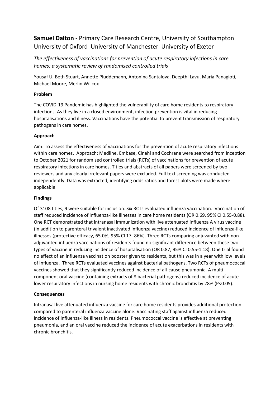## **Samuel Dalton** - Primary Care Research Centre, University of Southampton University of Oxford University of Manchester University of Exeter

*The effectiveness of vaccinations for prevention of acute respiratory infections in care homes: a systematic review of randomised controlled trials*

Yousaf U, Beth Stuart, Annette Pluddemann, Antonina Santalova, Deepthi Lavu, Maria Panagioti, Michael Moore, Merlin Willcox

#### **Problem**

The COVID-19 Pandemic has highlighted the vulnerability of care home residents to respiratory infections. As they live in a closed environment, infection prevention is vital in reducing hospitalisations and illness. Vaccinations have the potential to prevent transmission of respiratory pathogens in care homes.

#### **Approach**

Aim: To assess the effectiveness of vaccinations for the prevention of acute respiratory infections within care homes. Approach: Medline, Embase, Cinahl and Cochrane were searched from inception to October 2021 for randomised controlled trials (RCTs) of vaccinations for prevention of acute respiratory infections in care homes. Titles and abstracts of all papers were screened by two reviewers and any clearly irrelevant papers were excluded. Full text screening was conducted independently. Data was extracted, identifying odds ratios and forest plots were made where applicable.

#### **Findings**

Of 3108 titles, 9 were suitable for inclusion. Six RCTs evaluated influenza vaccination. Vaccination of staff reduced incidence of influenza-like illnesses in care home residents (OR 0.69, 95% CI 0.55-0.88). One RCT demonstrated that intranasal immunization with live attenuated influenza A virus vaccine (in addition to parenteral trivalent inactivated influenza vaccine) reduced incidence of influenza-like illnesses (protective efficacy, 65.0%; 95% CI 17- 86%). Three RCTs comparing adjuvanted with nonadjuvanted influenza vaccinations of residents found no significant difference between these two types of vaccine in reducing incidence of hospitalisation (OR 0.87, 95% CI 0.55-1.18). One trial found no effect of an influenza vaccination booster given to residents, but this was in a year with low levels of influenza. Three RCTs evaluated vaccines against bacterial pathogens. Two RCTs of pneumococcal vaccines showed that they significantly reduced incidence of all-cause pneumonia. A multicomponent oral vaccine (containing extracts of 8 bacterial pathogens) reduced incidence of acute lower respiratory infections in nursing home residents with chronic bronchitis by 28% (P<0.05).

#### **Consequences**

Intranasal live attenuated influenza vaccine for care home residents provides additional protection compared to parenteral influenza vaccine alone. Vaccinating staff against influenza reduced incidence of influenza-like illness in residents. Pneumococcal vaccine is effective at preventing pneumonia, and an oral vaccine reduced the incidence of acute exacerbations in residents with chronic bronchitis.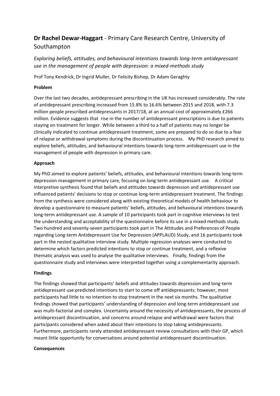# **Dr Rachel Dewar-Haggart** - Primary Care Research Centre, University of Southampton

*Exploring beliefs, attitudes, and behavioural intentions towards long-term antidepressant use in the management of people with depression: a mixed-methods study*

Prof Tony Kendrick, Dr Ingrid Muller, Dr Felicity Bishop, Dr Adam Geraghty

### **Problem**

Over the last two decades, antidepressant prescribing in the UK has increased considerably. The rate of antidepressant prescribing increased from 15.8% to 16.6% between 2015 and 2018, with 7.3 million people prescribed antidepressants in 2017/18, at an annual cost of approximately £266 million. Evidence suggests that rise in the number of antidepressant prescriptions is due to patients staying on treatment for longer. While between a third to a half of patients may no longer be clinically indicated to continue antidepressant treatment, some are prepared to do so due to a fear of relapse or withdrawal symptoms during the discontinuation process. My PhD research aimed to explore beliefs, attitudes, and behavioural intentions towards long-term antidepressant use in the management of people with depression in primary care.

### **Approach**

My PhD aimed to explore patients' beliefs, attitudes, and behavioural intentions towards long-term depression management in primary care, focusing on long-term antidepressant use. A critical interpretive synthesis found that beliefs and attitudes towards depression and antidepressant use influenced patients' decisions to stop or continue long-term antidepressant treatment. The findings from the synthesis were considered along with existing theoretical models of health behaviour to develop a questionnaire to measure patients' beliefs, attitudes, and behavioural intentions towards long-term antidepressant use. A sample of 10 participants took part in cognitive interviews to test the understanding and acceptability of the questionnaire before its use in a mixed methods study. Two hundred and seventy-seven participants took part in The Attitudes and Preferences of People regarding Long-term Antidepressant Use for Depression (APPLAUD) Study, and 16 participants took part in the nested qualitative interview study. Multiple regression analyses were conducted to determine which factors predicted intentions to stop or continue treatment, and a reflexive thematic analysis was used to analyse the qualitative interviews. Finally, findings from the questionnaire study and interviews were interpreted together using a complementarity approach.

### **Findings**

The findings showed that participants' beliefs and attitudes towards depression and long-term antidepressant use predicted intentions to start to come off antidepressants; however, most participants had little to no intention to stop treatment in the next six months. The qualitative findings showed that participants' understanding of depression and long-term antidepressant use was multi-factorial and complex. Uncertainty around the necessity of antidepressants, the process of antidepressant discontinuation, and concerns around relapse and withdrawal were factors that participants considered when asked about their intentions to stop taking antidepressants. Furthermore, participants rarely attended antidepressant review consultations with their GP, which meant little opportunity for conversations around potential antidepressant discontinuation.

#### **Consequences**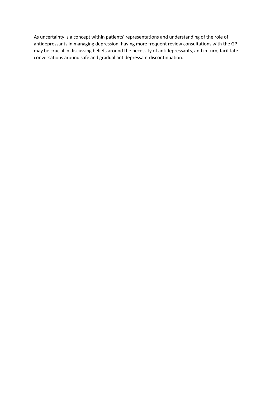As uncertainty is a concept within patients' representations and understanding of the role of antidepressants in managing depression, having more frequent review consultations with the GP may be crucial in discussing beliefs around the necessity of antidepressants, and in turn, facilitate conversations around safe and gradual antidepressant discontinuation.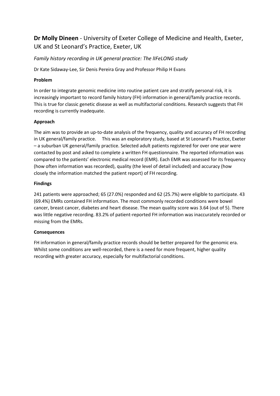# **Dr Molly Dineen** - University of Exeter College of Medicine and Health, Exeter, UK and St Leonard's Practice, Exeter, UK

## *Family history recording in UK general practice: The lIFeLONG study*

Dr Kate Sidaway-Lee, Sir Denis Pereira Gray and Professor Philip H Evans

## **Problem**

In order to integrate genomic medicine into routine patient care and stratify personal risk, it is increasingly important to record family history (FH) information in general/family practice records. This is true for classic genetic disease as well as multifactorial conditions. Research suggests that FH recording is currently inadequate.

## **Approach**

The aim was to provide an up-to-date analysis of the frequency, quality and accuracy of FH recording in UK general/family practice. This was an exploratory study, based at St Leonard's Practice, Exeter – a suburban UK general/family practice. Selected adult patients registered for over one year were contacted by post and asked to complete a written FH questionnaire. The reported information was compared to the patients' electronic medical record (EMR). Each EMR was assessed for its frequency (how often information was recorded), quality (the level of detail included) and accuracy (how closely the information matched the patient report) of FH recording.

## **Findings**

241 patients were approached; 65 (27.0%) responded and 62 (25.7%) were eligible to participate. 43 (69.4%) EMRs contained FH information. The most commonly recorded conditions were bowel cancer, breast cancer, diabetes and heart disease. The mean quality score was 3.64 (out of 5). There was little negative recording. 83.2% of patient-reported FH information was inaccurately recorded or missing from the EMRs.

## **Consequences**

FH information in general/family practice records should be better prepared for the genomic era. Whilst some conditions are well-recorded, there is a need for more frequent, higher quality recording with greater accuracy, especially for multifactorial conditions.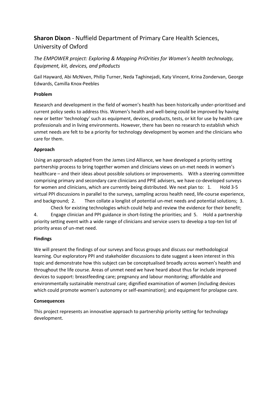# **Sharon Dixon** - Nuffield Department of Primary Care Health Sciences, University of Oxford

*The EMPOWER project: Exploring & Mapping PriOrities for Women's health technology, Equipment, kit, devices, and pRoducts*

Gail Hayward, Abi McNiven, Philip Turner, Neda Taghinejadi, Katy Vincent, Krina Zondervan, George Edwards, Camilla Knox-Peebles

## **Problem**

Research and development in the field of women's health has been historically under-prioritised and current policy seeks to address this. Women's health and well-being could be improved by having new or better 'technology' such as equipment, devices, products, tests, or kit for use by health care professionals and in living environments. However, there has been no research to establish which unmet needs are felt to be a priority for technology development by women and the clinicians who care for them.

## **Approach**

Using an approach adapted from the James Lind Alliance, we have developed a priority setting partnership process to bring together women and clinicians views on un-met needs in women's healthcare – and their ideas about possible solutions or improvements. With a steering committee comprising primary and secondary care clinicians and PPIE advisers, we have co-developed surveys for women and clinicians, which are currently being distributed. We next plan to: 1. Hold 3-5 virtual PPI discussions in parallel to the surveys, sampling across health need, life-course experience, and background; 2. Then collate a longlist of potential un-met needs and potential solutions; 3. Check for existing technologies which could help and review the evidence for their benefit;

4. Engage clinician and PPI guidance in short-listing the priorities; and 5. Hold a partnership priority setting event with a wide range of clinicians and service users to develop a top-ten list of priority areas of un-met need.

## **Findings**

We will present the findings of our surveys and focus groups and discuss our methodological learning. Our exploratory PPI and stakeholder discussions to date suggest a keen interest in this topic and demonstrate how this subject can be conceptualised broadly across women's health and throughout the life course. Areas of unmet need we have heard about thus far include improved devices to support: breastfeeding care; pregnancy and labour monitoring; affordable and environmentally sustainable menstrual care; dignified examination of women (including devices which could promote women's autonomy or self-examination); and equipment for prolapse care.

## **Consequences**

This project represents an innovative approach to partnership priority setting for technology development.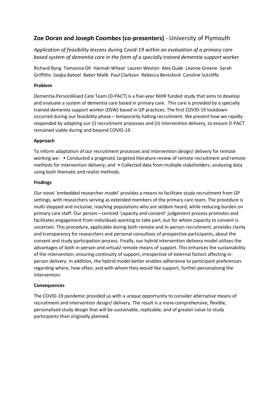## **Zoe Doran and Joseph Coombes (co-presenters)** - University of Plymouth

*Application of feasibility lessons during Covid-19 within an evaluation of a primary care based system of dementia care in the form of a specially trained dementia support worker*

Richard Byng Tomasina Oh Hannah Wheat Lauren Weston Alex Gude Leanne Greene Sarah Griffiths Saqba Batool Baber Malik Paul Clarkson Rebecca Beresford Caroline Sutcliffe

### **Problem**

Dementia-PersonAlised Care Team (D-PACT) is a five-year NIHR funded study that aims to develop and evaluate a system of dementia care based in primary care. This care is provided by a specially trained dementia support worker (DSW) based in GP practices. The first COVID-19 lockdown occurred during our feasibility phase – temporarily halting recruitment. We present how we rapidly responded by adapting our (i) recruitment processes and (ii) intervention delivery, to ensure D-PACT remained viable during and beyond COVID-19.

### **Approach**

To inform adaptation of our recruitment processes and intervention design/ delivery for remote working we: • Conducted a pragmatic targeted literature review of remote recruitment and remote methods for intervention delivery; and • Collected data from multiple stakeholders; analyzing data using both thematic and realist methods.

### **Findings**

Our novel 'embedded researcher model' provides a means to facilitate study recruitment from GP settings, with researchers serving as extended members of the primary care team. The procedure is multi-stepped and inclusive, reaching populations who are seldom heard, while reducing burden on primary care staff. Our person—centred 'capacity and consent' judgement process promotes and facilitates engagement from individuals wanting to take part, but for whom capacity to consent is uncertain. This procedure, applicable during both remote and in-person recruitment, provides clarity and transparency for researchers and personal consultees of prospective participants, about the consent and study participation process. Finally, our hybrid intervention delivery model utilises the advantages of both in-person and virtual/ remote means of support. This enhances the sustainability of the intervention; ensuring continuity of support, irrespective of external factors affecting inperson delivery. In addition, the hybrid model better enables adherence to participant preferences regarding where, how often, and with whom they would like support, further personalising the intervention.

### **Consequences**

The COVID-19 pandemic provided us with a unique opportunity to consider alternative means of recruitment and intervention design/ delivery. The result is a more comprehensive, flexible, personalised study design that will be sustainable, replicable, and of greater value to study participants than originally planned.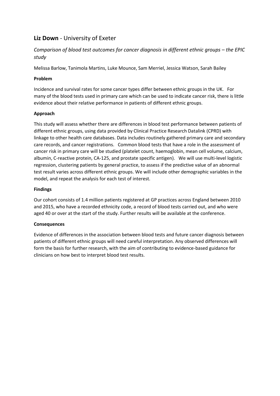# **Liz Down** - University of Exeter

*Comparison of blood test outcomes for cancer diagnosis in different ethnic groups – the EPIC study*

Melissa Barlow, Tanimola Martins, Luke Mounce, Sam Merriel, Jessica Watson, Sarah Bailey

## **Problem**

Incidence and survival rates for some cancer types differ between ethnic groups in the UK. For many of the blood tests used in primary care which can be used to indicate cancer risk, there is little evidence about their relative performance in patients of different ethnic groups.

## **Approach**

This study will assess whether there are differences in blood test performance between patients of different ethnic groups, using data provided by Clinical Practice Research Datalink (CPRD) with linkage to other health care databases. Data includes routinely gathered primary care and secondary care records, and cancer registrations. Common blood tests that have a role in the assessment of cancer risk in primary care will be studied (platelet count, haemoglobin, mean cell volume, calcium, albumin, C-reactive protein, CA-125, and prostate specific antigen). We will use multi-level logistic regression, clustering patients by general practice, to assess if the predictive value of an abnormal test result varies across different ethnic groups. We will include other demographic variables in the model, and repeat the analysis for each test of interest.

## **Findings**

Our cohort consists of 1.4 million patients registered at GP practices across England between 2010 and 2015, who have a recorded ethnicity code, a record of blood tests carried out, and who were aged 40 or over at the start of the study. Further results will be available at the conference.

## **Consequences**

Evidence of differences in the association between blood tests and future cancer diagnosis between patients of different ethnic groups will need careful interpretation. Any observed differences will form the basis for further research, with the aim of contributing to evidence-based guidance for clinicians on how best to interpret blood test results.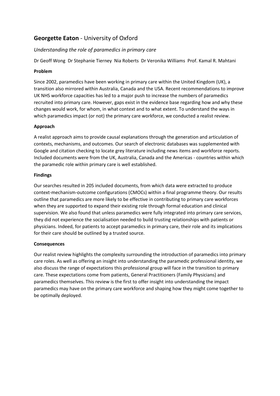## **Georgette Eaton** - University of Oxford

## *Understanding the role of paramedics in primary care*

Dr Geoff Wong Dr Stephanie Tierney Nia Roberts Dr Veronika Williams Prof. Kamal R. Mahtani

### **Problem**

Since 2002, paramedics have been working in primary care within the United Kingdom (UK), a transition also mirrored within Australia, Canada and the USA. Recent recommendations to improve UK NHS workforce capacities has led to a major push to increase the numbers of paramedics recruited into primary care. However, gaps exist in the evidence base regarding how and why these changes would work, for whom, in what context and to what extent. To understand the ways in which paramedics impact (or not) the primary care workforce, we conducted a realist review.

## **Approach**

A realist approach aims to provide causal explanations through the generation and articulation of contexts, mechanisms, and outcomes. Our search of electronic databases was supplemented with Google and citation checking to locate grey literature including news items and workforce reports. Included documents were from the UK, Australia, Canada and the Americas - countries within which the paramedic role within primary care is well established.

### **Findings**

Our searches resulted in 205 included documents, from which data were extracted to produce context-mechanism-outcome configurations (CMOCs) within a final programme theory. Our results outline that paramedics are more likely to be effective in contributing to primary care workforces when they are supported to expand their existing role through formal education and clinical supervision. We also found that unless paramedics were fully integrated into primary care services, they did not experience the socialisation needed to build trusting relationships with patients or physicians. Indeed, for patients to accept paramedics in primary care, their role and its implications for their care should be outlined by a trusted source.

## **Consequences**

Our realist review highlights the complexity surrounding the introduction of paramedics into primary care roles. As well as offering an insight into understanding the paramedic professional identity, we also discuss the range of expectations this professional group will face in the transition to primary care. These expectations come from patients, General Practitioners (Family Physicians) and paramedics themselves. This review is the first to offer insight into understanding the impact paramedics may have on the primary care workforce and shaping how they might come together to be optimally deployed.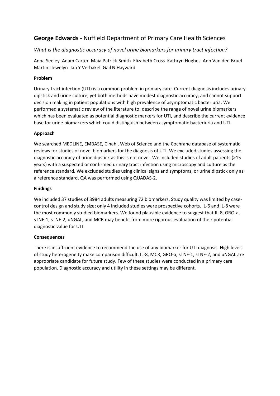## **George Edwards** - Nuffield Department of Primary Care Health Sciences

## *What is the diagnostic accuracy of novel urine biomarkers for urinary tract infection?*

Anna Seeley Adam Carter Maia Patrick-Smith Elizabeth Cross Kathryn Hughes Ann Van den Bruel Martin Llewelyn Jan Y Verbakel Gail N Hayward

## **Problem**

Urinary tract infection (UTI) is a common problem in primary care. Current diagnosis includes urinary dipstick and urine culture, yet both methods have modest diagnostic accuracy, and cannot support decision making in patient populations with high prevalence of asymptomatic bacteriuria. We performed a systematic review of the literature to: describe the range of novel urine biomarkers which has been evaluated as potential diagnostic markers for UTI, and describe the current evidence base for urine biomarkers which could distinguish between asymptomatic bacteriuria and UTI.

## **Approach**

We searched MEDLINE, EMBASE, Cinahl, Web of Science and the Cochrane database of systematic reviews for studies of novel biomarkers for the diagnosis of UTI. We excluded studies assessing the diagnostic accuracy of urine dipstick as this is not novel. We included studies of adult patients (>15 years) with a suspected or confirmed urinary tract infection using microscopy and culture as the reference standard. We excluded studies using clinical signs and symptoms, or urine dipstick only as a reference standard. QA was performed using QUADAS-2.

## **Findings**

We included 37 studies of 3984 adults measuring 72 biomarkers. Study quality was limited by casecontrol design and study size; only 4 included studies were prospective cohorts. IL-6 and IL-8 were the most commonly studied biomarkers. We found plausible evidence to suggest that IL-8, GRO-a, sTNF-1, sTNF-2, uNGAL, and MCR may benefit from more rigorous evaluation of their potential diagnostic value for UTI.

## **Consequences**

There is insufficient evidence to recommend the use of any biomarker for UTI diagnosis. High levels of study heterogeneity make comparison difficult. IL-8, MCR, GRO-a, sTNF-1, sTNF-2, and uNGAL are appropriate candidate for future study. Few of these studies were conducted in a primary care population. Diagnostic accuracy and utility in these settings may be different.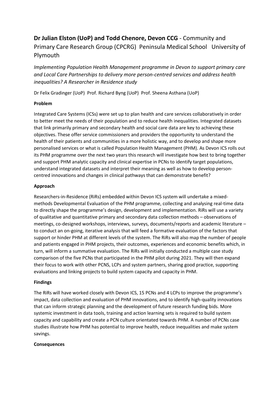# **Dr Julian Elston (UoP) and Todd Chenore, Devon CCG** - Community and Primary Care Research Group (CPCRG) Peninsula Medical School University of Plymouth

*Implementing Population Health Management programme in Devon to support primary care and Local Care Partnerships to delivery more person-centred services and address health inequalities? A Researcher in Residence study*

Dr Felix Gradinger (UoP) Prof. Richard Byng (UoP) Prof. Sheena Asthana (UoP)

## **Problem**

Integrated Care Systems (ICSs) were set up to plan health and care services collaboratively in order to better meet the needs of their population and to reduce health inequalities. Integrated datasets that link primarily primary and secondary health and social care data are key to achieving these objectives. These offer service commissioners and providers the opportunity to understand the health of their patients and communities in a more holistic way, and to develop and shape more personalised services or what is called Population Health Management (PHM). As Devon ICS rolls out its PHM programme over the next two years this research will investigate how best to bring together and support PHM analytic capacity and clinical expertise in PCNs to identify target populations, understand integrated datasets and interpret their meaning as well as how to develop personcentred innovations and changes in clinical pathways that can demonstrate benefit?

## **Approach**

Researchers-in-Residence (RiRs) embedded within Devon ICS system will undertake a mixedmethods Developmental Evaluation of the PHM programme, collecting and analysing real-time data to directly shape the programme's design, development and implementation. RiRs will use a variety of qualitative and quantitative primary and secondary data collection methods – observations of meetings, co-designed workshops, interviews, surveys, documents/reports and academic literature – to conduct an on-going, iterative analysis that will feed a formative evaluation of the factors that support or hinder PHM at different levels of the system. The RiRs will also map the number of people and patients engaged in PHM projects, their outcomes, experiences and economic benefits which, in turn, will inform a summative evaluation. The RiRs will initially conducted a multiple case study comparison of the five PCNs that participated in the PHM pilot during 2021. They will then expand their focus to work with other PCNS, LCPs and system partners, sharing good practice, supporting evaluations and linking projects to build system capacity and capacity in PHM.

## **Findings**

The RiRs will have worked closely with Devon ICS, 15 PCNs and 4 LCPs to improve the programme's impact, data collection and evaluation of PHM innovations, and to identify high-quality innovations that can inform strategic planning and the development of future research funding bids. More systemic investment in data tools, training and action learning sets is required to build system capacity and capability and create a PCN culture orientated towards PHM. A number of PCNs case studies illustrate how PHM has potential to improve health, reduce inequalities and make system savings.

## **Consequences**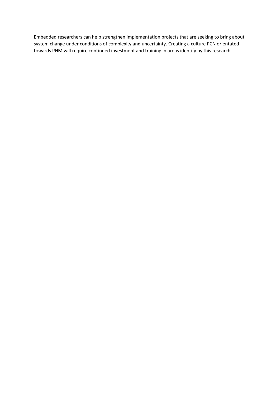Embedded researchers can help strengthen implementation projects that are seeking to bring about system change under conditions of complexity and uncertainty. Creating a culture PCN orientated towards PHM will require continued investment and training in areas identify by this research.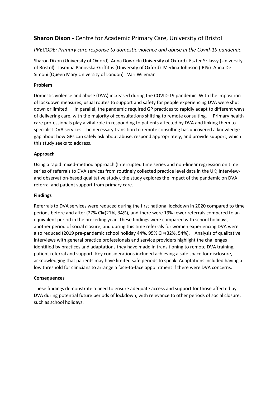## **Sharon Dixon** - Centre for Academic Primary Care, University of Bristol

## *PRECODE: Primary care response to domestic violence and abuse in the Covid-19 pandemic*

Sharon Dixon (University of Oxford) Anna Dowrick (University of Oxford) Eszter Szilassy (University of Bristol) Jasmina Panovska-Griffiths (University of Oxford) Medina Johnson (IRISi) Anna De Simoni (Queen Mary University of London) Vari Wileman

### **Problem**

Domestic violence and abuse (DVA) increased during the COVID-19 pandemic. With the imposition of lockdown measures, usual routes to support and safety for people experiencing DVA were shut down or limited. In parallel, the pandemic required GP practices to rapidly adapt to different ways of delivering care, with the majority of consultations shifting to remote consulting. Primary health care professionals play a vital role in responding to patients affected by DVA and linking them to specialist DVA services. The necessary transition to remote consulting has uncovered a knowledge gap about how GPs can safely ask about abuse, respond appropriately, and provide support, which this study seeks to address.

### **Approach**

Using a rapid mixed-method approach (Interrupted time series and non-linear regression on time series of referrals to DVA services from routinely collected practice level data in the UK; Interviewand observation-based qualitative study), the study explores the impact of the pandemic on DVA referral and patient support from primary care.

### **Findings**

Referrals to DVA services were reduced during the first national lockdown in 2020 compared to time periods before and after (27% CI=(21%, 34%), and there were 19% fewer referrals compared to an equivalent period in the preceding year. These findings were compared with school holidays, another period of social closure, and during this time referrals for women experiencing DVA were also reduced (2019 pre-pandemic school holiday 44%, 95% CI=(32%, 54%). Analysis of qualitative interviews with general practice professionals and service providers highlight the challenges identified by practices and adaptations they have made in transitioning to remote DVA training, patient referral and support. Key considerations included achieving a safe space for disclosure, acknowledging that patients may have limited safe periods to speak. Adaptations included having a low threshold for clinicians to arrange a face-to-face appointment if there were DVA concerns.

### **Consequences**

These findings demonstrate a need to ensure adequate access and support for those affected by DVA during potential future periods of lockdown, with relevance to other periods of social closure, such as school holidays.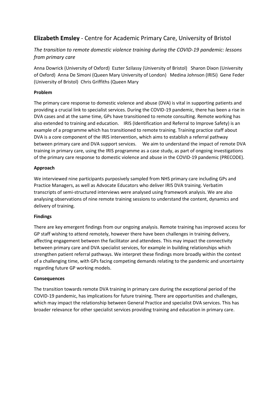# **Elizabeth Emsley** - Centre for Academic Primary Care, University of Bristol

## *The transition to remote domestic violence training during the COVID-19 pandemic: lessons from primary care*

Anna Dowrick (University of Oxford) Eszter Szilassy (University of Bristol) Sharon Dixon (University of Oxford) Anna De Simoni (Queen Mary University of London) Medina Johnson (IRISi) Gene Feder (University of Bristol) Chris Griffiths (Queen Mary

## **Problem**

The primary care response to domestic violence and abuse (DVA) is vital in supporting patients and providing a crucial link to specialist services. During the COVID-19 pandemic, there has been a rise in DVA cases and at the same time, GPs have transitioned to remote consulting. Remote working has also extended to training and education. IRIS (Identification and Referral to Improve Safety) is an example of a programme which has transitioned to remote training. Training practice staff about DVA is a core component of the IRIS intervention, which aims to establish a referral pathway between primary care and DVA support services. We aim to understand the impact of remote DVA training in primary care, using the IRIS programme as a case study, as part of ongoing investigations of the primary care response to domestic violence and abuse in the COVID-19 pandemic (PRECODE).

## **Approach**

We interviewed nine participants purposively sampled from NHS primary care including GPs and Practice Managers, as well as Advocate Educators who deliver IRIS DVA training. Verbatim transcripts of semi-structured interviews were analysed using framework analysis. We are also analysing observations of nine remote training sessions to understand the content, dynamics and delivery of training.

## **Findings**

There are key emergent findings from our ongoing analysis. Remote training has improved access for GP staff wishing to attend remotely, however there have been challenges in training delivery, affecting engagement between the facilitator and attendees. This may impact the connectivity between primary care and DVA specialist services, for example in building relationships which strengthen patient referral pathways. We interpret these findings more broadly within the context of a challenging time, with GPs facing competing demands relating to the pandemic and uncertainty regarding future GP working models.

## **Consequences**

The transition towards remote DVA training in primary care during the exceptional period of the COVID-19 pandemic, has implications for future training. There are opportunities and challenges, which may impact the relationship between General Practice and specialist DVA services. This has broader relevance for other specialist services providing training and education in primary care.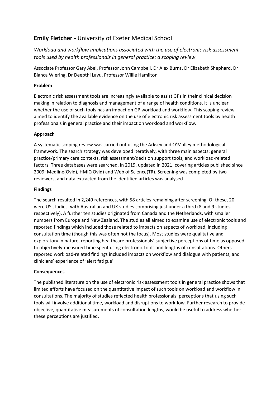# **Emily Fletcher** - University of Exeter Medical School

*Workload and workflow implications associated with the use of electronic risk assessment tools used by health professionals in general practice: a scoping review*

Associate Professor Gary Abel, Professor John Campbell, Dr Alex Burns, Dr Elizabeth Shephard, Dr Bianca Wiering, Dr Deepthi Lavu, Professor Willie Hamilton

## **Problem**

Electronic risk assessment tools are increasingly available to assist GPs in their clinical decision making in relation to diagnosis and management of a range of health conditions. It is unclear whether the use of such tools has an impact on GP workload and workflow. This scoping review aimed to identify the available evidence on the use of electronic risk assessment tools by health professionals in general practice and their impact on workload and workflow.

## **Approach**

A systematic scoping review was carried out using the Arksey and O'Malley methodological framework. The search strategy was developed iteratively, with three main aspects: general practice/primary care contexts, risk assessment/decision support tools, and workload-related factors. Three databases were searched, in 2019, updated in 2021, covering articles published since 2009: Medline(Ovid), HMIC(Ovid) and Web of Science(TR). Screening was completed by two reviewers, and data extracted from the identified articles was analysed.

## **Findings**

The search resulted in 2,249 references, with 58 articles remaining after screening. Of these, 20 were US studies, with Australian and UK studies comprising just under a third (8 and 9 studies respectively). A further ten studies originated from Canada and the Netherlands, with smaller numbers from Europe and New Zealand. The studies all aimed to examine use of electronic tools and reported findings which included those related to impacts on aspects of workload, including consultation time (though this was often not the focus). Most studies were qualitative and exploratory in nature, reporting healthcare professionals' subjective perceptions of time as opposed to objectively-measured time spent using electronic tools and lengths of consultations. Others reported workload-related findings included impacts on workflow and dialogue with patients, and clinicians' experience of 'alert fatigue'.

## **Consequences**

The published literature on the use of electronic risk assessment tools in general practice shows that limited efforts have focused on the quantitative impact of such tools on workload and workflow in consultations. The majority of studies reflected health professionals' perceptions that using such tools will involve additional time, workload and disruptions to workflow. Further research to provide objective, quantitative measurements of consultation lengths, would be useful to address whether these perceptions are justified.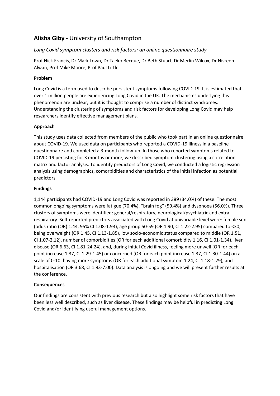# **Alisha Giby** - University of Southampton

## *Long Covid symptom clusters and risk factors: an online questionnaire study*

Prof Nick Francis, Dr Mark Lown, Dr Taeko Becque, Dr Beth Stuart, Dr Merlin Wilcox, Dr Nisreen Alwan, Prof Mike Moore, Prof Paul Little

## **Problem**

Long Covid is a term used to describe persistent symptoms following COVID-19. It is estimated that over 1 million people are experiencing Long Covid in the UK. The mechanisms underlying this phenomenon are unclear, but it is thought to comprise a number of distinct syndromes. Understanding the clustering of symptoms and risk factors for developing Long Covid may help researchers identify effective management plans.

## **Approach**

This study uses data collected from members of the public who took part in an online questionnaire about COVID-19. We used data on participants who reported a COVID-19 illness in a baseline questionnaire and completed a 3-month follow-up. In those who reported symptoms related to COVID-19 persisting for 3 months or more, we described symptom clustering using a correlation matrix and factor analysis. To identify predictors of Long Covid, we conducted a logistic regression analysis using demographics, comorbidities and characteristics of the initial infection as potential predictors.

### **Findings**

1,144 participants had COVID-19 and Long Covid was reported in 389 (34.0%) of these. The most common ongoing symptoms were fatigue (70.4%), "brain fog" (59.4%) and dyspnoea (56.0%). Three clusters of symptoms were identified: general/respiratory, neurological/psychiatric and extrarespiratory. Self-reported predictors associated with Long Covid at univariable level were: female sex (odds ratio (OR) 1.44, 95% CI 1.08-1.93), age group 50-59 (OR 1.90, CI 1.22-2.95) compared to <30, being overweight (OR 1.45, CI 1.13-1.85), low socio-economic status compared to middle (OR 1.51, CI 1.07-2.12), number of comorbidities (OR for each additional comorbidity 1.16, CI 1.01-1.34), liver disease (OR 6.63, CI 1.81-24.24), and, during initial Covid illness, feeling more unwell (OR for each point increase 1.37, CI 1.29-1.45) or concerned (OR for each point increase 1.37, CI 1.30-1.44) on a scale of 0-10, having more symptoms (OR for each additional symptom 1.24, CI 1.18-1.29), and hospitalisation (OR 3.68, CI 1.93-7.00). Data analysis is ongoing and we will present further results at the conference.

## **Consequences**

Our findings are consistent with previous research but also highlight some risk factors that have been less well described, such as liver disease. These findings may be helpful in predicting Long Covid and/or identifying useful management options.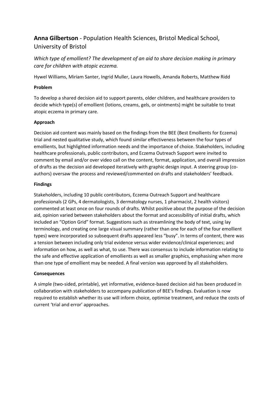# **Anna Gilbertson** - Population Health Sciences, Bristol Medical School, University of Bristol

*Which type of emollient? The development of an aid to share decision making in primary care for children with atopic eczema.*

Hywel Williams, Miriam Santer, Ingrid Muller, Laura Howells, Amanda Roberts, Matthew Ridd

### **Problem**

To develop a shared decision aid to support parents, older children, and healthcare providers to decide which type(s) of emollient (lotions, creams, gels, or ointments) might be suitable to treat atopic eczema in primary care.

### **Approach**

Decision aid content was mainly based on the findings from the BEE (Best Emollients for Eczema) trial and nested qualitative study, which found similar effectiveness between the four types of emollients, but highlighted information needs and the importance of choice. Stakeholders, including healthcare professionals, public contributors, and Eczema Outreach Support were invited to comment by email and/or over video call on the content, format, application, and overall impression of drafts as the decision aid developed iteratively with graphic design input. A steering group (coauthors) oversaw the process and reviewed/commented on drafts and stakeholders' feedback.

### **Findings**

Stakeholders, including 10 public contributors, Eczema Outreach Support and healthcare professionals (2 GPs, 4 dermatologists, 3 dermatology nurses, 1 pharmacist, 2 health visitors) commented at least once on four rounds of drafts. Whilst positive about the purpose of the decision aid, opinion varied between stakeholders about the format and accessibility of initial drafts, which included an "Option Grid" format. Suggestions such as streamlining the body of text, using lay terminology, and creating one large visual summary (rather than one for each of the four emollient types) were incorporated so subsequent drafts appeared less "busy". In terms of content, there was a tension between including only trial evidence versus wider evidence/clinical experiences; and information on how, as well as what, to use. There was consensus to include information relating to the safe and effective application of emollients as well as smaller graphics, emphasising when more than one type of emollient may be needed. A final version was approved by all stakeholders.

### **Consequences**

A simple (two-sided, printable), yet informative, evidence-based decision aid has been produced in collaboration with stakeholders to accompany publication of BEE's findings. Evaluation is now required to establish whether its use will inform choice, optimise treatment, and reduce the costs of current 'trial and error' approaches.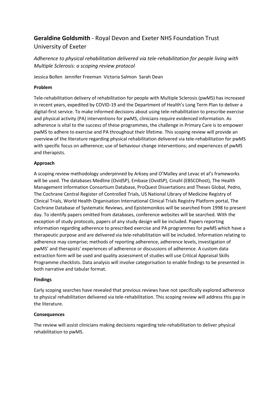# **Geraldine Goldsmith** - Royal Devon and Exeter NHS Foundation Trust University of Exeter

*Adherence to physical rehabilitation delivered via tele-rehabilitation for people living with Multiple Sclerosis: a scoping review protocol*

Jessica Bollen Jennifer Freeman Victoria Salmon Sarah Dean

### **Problem**

Tele-rehabilitation delivery of rehabilitation for people with Multiple Sclerosis (pwMS) has increased in recent years, expedited by COVID-19 and the Department of Health's Long Term Plan to deliver a digital-first service. To make informed decisions about using tele-rehabilitation to prescribe exercise and physical activity (PA) interventions for pwMS, clinicians require evidenced information. As adherence is vital to the success of these programmes, the challenge in Primary Care is to empower pwMS to adhere to exercise and PA throughout their lifetime. This scoping review will provide an overview of the literature regarding physical rehabilitation delivered via tele-rehabilitation for pwMS with specific focus on adherence; use of behaviour change interventions; and experiences of pwMS and therapists.

### **Approach**

A scoping review methodology underpinned by Arksey and O'Malley and Levac et al's frameworks will be used. The databases Medline (OvidSP), Embase (OvidSP), Cinahl (EBSCOhost), The Health Management Information Consortium Database, ProQuest Dissertations and Theses Global, Pedro, The Cochrane Central Register of Controlled Trials, US National Library of Medicine Registry of Clinical Trials, World Health Organisation International Clinical Trials Registry Platform portal, The Cochrane Database of Systematic Reviews, and Epistemonikos will be searched from 1998 to present day. To identify papers omitted from databases, conference websites will be searched. With the exception of study protocols, papers of any study design will be included. Papers reporting information regarding adherence to prescribed exercise and PA programmes for pwMS which have a therapeutic purpose and are delivered via tele-rehabilitation will be included. Information relating to adherence may comprise; methods of reporting adherence, adherence levels, investigation of pwMS' and therapists' experiences of adherence or discussions of adherence. A custom data extraction form will be used and quality assessment of studies will use Critical Appraisal Skills Programme checklists. Data analysis will involve categorisation to enable findings to be presented in both narrative and tabular format.

### **Findings**

Early scoping searches have revealed that previous reviews have not specifically explored adherence to physical rehabilitation delivered via tele-rehabilitation. This scoping review will address this gap in the literature.

### **Consequences**

The review will assist clinicians making decisions regarding tele-rehabilitation to deliver physical rehabilitation to pwMS.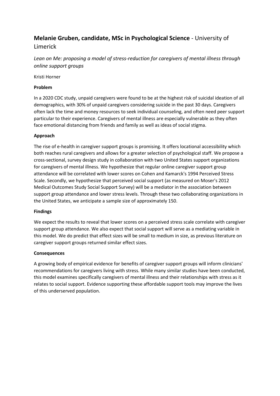## **Melanie Gruben, candidate, MSc in Psychological Science** - University of Limerick

*Lean on Me: proposing a model of stress-reduction for caregivers of mental illness through online support groups*

Kristi Horner

### **Problem**

In a 2020 CDC study, unpaid caregivers were found to be at the highest risk of suicidal ideation of all demographics, with 30% of unpaid caregivers considering suicide in the past 30 days. Caregivers often lack the time and money resources to seek individual counseling, and often need peer support particular to their experience. Caregivers of mental illness are especially vulnerable as they often face emotional distancing from friends and family as well as ideas of social stigma.

### **Approach**

The rise of e-health in caregiver support groups is promising. It offers locational accessibility which both reaches rural caregivers and allows for a greater selection of psychological staff. We propose a cross-sectional, survey design study in collaboration with two United States support organizations for caregivers of mental illness. We hypothesize that regular online caregiver support group attendance will be correlated with lower scores on Cohen and Kamarck's 1994 Perceived Stress Scale. Secondly, we hypothesize that perceived social support (as measured on Moser's 2012 Medical Outcomes Study Social Support Survey) will be a mediator in the association between support group attendance and lower stress levels. Through these two collaborating organizations in the United States, we anticipate a sample size of approximately 150.

### **Findings**

We expect the results to reveal that lower scores on a perceived stress scale correlate with caregiver support group attendance. We also expect that social support will serve as a mediating variable in this model. We do predict that effect sizes will be small to medium in size, as previous literature on caregiver support groups returned similar effect sizes.

### **Consequences**

A growing body of empirical evidence for benefits of caregiver support groups will inform clinicians' recommendations for caregivers living with stress. While many similar studies have been conducted, this model examines specifically caregivers of mental illness and their relationships with stress as it relates to social support. Evidence supporting these affordable support tools may improve the lives of this underserved population.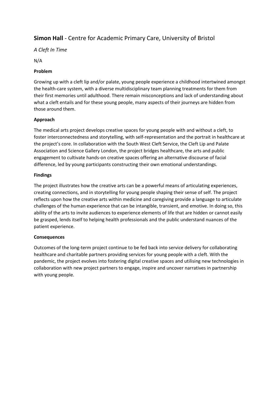# **Simon Hall** - Centre for Academic Primary Care, University of Bristol

## *A Cleft In Time*

N/A

### **Problem**

Growing up with a cleft lip and/or palate, young people experience a childhood intertwined amongst the health-care system, with a diverse multidisciplinary team planning treatments for them from their first memories until adulthood. There remain misconceptions and lack of understanding about what a cleft entails and for these young people, many aspects of their journeys are hidden from those around them.

## **Approach**

The medical arts project develops creative spaces for young people with and without a cleft, to foster interconnectedness and storytelling, with self-representation and the portrait in healthcare at the project's core. In collaboration with the South West Cleft Service, the Cleft Lip and Palate Association and Science Gallery London, the project bridges healthcare, the arts and public engagement to cultivate hands-on creative spaces offering an alternative discourse of facial difference, led by young participants constructing their own emotional understandings.

### **Findings**

The project illustrates how the creative arts can be a powerful means of articulating experiences, creating connections, and in storytelling for young people shaping their sense of self. The project reflects upon how the creative arts within medicine and caregiving provide a language to articulate challenges of the human experience that can be intangible, transient, and emotive. In doing so, this ability of the arts to invite audiences to experience elements of life that are hidden or cannot easily be grasped, lends itself to helping health professionals and the public understand nuances of the patient experience.

### **Consequences**

Outcomes of the long-term project continue to be fed back into service delivery for collaborating healthcare and charitable partners providing services for young people with a cleft. With the pandemic, the project evolves into fostering digital creative spaces and utilising new technologies in collaboration with new project partners to engage, inspire and uncover narratives in partnership with young people.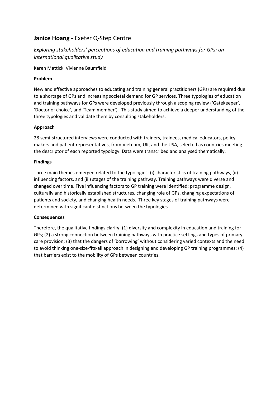# **Janice Hoang** - Exeter Q-Step Centre

## *Exploring stakeholders' perceptions of education and training pathways for GPs: an international qualitative study*

Karen Mattick Vivienne Baumfield

## **Problem**

New and effective approaches to educating and training general practitioners (GPs) are required due to a shortage of GPs and increasing societal demand for GP services. Three typologies of education and training pathways for GPs were developed previously through a scoping review ('Gatekeeper', 'Doctor of choice', and 'Team member'). This study aimed to achieve a deeper understanding of the three typologies and validate them by consulting stakeholders.

### **Approach**

28 semi-structured interviews were conducted with trainers, trainees, medical educators, policy makers and patient representatives, from Vietnam, UK, and the USA, selected as countries meeting the descriptor of each reported typology. Data were transcribed and analysed thematically.

### **Findings**

Three main themes emerged related to the typologies: (i) characteristics of training pathways, (ii) influencing factors, and (iii) stages of the training pathway. Training pathways were diverse and changed over time. Five influencing factors to GP training were identified: programme design, culturally and historically established structures, changing role of GPs, changing expectations of patients and society, and changing health needs. Three key stages of training pathways were determined with significant distinctions between the typologies.

## **Consequences**

Therefore, the qualitative findings clarify: (1) diversity and complexity in education and training for GPs; (2) a strong connection between training pathways with practice settings and types of primary care provision; (3) that the dangers of 'borrowing' without considering varied contexts and the need to avoid thinking one-size-fits-all approach in designing and developing GP training programmes; (4) that barriers exist to the mobility of GPs between countries.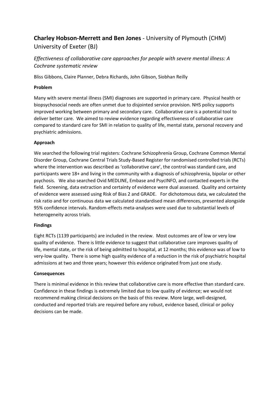# **Charley Hobson-Merrett and Ben Jones** - University of Plymouth (CHM) University of Exeter (BJ)

*Effectiveness of collaborative care approaches for people with severe mental illness: A Cochrane systematic review*

Bliss Gibbons, Claire Planner, Debra Richards, John Gibson, Siobhan Reilly

### **Problem**

Many with severe mental illness (SMI) diagnoses are supported in primary care. Physical health or biopsychosocial needs are often unmet due to disjointed service provision. NHS policy supports improved working between primary and secondary care. Collaborative care is a potential tool to deliver better care. We aimed to review evidence regarding effectiveness of collaborative care compared to standard care for SMI in relation to quality of life, mental state, personal recovery and psychiatric admissions.

### **Approach**

We searched the following trial registers: Cochrane Schizophrenia Group, Cochrane Common Mental Disorder Group, Cochrane Central Trials Study-Based Register for randomised controlled trials (RCTs) where the intervention was described as 'collaborative care', the control was standard care, and participants were 18+ and living in the community with a diagnosis of schizophrenia, bipolar or other psychosis. We also searched Ovid MEDLINE, Embase and PsycINFO, and contacted experts in the field. Screening, data extraction and certainty of evidence were dual assessed. Quality and certainty of evidence were assessed using Risk of Bias 2 and GRADE. For dichotomous data, we calculated the risk ratio and for continuous data we calculated standardised mean differences, presented alongside 95% confidence intervals. Random-effects meta-analyses were used due to substantial levels of heterogeneity across trials.

### **Findings**

Eight RCTs (1139 participants) are included in the review. Most outcomes are of low or very low quality of evidence. There is little evidence to suggest that collaborative care improves quality of life, mental state, or the risk of being admitted to hospital, at 12 months; this evidence was of low to very-low quality. There is some high quality evidence of a reduction in the risk of psychiatric hospital admissions at two and three years; however this evidence originated from just one study.

### **Consequences**

There is minimal evidence in this review that collaborative care is more effective than standard care. Confidence in these findings is extremely limited due to low quality of evidence; we would not recommend making clinical decisions on the basis of this review. More large, well-designed, conducted and reported trials are required before any robust, evidence based, clinical or policy decisions can be made.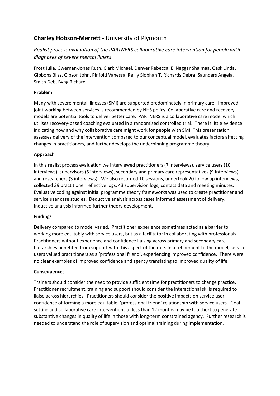# **Charley Hobson-Merrett** - University of Plymouth

## *Realist process evaluation of the PARTNERS collaborative care intervention for people with diagnoses of severe mental illness*

Frost Julia, Gwernan-Jones Ruth, Clark Michael, Denyer Rebecca, El Naggar Shaimaa, Gask Linda, Gibbons Bliss, Gibson John, Pinfold Vanessa, Reilly Siobhan T, Richards Debra, Saunders Angela, Smith Deb, Byng Richard

## **Problem**

Many with severe mental illnesses (SMI) are supported predominately in primary care. Improved joint working between services is recommended by NHS policy. Collaborative care and recovery models are potential tools to deliver better care. PARTNERS is a collaborative care model which utilises recovery-based coaching evaluated in a randomised controlled trial. There is little evidence indicating how and why collaborative care might work for people with SMI. This presentation assesses delivery of the intervention compared to our conceptual model, evaluates factors affecting changes in practitioners, and further develops the underpinning programme theory.

## **Approach**

In this realist process evaluation we interviewed practitioners (7 interviews), service users (10 interviews), supervisors (5 interviews), secondary and primary care representatives (9 interviews), and researchers (3 interviews). We also recorded 10 sessions, undertook 20 follow up interviews, collected 39 practitioner reflective logs, 43 supervision logs, contact data and meeting minutes. Evaluative coding against initial programme theory frameworks was used to create practitioner and service user case studies. Deductive analysis across cases informed assessment of delivery. Inductive analysis informed further theory development.

### **Findings**

Delivery compared to model varied. Practitioner experience sometimes acted as a barrier to working more equitably with service users, but as a facilitator in collaborating with professionals. Practitioners without experience and confidence liaising across primary and secondary care hierarchies benefited from support with this aspect of the role. In a refinement to the model, service users valued practitioners as a 'professional friend', experiencing improved confidence. There were no clear examples of improved confidence and agency translating to improved quality of life.

### **Consequences**

Trainers should consider the need to provide sufficient time for practitioners to change practice. Practitioner recruitment, training and support should consider the interactional skills required to liaise across hierarchies. Practitioners should consider the positive impacts on service user confidence of forming a more equitable, 'professional friend' relationship with service users. Goal setting and collaborative care interventions of less than 12 months may be too short to generate substantive changes in quality of life in those with long-term constrained agency. Further research is needed to understand the role of supervision and optimal training during implementation.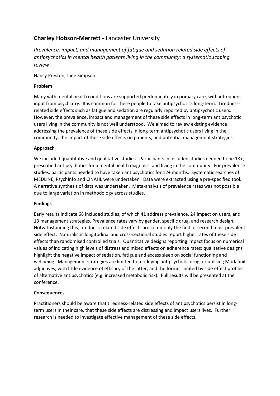## **Charley Hobson-Merrett** - Lancaster University

*Prevalence, impact, and management of fatigue and sedation related side effects of antipsychotics in mental health patients living in the community: a systematic scoping review*

Nancy Preston, Jane Simpson

### **Problem**

Many with mental health conditions are supported predominately in primary care, with infrequent input from psychiatry. It is common for these people to take antipsychotics long-term. Tirednessrelated side effects such as fatigue and sedation are regularly reported by antipsychotic users. However, the prevalence, impact and management of these side effects in long-term antipsychotic users living in the community is not well understood. We aimed to review existing evidence addressing the prevalence of these side effects in long-term antipsychotic users living in the community, the impact of these side effects on patients, and potential management strategies.

### **Approach**

We included quantitative and qualitative studies. Participants in included studies needed to be 18+, prescribed antipsychotics for a mental health diagnosis, and living in the community. For prevalence studies, participants needed to have taken antipsychotics for 12+ months. Systematic searches of MEDLINE, PsychInfo and CINAHL were undertaken. Data were extracted using a pre-specified tool. A narrative synthesis of data was undertaken. Meta-analysis of prevalence rates was not possible due to large variation in methodology across studies.

### **Findings**

Early results indicate 68 included studies, of which 41 address prevalence, 24 impact on users, and 13 management strategies. Prevalence rates vary by gender, specific drug, and research design. Notwithstanding this, tiredness-related side effects are commonly the first or second most prevalent side effect. Naturalistic longitudinal and cross-sectional studies report higher rates of these side effects than randomised controlled trials. Quantitative designs reporting impact focus on numerical values of indicating high levels of distress and mixed effects on adherence rates; qualitative designs highlight the negative impact of sedation, fatigue and excess sleep on social functioning and wellbeing. Management strategies are limited to modifying antipsychotic drug, or utilising Modafinil adjuctives; with little evidence of efficacy of the latter, and the former limited by side effect profiles of alternative antipsychotics (e.g. increased metabolic risk). Full results will be presented at the conference.

### **Consequences**

Practitioners should be aware that tiredness-related side effects of antipsychotics persist in longterm users in their care, that these side effects are distressing and impact users lives. Further research is needed to investigate effective management of these side effects.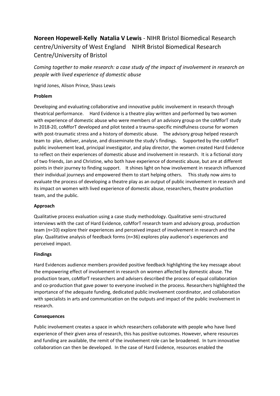# **Noreen Hopewell-Kelly Natalia V Lewis** - NIHR Bristol Biomedical Research centre/University of West England NIHR Bristol Biomedical Research Centre/University of Bristol

*Coming together to make research: a case study of the impact of involvement in research on people with lived experience of domestic abuse*

Ingrid Jones, Alison Prince, Shass Lewis

### **Problem**

Developing and evaluating collaborative and innovative public involvement in research through theatrical performance. Hard Evidence is a theatre play written and performed by two women with experience of domestic abuse who were members of an advisory group on the coMforT study In 2018-20, coMforT developed and pilot tested a trauma-specific mindfulness course for women with post-traumatic stress and a history of domestic abuse. The advisory group helped research team to plan, deliver, analyse, and disseminate the study's findings. Supported by the coMforT public involvement lead, principal investigator, and play director, the women created Hard Evidence to reflect on their experiences of domestic abuse and involvement in research. It is a fictional story of two friends, Jan and Christine, who both have experience of domestic abuse, but are at different points in their journey to finding support. It shines light on how involvement in research influenced their individual journeys and empowered them to start helping others. This study now aims to evaluate the process of developing a theatre play as an output of public involvement in research and its impact on women with lived experience of domestic abuse, researchers, theatre production team, and the public.

### **Approach**

Qualitative process evaluation using a case study methodology. Qualitative semi-structured interviews with the cast of Hard Evidence, coMforT research team and advisory group, production team (n=10) explore their experiences and perceived impact of involvement in research and the play. Qualitative analysis of feedback forms (n=36) explores play audience's experiences and perceived impact.

### **Findings**

Hard Evidences audience members provided positive feedback highlighting the key message about the empowering effect of involvement in research on women affected by domestic abuse. The production team, coMforT researchers and advisers described the process of equal collaboration and co-production that gave power to everyone involved in the process. Researchers highlighted the importance of the adequate funding, dedicated public involvement coordinator, and collaboration with specialists in arts and communication on the outputs and impact of the public involvement in research.

### **Consequences**

Public involvement creates a space in which researchers collaborate with people who have lived experience of their given area of research, this has positive outcomes. However, where resources and funding are available, the remit of the involvement role can be broadened. In turn innovative collaboration can then be developed. In the case of Hard Evidence, resources enabled the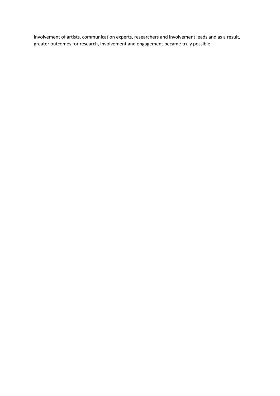involvement of artists, communication experts, researchers and involvement leads and as a result, greater outcomes for research, involvement and engagement became truly possible.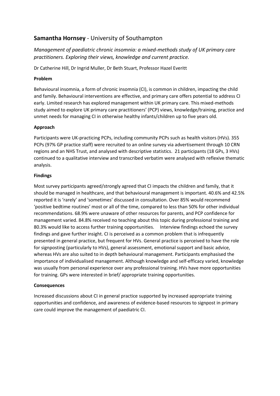## **Samantha Hornsey** - University of Southampton

*Management of paediatric chronic insomnia: a mixed-methods study of UK primary care practitioners. Exploring their views, knowledge and current practice.*

Dr Catherine Hill, Dr Ingrid Muller, Dr Beth Stuart, Professor Hazel Everitt

## **Problem**

Behavioural insomnia, a form of chronic insomnia (CI), is common in children, impacting the child and family. Behavioural interventions are effective, and primary care offers potential to address CI early. Limited research has explored management within UK primary care. This mixed-methods study aimed to explore UK primary care practitioners' (PCP) views, knowledge/training, practice and unmet needs for managing CI in otherwise healthy infants/children up to five years old.

## **Approach**

Participants were UK-practicing PCPs, including community PCPs such as health visitors (HVs). 355 PCPs (97% GP practice staff) were recruited to an online survey via advertisement through 10 CRN regions and an NHS Trust, and analysed with descriptive statistics. 21 participants (18 GPs, 3 HVs) continued to a qualitative interview and transcribed verbatim were analysed with reflexive thematic analysis.

## **Findings**

Most survey participants agreed/strongly agreed that CI impacts the children and family, that it should be managed in healthcare, and that behavioural management is important. 40.6% and 42.5% reported it is 'rarely' and 'sometimes' discussed in consultation. Over 85% would recommend 'positive bedtime routines' most or all of the time, compared to less than 50% for other individual recommendations. 68.9% were unaware of other resources for parents, and PCP confidence for management varied. 84.8% received no teaching about this topic during professional training and 80.3% would like to access further training opportunities. Interview findings echoed the survey findings and gave further insight. CI is perceived as a common problem that is infrequently presented in general practice, but frequent for HVs. General practice is perceived to have the role for signposting (particularly to HVs), general assessment, emotional support and basic advice, whereas HVs are also suited to in depth behavioural management. Participants emphasised the importance of individualised management. Although knowledge and self-efficacy varied, knowledge was usually from personal experience over any professional training. HVs have more opportunities for training. GPs were interested in brief/ appropriate training opportunities.

## **Consequences**

Increased discussions about CI in general practice supported by increased appropriate training opportunities and confidence, and awareness of evidence-based resources to signpost in primary care could improve the management of paediatric CI.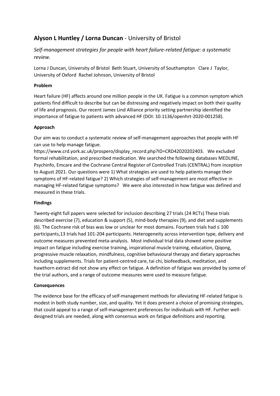# **Alyson L Huntley / Lorna Duncan** - University of Bristol

*Self-management strategies for people with heart failure-related fatigue: a systematic review.*

Lorna J Duncan, University of Bristol Beth Stuart, University of Southampton Clare J Taylor, University of Oxford Rachel Johnson, University of Bristol

## **Problem**

Heart failure (HF) affects around one million people in the UK. Fatigue is a common symptom which patients find difficult to describe but can be distressing and negatively impact on both their quality of life and prognosis. Our recent James Lind Alliance priority setting partnership identified the importance of fatigue to patients with advanced HF (DOI: 10.1136/openhrt-2020-001258).

## **Approach**

Our aim was to conduct a systematic review of self-management approaches that people with HF can use to help manage fatigue.

https://www.crd.york.ac.uk/prospero/display\_record.php?ID=CRD42020202403. We excluded formal rehabilitation, and prescribed medication. We searched the following databases MEDLINE, Psychinfo, Emcare and the Cochrane Central Register of Controlled Trials (CENTRAL) from inception to August 2021. Our questions were 1) What strategies are used to help patients manage their symptoms of HF-related fatigue? 2) Which strategies of self-management are most effective in managing HF-related fatigue symptoms? We were also interested in how fatigue was defined and measured in these trials.

## **Findings**

Twenty-eight full papers were selected for inclusion describing 27 trials (24 RCTs) These trials described exercise (7), education & support (5), mind-body therapies (9), and diet and supplements (6). The Cochrane risk of bias was low or unclear for most domains. Fourteen trials had ≤ 100 participants,13 trials had 101-204 participants. Heterogeneity across intervention type, delivery and outcome measures prevented meta-analysis. Most individual trial data showed some positive impact on fatigue including exercise training, inspirational muscle training, education, Qiqong, progressive muscle relaxation, mindfulness, cognitive behavioural therapy and dietary approaches including supplements. Trials for patient-centred care, tai chi, biofeedback, meditation, and hawthorn extract did not show any effect on fatigue. A definition of fatigue was provided by some of the trial authors, and a range of outcome measures were used to measure fatigue.

## **Consequences**

The evidence base for the efficacy of self-management methods for alleviating HF-related fatigue is modest in both study number, size, and quality. Yet it does present a choice of promising strategies, that could appeal to a range of self-management preferences for individuals with HF. Further welldesigned trials are needed, along with consensus work on fatigue definitions and reporting.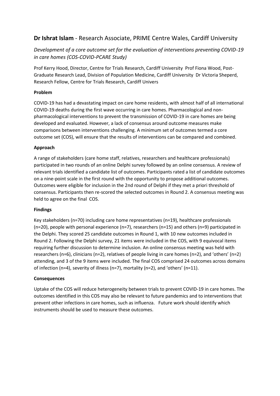## **Dr Ishrat Islam** - Research Associate, PRIME Centre Wales, Cardiff University

## *Development of a core outcome set for the evaluation of interventions preventing COVID-19 in care homes (COS-COVID-PCARE Study)*

Prof Kerry Hood, Director, Centre for Trials Research, Cardiff University Prof Fiona Wood, Post-Graduate Research Lead, Division of Population Medicine, Cardiff University Dr Victoria Sheperd, Research Fellow, Centre for Trials Research, Cardiff Univers

## **Problem**

COVID-19 has had a devastating impact on care home residents, with almost half of all international COVID-19 deaths during the first wave occurring in care homes. Pharmacological and nonpharmacological interventions to prevent the transmission of COVID-19 in care homes are being developed and evaluated. However, a lack of consensus around outcome measures make comparisons between interventions challenging. A minimum set of outcomes termed a core outcome set (COS), will ensure that the results of interventions can be compared and combined.

## **Approach**

A range of stakeholders (care home staff, relatives, researchers and healthcare professionals) participated in two rounds of an online Delphi survey followed by an online consensus. A review of relevant trials identified a candidate list of outcomes. Participants rated a list of candidate outcomes on a nine-point scale in the first round with the opportunity to propose additional outcomes. Outcomes were eligible for inclusion in the 2nd round of Delphi if they met a priori threshold of consensus. Participants then re-scored the selected outcomes in Round 2. A consensus meeting was held to agree on the final COS.

### **Findings**

Key stakeholders (n=70) including care home representatives (n=19), healthcare professionals (n=20), people with personal experience (n=7), researchers (n=15) and others (n=9) participated in the Delphi. They scored 25 candidate outcomes in Round 1, with 10 new outcomes included in Round 2. Following the Delphi survey, 21 items were included in the COS, with 9 equivocal items requiring further discussion to determine inclusion. An online consensus meeting was held with researchers (n=6), clinicians (n=2), relatives of people living in care homes (n=2), and 'others' (n=2) attending, and 3 of the 9 items were included. The final COS comprised 24 outcomes across domains of infection (n=4), severity of illness (n=7), mortality (n=2), and 'others' (n=11).

### **Consequences**

Uptake of the COS will reduce heterogeneity between trials to prevent COVID-19 in care homes. The outcomes identified in this COS may also be relevant to future pandemics and to interventions that prevent other infections in care homes, such as influenza. Future work should identify which instruments should be used to measure these outcomes.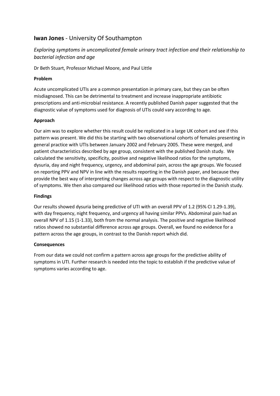## **Iwan Jones** - University Of Southampton

## *Exploring symptoms in uncomplicated female urinary tract infection and their relationship to bacterial infection and age*

Dr Beth Stuart, Professor Michael Moore, and Paul Little

### **Problem**

Acute uncomplicated UTIs are a common presentation in primary care, but they can be often misdiagnosed. This can be detrimental to treatment and increase inappropriate antibiotic prescriptions and anti-microbial resistance. A recently published Danish paper suggested that the diagnostic value of symptoms used for diagnosis of UTIs could vary according to age.

### **Approach**

Our aim was to explore whether this result could be replicated in a large UK cohort and see if this pattern was present. We did this be starting with two observational cohorts of females presenting in general practice with UTIs between January 2002 and February 2005. These were merged, and patient characteristics described by age group, consistent with the published Danish study. We calculated the sensitivity, specificity, positive and negative likelihood ratios for the symptoms, dysuria, day and night frequency, urgency, and abdominal pain, across the age groups. We focused on reporting PPV and NPV in line with the results reporting in the Danish paper, and because they provide the best way of interpreting changes across age groups with respect to the diagnostic utility of symptoms. We then also compared our likelihood ratios with those reported in the Danish study.

### **Findings**

Our results showed dysuria being predictive of UTI with an overall PPV of 1.2 (95% CI 1.29-1.39), with day frequency, night frequency, and urgency all having similar PPVs. Abdominal pain had an overall NPV of 1.15 (1-1.33), both from the normal analysis. The positive and negative likelihood ratios showed no substantial difference across age groups. Overall, we found no evidence for a pattern across the age groups, in contrast to the Danish report which did.

### **Consequences**

From our data we could not confirm a pattern across age groups for the predictive ability of symptoms in UTI. Further research is needed into the topic to establish if the predictive value of symptoms varies according to age.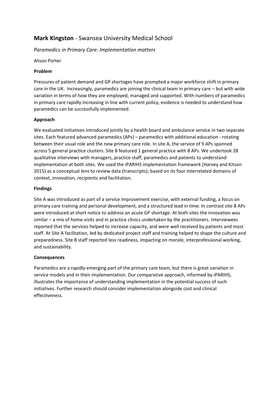## **Mark Kingston** - Swansea University Medical School

## *Paramedics in Primary Care: Implementation matters*

Alison Porter

### **Problem**

Pressures of patient demand and GP shortages have prompted a major workforce shift in primary care in the UK. Increasingly, paramedics are joining the clinical team in primary care – but with wide variation in terms of how they are employed, managed and supported. With numbers of paramedics in primary care rapidly increasing in line with current policy, evidence is needed to understand how paramedics can be successfully implemented.

### **Approach**

We evaluated initiatives introduced jointly by a health board and ambulance service in two separate sites. Each featured advanced paramedics (APs) – paramedics with additional education - rotating between their usual role and the new primary care role. In site A, the service of 9 APs spanned across 5 general practice clusters. Site B featured 1 general practice with 8 APs. We undertook 28 qualitative interviews with managers, practice staff, paramedics and patients to understand implementation at both sites. We used the iPARIHS implementation framework (Harvey and Kitson 2015) as a conceptual lens to review data (transcripts); based on its four interrelated domains of context, innovation, recipients and facilitation.

### **Findings**

Site A was introduced as part of a service improvement exercise, with external funding, a focus on primary care training and personal development, and a structured lead in time. In contrast site B APs were introduced at short notice to address an acute GP shortage. At both sites the innovation was similar – a mix of home visits and in practice clinics undertaken by the practitioners. Interviewees reported that the services helped to increase capacity, and were well received by patients and most staff. At Site A facilitation, led by dedicated project staff and training helped to shape the culture and preparedness. Site B staff reported less readiness, impacting on morale, interprofessional working, and sustainability.

### **Consequences**

Paramedics are a rapidly emerging part of the primary care team, but there is great variation in service models and in their implementation. Our comparative approach, informed by iPARIHS, illustrates the importance of understanding implementation in the potential success of such initiatives. Further research should consider implementation alongside cost and clinical effectiveness.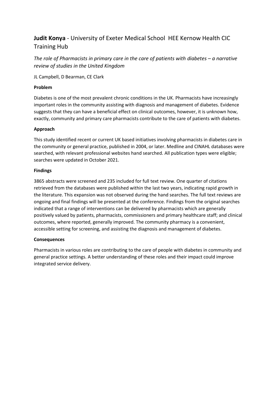# **Judit Konya** - University of Exeter Medical School HEE Kernow Health CIC Training Hub

*The role of Pharmacists in primary care in the care of patients with diabetes – a narrative review of studies in the United Kingdom*

JL Campbell, D Bearman, CE Clark

### **Problem**

Diabetes is one of the most prevalent chronic conditions in the UK. Pharmacists have increasingly important roles in the community assisting with diagnosis and management of diabetes. Evidence suggests that they can have a beneficial effect on clinical outcomes, however, it is unknown how, exactly, community and primary care pharmacists contribute to the care of patients with diabetes.

### **Approach**

This study identified recent or current UK based initiatives involving pharmacists in diabetes care in the community or general practice, published in 2004, or later. Medline and CINAHL databases were searched, with relevant professional websites hand searched. All publication types were eligible; searches were updated in October 2021.

### **Findings**

3865 abstracts were screened and 235 included for full text review. One quarter of citations retrieved from the databases were published within the last two years, indicating rapid growth in the literature. This expansion was not observed during the hand searches. The full text reviews are ongoing and final findings will be presented at the conference. Findings from the original searches indicated that a range of interventions can be delivered by pharmacists which are generally positively valued by patients, pharmacists, commissioners and primary healthcare staff; and clinical outcomes, where reported, generally improved. The community pharmacy is a convenient, accessible setting for screening, and assisting the diagnosis and management of diabetes.

### **Consequences**

Pharmacists in various roles are contributing to the care of people with diabetes in community and general practice settings. A better understanding of these roles and their impact could improve integrated service delivery.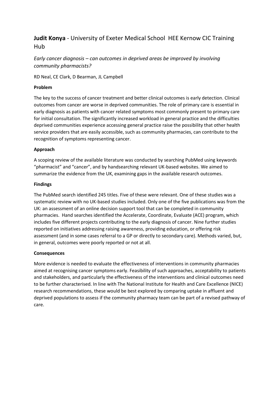# **Judit Konya** - University of Exeter Medical School HEE Kernow CIC Training Hub

## *Early cancer diagnosis – can outcomes in deprived areas be improved by involving community pharmacists?*

RD Neal, CE Clark, D Bearman, JL Campbell

### **Problem**

The key to the success of cancer treatment and better clinical outcomes is early detection. Clinical outcomes from cancer are worse in deprived communities. The role of primary care is essential in early diagnosis as patients with cancer related symptoms most commonly present to primary care for initial consultation. The significantly increased workload in general practice and the difficulties deprived communities experience accessing general practice raise the possibility that other health service providers that are easily accessible, such as community pharmacies, can contribute to the recognition of symptoms representing cancer.

### **Approach**

A scoping review of the available literature was conducted by searching PubMed using keywords "pharmacist" and "cancer", and by handsearching relevant UK-based websites. We aimed to summarize the evidence from the UK, examining gaps in the available research outcomes.

### **Findings**

The PubMed search identified 245 titles. Five of these were relevant. One of these studies was a systematic review with no UK-based studies included. Only one of the five publications was from the UK: an assessment of an online decision support tool that can be completed in community pharmacies. Hand searches identified the Accelerate, Coordinate, Evaluate (ACE) program, which includes five different projects contributing to the early diagnosis of cancer. Nine further studies reported on initiatives addressing raising awareness, providing education, or offering risk assessment (and in some cases referral to a GP or directly to secondary care). Methods varied, but, in general, outcomes were poorly reported or not at all.

### **Consequences**

More evidence is needed to evaluate the effectiveness of interventions in community pharmacies aimed at recognising cancer symptoms early. Feasibility of such approaches, acceptability to patients and stakeholders, and particularly the effectiveness of the interventions and clinical outcomes need to be further characterised. In line with The National Institute for Health and Care Excellence (NICE) research recommendations, these would be best explored by comparing uptake in affluent and deprived populations to assess if the community pharmacy team can be part of a revised pathway of care.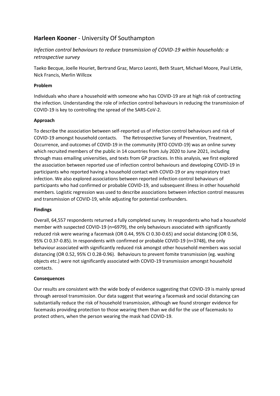## **Harleen Kooner** - University Of Southampton

## *Infection control behaviours to reduce transmission of COVID-19 within households: a retrospective survey*

Taeko Becque, Joelle Houriet, Bertrand Graz, Marco Leonti, Beth Stuart, Michael Moore, Paul Little, Nick Francis, Merlin Willcox

### **Problem**

Individuals who share a household with someone who has COVID-19 are at high risk of contracting the infection. Understanding the role of infection control behaviours in reducing the transmission of COVID-19 is key to controlling the spread of the SARS-CoV-2.

### **Approach**

To describe the association between self-reported us of infection control behaviours and risk of COVID-19 amongst household contacts. The Retrospective Survey of Prevention, Treatment, Occurrence, and outcomes of COVID-19 in the community (RTO COVID-19) was an online survey which recruited members of the public in 14 countries from July 2020 to June 2021, including through mass emailing universities, and texts from GP practices. In this analysis, we first explored the association between reported use of infection control behaviours and developing COVID-19 in participants who reported having a household contact with COVID-19 or any respiratory tract infection. We also explored associations between reported infection control behaviours of participants who had confirmed or probable COVID-19, and subsequent illness in other household members. Logistic regression was used to describe associations between infection control measures and transmission of COVID-19, while adjusting for potential confounders.

### **Findings**

Overall, 64,557 respondents returned a fully completed survey. In respondents who had a household member with suspected COVID-19 (n=6979), the only behaviours associated with significantly reduced risk were wearing a facemask (OR 0.44, 95% CI 0.30-0.65) and social distancing (OR 0.56, 95% CI 0.37-0.85). In respondents with confirmed or probable COVID-19 (n=3748), the only behaviour associated with significantly reduced risk amongst other household members was social distancing (OR 0.52, 95% CI 0.28-0.96). Behaviours to prevent fomite transmission (eg. washing objects etc.) were not significantly associated with COVID-19 transmission amongst household contacts.

### **Consequences**

Our results are consistent with the wide body of evidence suggesting that COVID-19 is mainly spread through aerosol transmission. Our data suggest that wearing a facemask and social distancing can substantially reduce the risk of household transmission, although we found stronger evidence for facemasks providing protection to those wearing them than we did for the use of facemasks to protect others, when the person wearing the mask had COVID-19.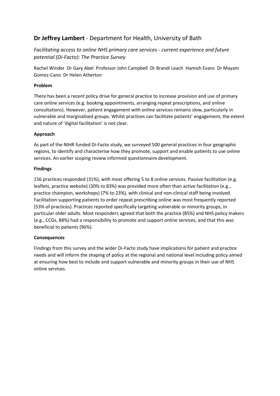# **Dr Jeffrey Lambert** - Department for Health, University of Bath

*Facilitating access to online NHS primary care services - current experience and future potential (Di-Facto): The Practice Survey*

Rachel Winder Dr Gary Abel Professor John Campbell Dr Brandi Leach Hamish Evans Dr Mayam Gomez-Cano Dr Helen Atherton

## **Problem**

There has been a recent policy drive for general practice to increase provision and use of primary care online services (e.g. booking appointments, arranging repeat prescriptions, and online consultations). However, patient engagement with online services remains slow, particularly in vulnerable and marginalised groups. Whilst practices can facilitate patients' engagement, the extent and nature of 'digital facilitation' is not clear.

## **Approach**

As part of the NIHR funded Di-Facto study, we surveyed 500 general practices in four geographic regions, to identify and characterise how they promote, support and enable patients to use online services. An earlier scoping review informed questionnaire development.

## **Findings**

156 practices responded (31%), with most offering 5 to 8 online services. Passive facilitation (e.g. leaflets, practice website) (30% to 83%) was provided more often than active facilitation (e.g., practice champion, workshops) (7% to 23%), with clinical and non-clinical staff being involved. Facilitation supporting patients to order repeat prescribing online was most frequently reported (53% of practices). Practices reported specifically targeting vulnerable or minority groups, in particular older adults. Most responders agreed that both the practice (85%) and NHS policy makers (e.g., CCGs, 88%) had a responsibility to promote and support online services, and that this was beneficial to patients (96%).

## **Consequences**

Findings from this survey and the wider Di-Facto study have implications for patient and practice needs and will inform the shaping of policy at the regional and national level including policy aimed at ensuring how best to include and support vulnerable and minority groups in their use of NHS online services.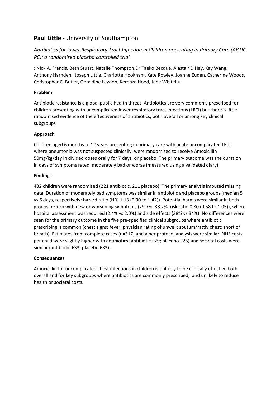# **Paul Little** - University of Southampton

## *Antibiotics for lower Respiratory Tract Infection in Children presenting in Primary Care (ARTIC PC): a randomised placebo controlled trial*

: Nick A. Francis. Beth Stuart, Natalie Thompson,Dr Taeko Becque, Alastair D Hay, Kay Wang, Anthony Harnden, Joseph Little, Charlotte Hookham, Kate Rowley, Joanne Euden, Catherine Woods, Christopher C. Butler, Geraldine Leydon, Kerenza Hood, Jane Whitehu

## **Problem**

Antibiotic resistance is a global public health threat. Antibiotics are very commonly prescribed for children presenting with uncomplicated lower respiratory tract infections (LRTI) but there is little randomised evidence of the effectiveness of antibiotics, both overall or among key clinical subgroups

## **Approach**

Children aged 6 months to 12 years presenting in primary care with acute uncomplicated LRTI, where pneumonia was not suspected clinically, were randomised to receive Amoxicillin 50mg/kg/day in divided doses orally for 7 days, or placebo. The primary outcome was the duration in days of symptoms rated moderately bad or worse (measured using a validated diary).

## **Findings**

432 children were randomised (221 antibiotic, 211 placebo). The primary analysis imputed missing data. Duration of moderately bad symptoms was similar in antibiotic and placebo groups (median 5 vs 6 days, respectively; hazard ratio (HR) 1.13 (0.90 to 1.42)). Potential harms were similar in both groups: return with new or worsening symptoms (29.7%, 38.2%, risk ratio 0.80 (0.58 to 1.05)), where hospital assessment was required (2.4% vs 2.0%) and side effects (38% vs 34%). No differences were seen for the primary outcome in the five pre-specified clinical subgroups where antibiotic prescribing is common (chest signs; fever; physician rating of unwell; sputum/rattly chest; short of breath). Estimates from complete cases (n=317) and a per protocol analysis were similar. NHS costs per child were slightly higher with antibiotics (antibiotic £29; placebo £26) and societal costs were similar (antibiotic £33, placebo £33).

## **Consequences**

Amoxicillin for uncomplicated chest infections in children is unlikely to be clinically effective both overall and for key subgroups where antibiotics are commonly prescribed, and unlikely to reduce health or societal costs.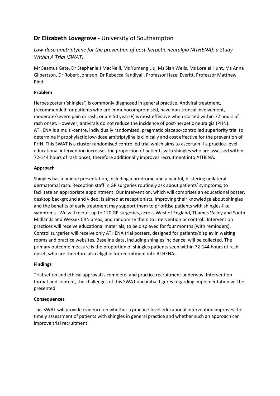# **Dr Elizabeth Lovegrove** - University of Southampton

## *Low-dose amitriptyline for the prevention of post-herpetic neuralgia (ATHENA): a Study Within A Trial (SWAT).*

Mr Seamus Gate, Dr Stephanie J MacNeill, Ms Yumeng Liu, Ms Sian Wells, Ms Lorelei Hunt, Ms Anna Gilbertson, Dr Robert Johnson, Dr Rebecca Kandiyali, Professor Hazel Everitt, Professor Matthew Ridd

## **Problem**

Herpes zoster ('shingles') is commonly diagnosed in general practice. Antiviral treatment, (recommended for patients who are immunocompromised, have non-truncal involvement, moderate/severe pain or rash, or are 50 years+) is most effective when started within 72 hours of rash onset. However, antivirals do not reduce the incidence of post-herpetic neuralgia (PHN). ATHENA is a multi-centre, individually randomised, pragmatic placebo-controlled superiority trial to determine if prophylactic low-dose amitriptyline is clinically and cost effective for the prevention of PHN. This SWAT is a cluster randomised controlled trial which aims to ascertain if a practice-level educational intervention increases the proportion of patients with shingles who are assessed within 72-144 hours of rash onset, therefore additionally improves recruitment into ATHENA.

## **Approach**

Shingles has a unique presentation, including a prodrome and a painful, blistering unilateral dermatomal rash. Reception staff in GP surgeries routinely ask about patients' symptoms, to facilitate an appropriate appointment. Our intervention, which will comprises an educational poster, desktop background and video, is aimed at receptionists. Improving their knowledge about shingles and the benefits of early treatment may support them to prioritise patients with shingles-like symptoms. We will recruit up to 120 GP surgeries, across West of England, Thames Valley and South Midlands and Wessex CRN areas, and randomise them to intervention or control. Intervention practices will receive educational materials, to be displayed for four months (with reminders). Control surgeries will receive only ATHENA trial posters, designed for patients/display in waiting rooms and practice websites. Baseline data, including shingles incidence, will be collected. The primary outcome measure is the proportion of shingles patients seen within 72-144 hours of rash onset, who are therefore also eligible for recruitment into ATHENA.

## **Findings**

Trial set up and ethical approval is complete, and practice recruitment underway. Intervention format and content, the challenges of this SWAT and initial figures regarding implementation will be presented.

## **Consequences**

This SWAT will provide evidence on whether a practice-level educational intervention improves the timely assessment of patients with shingles in general practice and whether such an approach can improve trial recruitment.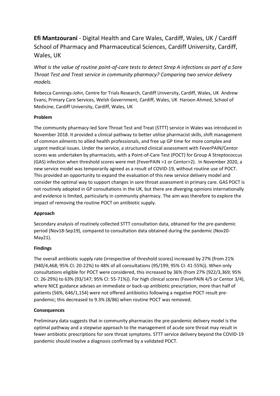# **Efi Mantzourani** - Digital Health and Care Wales, Cardiff, Wales, UK / Cardiff School of Pharmacy and Pharmaceutical Sciences, Cardiff University, Cardiff, Wales, UK

*What is the value of routine point-of-care tests to detect Strep A infections as part of a Sore Throat Test and Treat service in community pharmacy? Comparing two service delivery models.*

Rebecca Cannings-John, Centre for Trials Research, Cardiff University, Cardiff, Wales, UK Andrew Evans, Primary Care Services, Welsh Government, Cardiff, Wales, UK Haroon Ahmed, School of Medicine, Cardiff University, Cardiff, Wales, UK

## **Problem**

The community pharmacy-led Sore Throat Test and Treat (STTT) service in Wales was introduced in November 2018. It provided a clinical pathway to better utilise pharmacist skills, shift management of common ailments to allied health professionals, and free up GP time for more complex and urgent medical issues. Under the service, a structured clinical assessment with FeverPAIN/Centor scores was undertaken by pharmacists, with a Point-of-Care Test (POCT) for Group A Streptococcus (GAS) infection when threshold scores were met (FeverPAIN >1 or Centor>2). In November 2020, a new service model was temporarily agreed as a result of COVID-19, without routine use of POCT. This provided an opportunity to expand the evaluation of this new service delivery model and consider the optimal way to support changes in sore throat assessment in primary care. GAS POCT is not routinely adopted in GP consultations in the UK, but there are diverging opinions internationally and evidence is limited, particularly in community pharmacy. The aim was therefore to explore the impact of removing the routine POCT on antibiotic supply.

## **Approach**

Secondary analysis of routinely collected STTT consultation data, obtained for the pre-pandemic period (Nov18-Sep19), compared to consultation data obtained during the pandemic (Nov20- May21).

## **Findings**

The overall antibiotic supply rate (irrespective of threshold scores) increased by 27% (from 21% (940/4,468; 95% CI: 20-22%) to 48% of all consultations (95/199; 95% CI: 41-55%)). When only consultations eligible for POCT were considered, this increased by 36% (from 27% (922/3,369; 95% CI: 26-29%) to 63% (93/147; 95% CI: 55-71%)). For high clinical scores (FeverPAIN 4/5 or Centor 3/4), where NICE guidance advises an immediate or back-up antibiotic prescription, more than half of patients (56%, 646/1,154) were not offered antibiotics following a negative POCT result prepandemic; this decreased to 9.3% (8/86) when routine POCT was removed.

## **Consequences**

Preliminary data suggests that in community pharmacies the pre-pandemic delivery model is the optimal pathway and a stepwise approach to the management of acute sore throat may result in fewer antibiotic prescriptions for sore throat symptoms. STTT service delivery beyond the COVID-19 pandemic should involve a diagnosis confirmed by a validated POCT.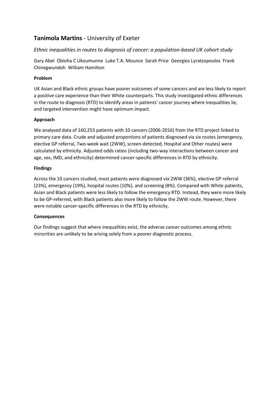# **Tanimola Martins** - University of Exeter

### *Ethnic inequalities in routes to diagnosis of cancer: a population-based UK cohort study*

Gary Abel Obioha C Ukoumunne Luke T.A. Mounce Sarah Price Georgios Lyratzopoulos Frank Chinegwundoh William Hamilton

### **Problem**

UK Asian and Black ethnic groups have poorer outcomes of some cancers and are less likely to report a positive care experience than their White counterparts. This study investigated ethnic differences in the route to diagnosis (RTD) to identify areas in patients' cancer journey where inequalities lie, and targeted intervention might have optimum impact.

### **Approach**

We analysed data of 160,253 patients with 10 cancers (2006-2016) from the RTD project linked to primary care data. Crude and adjusted proportions of patients diagnosed via six routes (emergency, elective GP referral, Two-week wait (2WW), screen-detected, Hospital and Other routes) were calculated by ethnicity. Adjusted odds ratios (including two-way interactions between cancer and age, sex, IMD, and ethnicity) determined cancer-specific differences in RTD by ethnicity.

### **Findings**

Across the 10 cancers studied, most patients were diagnosed via 2WW (36%), elective GP referral (23%), emergency (19%), hospital routes (10%), and screening (8%). Compared with White patients, Asian and Black patients were less likely to follow the emergency RTD. Instead, they were more likely to be GP-referred, with Black patients also more likely to follow the 2WW route. However, there were notable cancer-specific differences in the RTD by ethnicity.

### **Consequences**

Our findings suggest that where inequalities exist, the adverse cancer outcomes among ethnic minorities are unlikely to be arising solely from a poorer diagnostic process.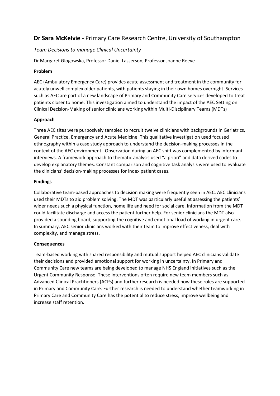# **Dr Sara McKelvie** - Primary Care Research Centre, University of Southampton

### *Team Decisions to manage Clinical Uncertainty*

Dr Margaret Glogowska, Professor Daniel Lasserson, Professor Joanne Reeve

### **Problem**

AEC (Ambulatory Emergency Care) provides acute assessment and treatment in the community for acutely unwell complex older patients, with patients staying in their own homes overnight. Services such as AEC are part of a new landscape of Primary and Community Care services developed to treat patients closer to home. This investigation aimed to understand the impact of the AEC Setting on Clinical Decision-Making of senior clinicians working within Multi-Disciplinary Teams (MDTs)

### **Approach**

Three AEC sites were purposively sampled to recruit twelve clinicians with backgrounds in Geriatrics, General Practice, Emergency and Acute Medicine. This qualitative investigation used focused ethnography within a case study approach to understand the decision-making processes in the context of the AEC environment. Observation during an AEC shift was complemented by informant interviews. A framework approach to thematic analysis used "a priori" and data derived codes to develop explanatory themes. Constant comparison and cognitive task analysis were used to evaluate the clinicians' decision-making processes for index patient cases.

### **Findings**

Collaborative team-based approaches to decision making were frequently seen in AEC. AEC clinicians used their MDTs to aid problem solving. The MDT was particularly useful at assessing the patients' wider needs such a physical function, home life and need for social care. Information from the MDT could facilitate discharge and access the patient further help. For senior clinicians the MDT also provided a sounding board, supporting the cognitive and emotional load of working in urgent care. In summary, AEC senior clinicians worked with their team to improve effectiveness, deal with complexity, and manage stress.

### **Consequences**

Team-based working with shared responsibility and mutual support helped AEC clinicians validate their decisions and provided emotional support for working in uncertainty. In Primary and Community Care new teams are being developed to manage NHS England initiatives such as the Urgent Community Response. These interventions often require new team members such as Advanced Clinical Practitioners (ACPs) and further research is needed how these roles are supported in Primary and Community Care. Further research is needed to understand whether teamworking in Primary Care and Community Care has the potential to reduce stress, improve wellbeing and increase staff retention.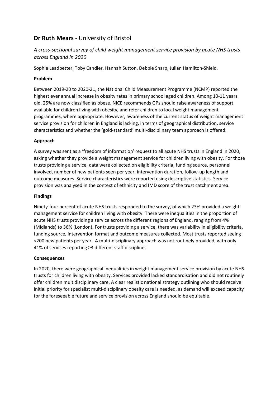# **Dr Ruth Mears** - University of Bristol

# *A cross-sectional survey of child weight management service provision by acute NHS trusts across England in 2020*

Sophie Leadbetter, Toby Candler, Hannah Sutton, Debbie Sharp, Julian Hamilton-Shield.

## **Problem**

Between 2019-20 to 2020-21, the National Child Measurement Programme (NCMP) reported the highest ever annual increase in obesity rates in primary school aged children. Among 10-11 years old, 25% are now classified as obese. NICE recommends GPs should raise awareness of support available for children living with obesity, and refer children to local weight management programmes, where appropriate. However, awareness of the current status of weight management service provision for children in England is lacking, in terms of geographical distribution, service characteristics and whether the 'gold-standard' multi-disciplinary team approach is offered.

### **Approach**

A survey was sent as a 'freedom of information' request to all acute NHS trusts in England in 2020, asking whether they provide a weight management service for children living with obesity. For those trusts providing a service, data were collected on eligibility criteria, funding source, personnel involved, number of new patients seen per year, intervention duration, follow-up length and outcome measures. Service characteristics were reported using descriptive statistics. Service provision was analysed in the context of ethnicity and IMD score of the trust catchment area.

### **Findings**

Ninety-four percent of acute NHS trusts responded to the survey, of which 23% provided a weight management service for children living with obesity. There were inequalities in the proportion of acute NHS trusts providing a service across the different regions of England, ranging from 4% (Midlands) to 36% (London). For trusts providing a service, there was variability in eligibility criteria, funding source, intervention format and outcome measures collected. Most trusts reported seeing <200 new patients per year. A multi-disciplinary approach was not routinely provided, with only 41% of services reporting ≥3 different staff disciplines.

### **Consequences**

In 2020, there were geographical inequalities in weight management service provision by acute NHS trusts for children living with obesity. Services provided lacked standardisation and did not routinely offer children multidisciplinary care. A clear realistic national strategy outlining who should receive initial priority for specialist multi-disciplinary obesity care is needed, as demand will exceed capacity for the foreseeable future and service provision across England should be equitable.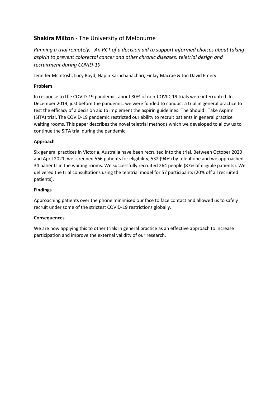# **Shakira Milton** - The University of Melbourne

*Running a trial remotely. An RCT of a decision aid to support informed choices about taking aspirin to prevent colorectal cancer and other chronic diseases: teletrial design and recruitment during COVID-19*

Jennifer McIntosh, Lucy Boyd, Napin Karnchanachari, Finlay Macrae & Jon David Emery

### **Problem**

In response to the COVID-19 pandemic, about 80% of non-COVID-19 trials were interrupted. In December 2019, just before the pandemic, we were funded to conduct a trial in general practice to test the efficacy of a decision aid to implement the aspirin guidelines: The Should I Take Aspirin (SITA) trial. The COVID-19 pandemic restricted our ability to recruit patients in general practice waiting rooms. This paper describes the novel teletrial methods which we developed to allow us to continue the SITA trial during the pandemic.

## **Approach**

Six general practices in Victoria, Australia have been recruited into the trial. Between October 2020 and April 2021, we screened 566 patients for eligibility, 532 (94%) by telephone and we approached 34 patients in the waiting rooms. We successfully recruited 264 people (87% of eligible patients). We delivered the trial consultations using the teletrial model for 57 participants (20% off all recruited patients).

### **Findings**

Approaching patients over the phone minimised our face to face contact and allowed us to safely recruit under some of the strictest COVID-19 restrictions globally.

### **Consequences**

We are now applying this to other trials in general practice as an effective approach to increase participation and improve the external validity of our research.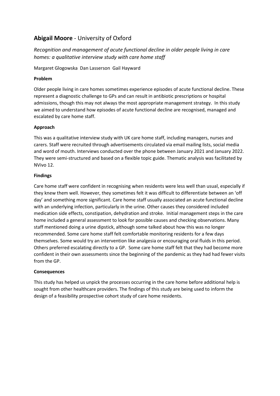# **Abigail Moore** - University of Oxford

*Recognition and management of acute functional decline in older people living in care homes: a qualitative interview study with care home staff*

Margaret Glogowska Dan Lasserson Gail Hayward

### **Problem**

Older people living in care homes sometimes experience episodes of acute functional decline. These represent a diagnostic challenge to GPs and can result in antibiotic prescriptions or hospital admissions, though this may not always the most appropriate management strategy. In this study we aimed to understand how episodes of acute functional decline are recognised, managed and escalated by care home staff.

## **Approach**

This was a qualitative interview study with UK care home staff, including managers, nurses and carers. Staff were recruited through advertisements circulated via email mailing lists, social media and word of mouth. Interviews conducted over the phone between January 2021 and January 2022. They were semi-structured and based on a flexible topic guide. Thematic analysis was facilitated by NVivo 12.

## **Findings**

Care home staff were confident in recognising when residents were less well than usual, especially if they knew them well. However, they sometimes felt it was difficult to differentiate between an 'off day' and something more significant. Care home staff usually associated an acute functional decline with an underlying infection, particularly in the urine. Other causes they considered included medication side effects, constipation, dehydration and stroke. Initial management steps in the care home included a general assessment to look for possible causes and checking observations. Many staff mentioned doing a urine dipstick, although some talked about how this was no longer recommended. Some care home staff felt comfortable monitoring residents for a few days themselves. Some would try an intervention like analgesia or encouraging oral fluids in this period. Others preferred escalating directly to a GP. Some care home staff felt that they had become more confident in their own assessments since the beginning of the pandemic as they had had fewer visits from the GP.

### **Consequences**

This study has helped us unpick the processes occurring in the care home before additional help is sought from other healthcare providers. The findings of this study are being used to inform the design of a feasibility prospective cohort study of care home residents.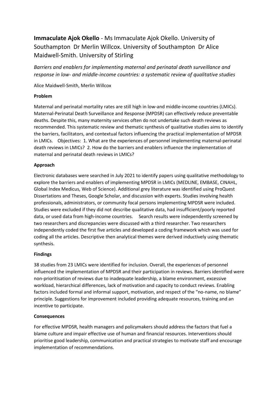# **Immaculate Ajok Okello** - Ms Immaculate Ajok Okello. University of Southampton Dr Merlin Willcox. University of Southampton Dr Alice Maidwell-Smith. University of Stirling

*Barriers and enablers for implementing maternal and perinatal death surveillance and response in low- and middle-income countries: a systematic review of qualitative studies*

Alice Maidwell-Smith, Merlin Willcox

### **Problem**

Maternal and perinatal mortality rates are still high in low-and middle-income countries (LMICs). Maternal-Perinatal Death Surveillance and Response (MPDSR) can effectively reduce preventable deaths. Despite this, many maternity services often do not undertake such death reviews as recommended. This systematic review and thematic synthesis of qualitative studies aims to identify the barriers, facilitators, and contextual factors influencing the practical implementation of MPDSR in LMICs. Objectives: 1. What are the experiences of personnel implementing maternal-perinatal death reviews in LMICs? 2. How do the barriers and enablers influence the implementation of maternal and perinatal death reviews in LMICs?

### **Approach**

Electronic databases were searched in July 2021 to identify papers using qualitative methodology to explore the barriers and enablers of implementing MPDSR in LMICs (MEDLINE, EMBASE, CINAHL, Global Index Medicus, Web of Science). Additional grey literature was identified using ProQuest Dissertations and Theses, Google Scholar, and discussion with experts. Studies involving health professionals, administrators, or community focal persons implementing MPDSR were included. Studies were excluded if they did not describe qualitative data, had insufficient/poorly reported data, or used data from high-income countries. Search results were independently screened by two researchers and discrepancies were discussed with a third researcher. Two researchers independently coded the first five articles and developed a coding framework which was used for coding all the articles. Descriptive then analytical themes were derived inductively using thematic synthesis.

### **Findings**

38 studies from 23 LMICs were identified for inclusion. Overall, the experiences of personnel influenced the implementation of MPDSR and their participation in reviews. Barriers identified were non-prioritisation of reviews due to inadequate leadership, a blame environment, excessive workload, hierarchical differences, lack of motivation and capacity to conduct reviews. Enabling factors included formal and informal support, motivation, and respect of the "no-name, no blame" principle. Suggestions for improvement included providing adequate resources, training and an incentive to participate.

### **Consequences**

For effective MPDSR, health managers and policymakers should address the factors that fuel a blame culture and impair effective use of human and financial resources. Interventions should prioritise good leadership, communication and practical strategies to motivate staff and encourage implementation of recommendations.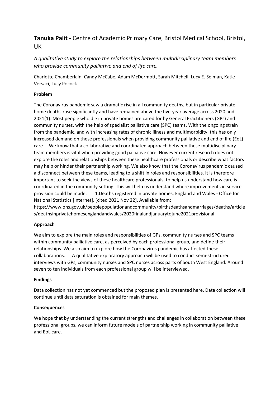# **Tanuka Palit** - Centre of Academic Primary Care, Bristol Medical School, Bristol, UK

*A qualitative study to explore the relationships between multidisciplinary team members who provide community palliative and end of life care.*

Charlotte Chamberlain, Candy McCabe, Adam McDermott, Sarah Mitchell, Lucy E. Selman, Katie Versaci, Lucy Pocock

### **Problem**

The Coronavirus pandemic saw a dramatic rise in all community deaths, but in particular private home deaths rose significantly and have remained above the five-year average across 2020 and 2021(1). Most people who die in private homes are cared for by General Practitioners (GPs) and community nurses, with the help of specialist palliative care (SPC) teams. With the ongoing strain from the pandemic, and with increasing rates of chronic illness and multimorbidity, this has only increased demand on these professionals when providing community palliative and end of life (EoL) care. We know that a collaborative and coordinated approach between these multidisciplinary team members is vital when providing good palliative care. However current research does not explore the roles and relationships between these healthcare professionals or describe what factors may help or hinder their partnership working. We also know that the Coronavirus pandemic caused a disconnect between these teams, leading to a shift in roles and responsibilities. It is therefore important to seek the views of these healthcare professionals, to help us understand how care is coordinated in the community setting. This will help us understand where improvements in service provision could be made. 1.Deaths registered in private homes, England and Wales - Office for National Statistics [Internet]. [cited 2021 Nov 22]. Available from:

https://www.ons.gov.uk/peoplepopulationandcommunity/birthsdeathsandmarriages/deaths/article s/deathsinprivatehomesenglandandwales/2020finalandjanuarytojune2021provisional

### **Approach**

We aim to explore the main roles and responsibilities of GPs, community nurses and SPC teams within community palliative care, as perceived by each professional group, and define their relationships. We also aim to explore how the Coronavirus pandemic has affected these collaborations. A qualitative exploratory approach will be used to conduct semi-structured interviews with GPs, community nurses and SPC nurses across parts of South West England. Around seven to ten individuals from each professional group will be interviewed.

### **Findings**

Data collection has not yet commenced but the proposed plan is presented here. Data collection will continue until data saturation is obtained for main themes.

### **Consequences**

We hope that by understanding the current strengths and challenges in collaboration between these professional groups, we can inform future models of partnership working in community palliative and EoL care.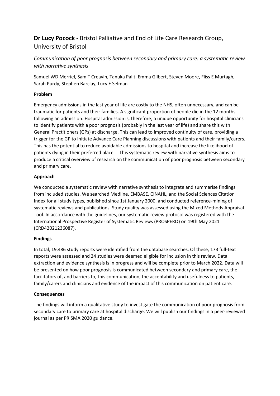# **Dr Lucy Pocock** - Bristol Palliative and End of Life Care Research Group, University of Bristol

*Communication of poor prognosis between secondary and primary care: a systematic review with narrative synthesis*

Samuel WD Merriel, Sam T Creavin, Tanuka Palit, Emma Gilbert, Steven Moore, Fliss E Murtagh, Sarah Purdy, Stephen Barclay, Lucy E Selman

### **Problem**

Emergency admissions in the last year of life are costly to the NHS, often unnecessary, and can be traumatic for patients and their families. A significant proportion of people die in the 12 months following an admission. Hospital admission is, therefore, a unique opportunity for hospital clinicians to identify patients with a poor prognosis (probably in the last year of life) and share this with General Practitioners (GPs) at discharge. This can lead to improved continuity of care, providing a trigger for the GP to initiate Advance Care Planning discussions with patients and their family/carers. This has the potential to reduce avoidable admissions to hospital and increase the likelihood of patients dying in their preferred place. This systematic review with narrative synthesis aims to produce a critical overview of research on the communication of poor prognosis between secondary and primary care.

### **Approach**

We conducted a systematic review with narrative synthesis to integrate and summarise findings from included studies. We searched Medline, EMBASE, CINAHL, and the Social Sciences Citation Index for all study types, published since 1st January 2000, and conducted reference-mining of systematic reviews and publications. Study quality was assessed using the Mixed Methods Appraisal Tool. In accordance with the guidelines, our systematic review protocol was registered with the International Prospective Register of Systematic Reviews (PROSPERO) on 19th May 2021 (CRD42021236087).

### **Findings**

In total, 19,486 study reports were identified from the database searches. Of these, 173 full-text reports were assessed and 24 studies were deemed eligible for inclusion in this review. Data extraction and evidence synthesis is in progress and will be complete prior to March 2022. Data will be presented on how poor prognosis is communicated between secondary and primary care, the facilitators of, and barriers to, this communication, the acceptability and usefulness to patients, family/carers and clinicians and evidence of the impact of this communication on patient care.

### **Consequences**

The findings will inform a qualitative study to investigate the communication of poor prognosis from secondary care to primary care at hospital discharge. We will publish our findings in a peer-reviewed journal as per PRISMA 2020 guidance.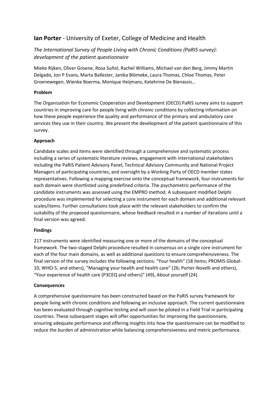# **Ian Porter** - University of Exeter, College of Medicine and Health

# *The International Survey of People Living with Chronic Conditions (PaRIS survey): development of the patient questionnaire*

Mieke Rijken, Oliver Groene, Rosa Suñol, Rachel Williams, Michael van den Berg, Jimmy Martin Delgado, Jon P Evans, Marta Ballester, Janika Blömeke, Laura Thomas, Chloe Thomas, Peter Groenewegen, Wienke Boerma, Monique Heijmans, Katehrine De Bienassis…

### **Problem**

The Organization for Economic Cooperation and Development (OECD) PaRIS survey aims to support countries in improving care for people living with chronic conditions by collecting information on how these people experience the quality and performance of the primary and ambulatory care services they use in their country. We present the development of the patient questionnaire of this survey.

### **Approach**

Candidate scales and items were identified through a comprehensive and systematic process including a series of systematic literature reviews, engagement with international stakeholders including the PaRIS Patient Advisory Panel, Technical Advisory Community and National Project Managers of participating countries, and oversight by a Working Party of OECD member states representatives. Following a mapping exercise onto the conceptual framework, four instruments for each domain were shortlisted using predefined criteria. The psychometric performance of the candidate instruments was assessed using the EMPRO method. A subsequent modified Delphi procedure was implemented for selecting a core instrument for each domain and additional relevant scales/items. Further consultations took place with the relevant stakeholders to confirm the suitability of the proposed questionnaire, whose feedback resulted in a number of iterations until a final version was agreed.

### **Findings**

217 instruments were identified measuring one or more of the domains of the conceptual framework. The two-staged Delphi procedure resulted in consensus on a single core instrument for each of the four main domains, as well as additional questions to ensure comprehensiveness. The final version of the survey includes the following sections: "Your health" (18 items; PROMIS Global-10, WHO-5, and others), "Managing your health and health care" (26; Porter-Novelli and others), "Your experience of health care (P3CEQ and others)" (49), About yourself (24).

### **Consequences**

A comprehensive questionnaire has been constructed based on the PaRIS survey framework for people living with chronic conditions and following an inclusive approach. The current questionnaire has been evaluated through cognitive testing and will soon be piloted in a Field Trial in participating countries. These subsequent stages will offer opportunities for improving the questionnaire, ensuring adequate performance and offering insights into how the questionnaire can be modified to reduce the burden of administration while balancing comprehensiveness and metric performance.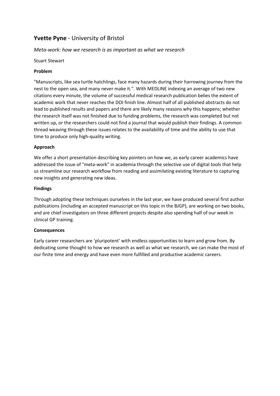# **Yvette Pyne** - University of Bristol

## *Meta-work: how we research is as important as what we research*

Stuart Stewart

### **Problem**

"Manuscripts, like sea turtle hatchlings, face many hazards during their harrowing journey from the nest to the open sea, and many never make it.". With MEDLINE indexing an average of two new citations every minute, the volume of successful medical research publication belies the extent of academic work that never reaches the DOI finish line. Almost half of all published abstracts do not lead to published results and papers and there are likely many reasons why this happens; whether the research itself was not finished due to funding problems, the research was completed but not written up, or the researchers could not find a journal that would publish their findings. A common thread weaving through these issues relates to the availability of time and the ability to use that time to produce only high-quality writing.

### **Approach**

We offer a short presentation describing key pointers on how we, as early career academics have addressed the issue of "meta-work" in academia through the selective use of digital tools that help us streamline our research workflow from reading and assimilating existing literature to capturing new insights and generating new ideas.

### **Findings**

Through adopting these techniques ourselves in the last year, we have produced several first author publications (including an accepted manuscript on this topic in the BJGP), are working on two books, and are chief investigators on three different projects despite also spending half of our week in clinical GP training.

### **Consequences**

Early career researchers are 'pluripotent' with endless opportunities to learn and grow from. By dedicating some thought to how we research as well as what we research, we can make the most of our finite time and energy and have even more fulfilled and productive academic careers.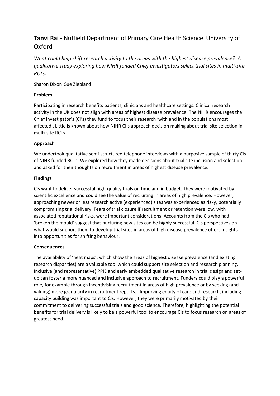# **Tanvi Rai** - Nuffield Department of Primary Care Health Science University of Oxford

*What could help shift research activity to the areas with the highest disease prevalence? A qualitative study exploring how NIHR funded Chief Investigators select trial sites in multi-site RCTs.*

### Sharon Dixon Sue Ziebland

## **Problem**

Participating in research benefits patients, clinicians and healthcare settings. Clinical research activity in the UK does not align with areas of highest disease prevalence. The NIHR encourages the Chief Investigator's (CI's) they fund to focus their research 'with and in the populations most affected'. Little is known about how NIHR CI's approach decision making about trial site selection in multi-site RCTs.

### **Approach**

We undertook qualitative semi-structured telephone interviews with a purposive sample of thirty CIs of NIHR funded RCTs. We explored how they made decisions about trial site inclusion and selection and asked for their thoughts on recruitment in areas of highest disease prevalence.

### **Findings**

CIs want to deliver successful high-quality trials on time and in budget. They were motivated by scientific excellence and could see the value of recruiting in areas of high prevalence. However, approaching newer or less research active (experienced) sites was experienced as risky, potentially compromising trial delivery. Fears of trial closure if recruitment or retention were low, with associated reputational risks, were important considerations. Accounts from the CIs who had 'broken the mould' suggest that nurturing new sites can be highly successful. CIs perspectives on what would support them to develop trial sites in areas of high disease prevalence offers insights into opportunities for shifting behaviour.

### **Consequences**

The availability of 'heat maps', which show the areas of highest disease prevalence (and existing research disparities) are a valuable tool which could support site selection and research planning. Inclusive (and representative) PPIE and early embedded qualitative research in trial design and setup can foster a more nuanced and inclusive approach to recruitment. Funders could play a powerful role, for example through incentivising recruitment in areas of high prevalence or by seeking (and valuing) more granularity in recruitment reports. Improving equity of care and research, including capacity building was important to CIs. However, they were primarily motivated by their commitment to delivering successful trials and good science. Therefore, highlighting the potential benefits for trial delivery is likely to be a powerful tool to encourage CIs to focus research on areas of greatest need.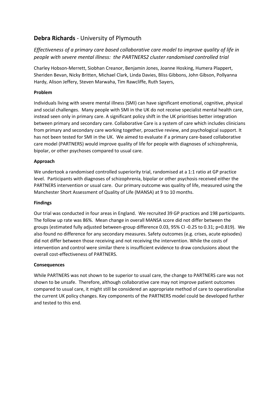# **Debra Richards** - University of Plymouth

# *Effectiveness of a primary care based collaborative care model to improve quality of life in people with severe mental illness: the PARTNERS2 cluster randomised controlled trial*

Charley Hobson-Merrett, Siobhan Creanor, Benjamin Jones, Joanne Hosking, Humera Plappert, Sheriden Bevan, Nicky Britten, Michael Clark, Linda Davies, Bliss Gibbons, John Gibson, Pollyanna Hardy, Alison Jeffery, Steven Marwaha, Tim Rawcliffe, Ruth Sayers,

## **Problem**

Individuals living with severe mental illness (SMI) can have significant emotional, cognitive, physical and social challenges. Many people with SMI in the UK do not receive specialist mental health care, instead seen only in primary care. A significant policy shift in the UK prioritises better integration between primary and secondary care. Collaborative Care is a system of care which includes clinicians from primary and secondary care working together, proactive review, and psychological support. It has not been tested for SMI in the UK. We aimed to evaluate if a primary care-based collaborative care model (PARTNERS) would improve quality of life for people with diagnoses of schizophrenia, bipolar, or other psychoses compared to usual care.

### **Approach**

We undertook a randomised controlled superiority trial, randomised at a 1:1 ratio at GP practice level. Participants with diagnoses of schizophrenia, bipolar or other psychosis received either the PARTNERS intervention or usual care. Our primary outcome was quality of life, measured using the Manchester Short Assessment of Quality of Life (MANSA) at 9 to 10 months.

### **Findings**

Our trial was conducted in four areas in England. We recruited 39 GP practices and 198 participants. The follow up rate was 86%. Mean change in overall MANSA score did not differ between the groups (estimated fully adjusted between-group difference 0.03, 95% CI -0.25 to 0.31; p=0.819). We also found no difference for any secondary measures. Safety outcomes (e.g. crises, acute episodes) did not differ between those receiving and not receiving the intervention. While the costs of intervention and control were similar there is insufficient evidence to draw conclusions about the overall cost-effectiveness of PARTNERS.

### **Consequences**

While PARTNERS was not shown to be superior to usual care, the change to PARTNERS care was not shown to be unsafe. Therefore, although collaborative care may not improve patient outcomes compared to usual care, it might still be considered an appropriate method of care to operationalise the current UK policy changes. Key components of the PARTNERS model could be developed further and tested to this end.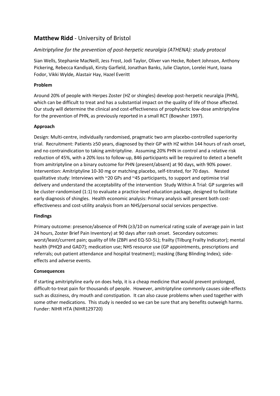# **Matthew Ridd** - University of Bristol

## *Amitriptyline for the prevention of post-herpetic neuralgia (ATHENA): study protocol*

Sian Wells, Stephanie MacNeill, Jess Frost, Jodi Taylor, Oliver van Hecke, Robert Johnson, Anthony Pickering, Rebecca Kandiyali, Kirsty Garfield, Jonathan Banks, Julie Clayton, Lorelei Hunt, Ioana Fodor, Vikki Wylde, Alastair Hay, Hazel Everitt

### **Problem**

Around 20% of people with Herpes Zoster (HZ or shingles) develop post-herpetic neuralgia (PHN), which can be difficult to treat and has a substantial impact on the quality of life of those affected. Our study will determine the clinical and cost-effectiveness of prophylactic low-dose amitriptyline for the prevention of PHN, as previously reported in a small RCT (Bowsher 1997).

### **Approach**

Design: Multi-centre, individually randomised, pragmatic two arm placebo-controlled superiority trial. Recruitment: Patients ≥50 years, diagnosed by their GP with HZ within 144 hours of rash onset, and no contraindication to taking amitriptyline. Assuming 20% PHN in control and a relative risk reduction of 45%, with a 20% loss to follow-up, 846 participants will be required to detect a benefit from amitriptyline on a binary outcome for PHN (present/absent) at 90 days, with 90% power. Intervention: Amitriptyline 10-30 mg or matching placebo, self-titrated, for 70 days. Nested qualitative study: Interviews with ~20 GPs and ~45 participants, to support and optimise trial delivery and understand the acceptability of the intervention Study Within A Trial: GP surgeries will be cluster-randomised (1:1) to evaluate a practice-level education package, designed to facilitate early diagnosis of shingles. Health economic analysis: Primary analysis will present both costeffectiveness and cost-utility analysis from an NHS/personal social services perspective.

### **Findings**

Primary outcome: presence/absence of PHN (≥3/10 on numerical rating scale of average pain in last 24 hours, Zoster Brief Pain Inventory) at 90 days after rash onset. Secondary outcomes: worst/least/current pain; quality of life (ZBPI and EQ-5D-5L); frailty (Tilburg Frailty Indicator); mental health (PHQ9 and GAD7); medication use; NHS resource use (GP appointments, prescriptions and referrals; out-patient attendance and hospital treatment); masking (Bang Blinding Index); sideeffects and adverse events.

### **Consequences**

If starting amitriptyline early on does help, it is a cheap medicine that would prevent prolonged, difficult-to-treat pain for thousands of people. However, amitriptyline commonly causes side-effects such as dizziness, dry mouth and constipation. It can also cause problems when used together with some other medications. This study is needed so we can be sure that any benefits outweigh harms. Funder: NIHR HTA (NIHR129720)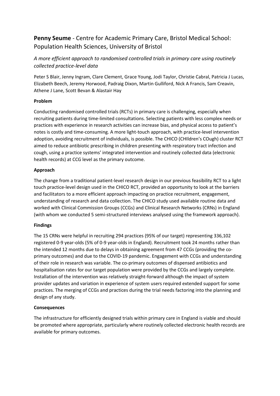# **Penny Seume** - Centre for Academic Primary Care, Bristol Medical School: Population Health Sciences, University of Bristol

# *A more efficient approach to randomised controlled trials in primary care using routinely collected practice-level data*

Peter S Blair, Jenny Ingram, Clare Clement, Grace Young, Jodi Taylor, Christie Cabral, Patricia J Lucas, Elizabeth Beech, Jeremy Horwood, Padraig Dixon, Martin Gulliford, Nick A Francis, Sam Creavin, Athene J Lane, Scott Bevan & Alastair Hay

### **Problem**

Conducting randomised controlled trials (RCTs) in primary care is challenging, especially when recruiting patients during time-limited consultations. Selecting patients with less complex needs or practices with experience in research activities can increase bias, and physical access to patient's notes is costly and time-consuming. A more light-touch approach, with practice-level intervention adoption, avoiding recruitment of individuals, is possible. The CHICO (CHIldren's COugh) cluster RCT aimed to reduce antibiotic prescribing in children presenting with respiratory tract infection and cough, using a practice systems' integrated intervention and routinely collected data (electronic health records) at CCG level as the primary outcome.

## **Approach**

The change from a traditional patient-level research design in our previous feasibility RCT to a light touch practice-level design used in the CHICO RCT, provided an opportunity to look at the barriers and facilitators to a more efficient approach impacting on practice recruitment, engagement, understanding of research and data collection. The CHICO study used available routine data and worked with Clinical Commission Groups (CCGs) and Clinical Research Networks (CRNs) in England (with whom we conducted 5 semi-structured interviews analysed using the framework approach).

### **Findings**

The 15 CRNs were helpful in recruiting 294 practices (95% of our target) representing 336,102 registered 0-9 year-olds (5% of 0-9 year-olds in England). Recruitment took 24 months rather than the intended 12 months due to delays in obtaining agreement from 47 CCGs (providing the coprimary outcomes) and due to the COVID-19 pandemic. Engagement with CCGs and understanding of their role in research was variable. The co-primary outcomes of dispensed antibiotics and hospitalisation rates for our target population were provided by the CCGs and largely complete. Installation of the intervention was relatively straight-forward although the impact of system provider updates and variation in experience of system users required extended support for some practices. The merging of CCGs and practices during the trial needs factoring into the planning and design of any study.

### **Consequences**

The infrastructure for efficiently designed trials within primary care in England is viable and should be promoted where appropriate, particularly where routinely collected electronic health records are available for primary outcomes.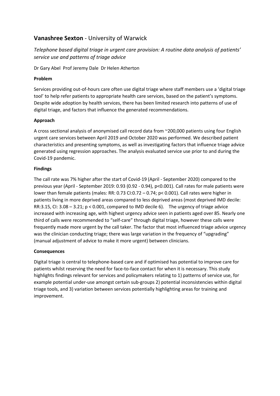# **Vanashree Sexton** - University of Warwick

*Telephone based digital triage in urgent care provision: A routine data analysis of patients' service use and patterns of triage advice*

Dr Gary Abel Prof Jeremy Dale Dr Helen Atherton

### **Problem**

Services providing out-of-hours care often use digital triage where staff members use a 'digital triage tool' to help refer patients to appropriate health care services, based on the patient's symptoms. Despite wide adoption by health services, there has been limited research into patterns of use of digital triage, and factors that influence the generated recommendations.

## **Approach**

A cross sectional analysis of anonymised call record data from ~200,000 patients using four English urgent care services between April 2019 and October 2020 was performed. We described patient characteristics and presenting symptoms, as well as investigating factors that influence triage advice generated using regression approaches. The analysis evaluated service use prior to and during the Covid-19 pandemic.

### **Findings**

The call rate was 7% higher after the start of Covid-19 (April - September 2020) compared to the previous year (April - September 2019: 0.93 (0.92 - 0.94), p<0.001). Call rates for male patients were lower than female patients (males: RR: 0.73 CI:0.72 – 0.74; p< 0.001). Call rates were higher in patients living in more deprived areas compared to less deprived areas (most deprived IMD decile: RR:3.15, CI: 3.08 – 3.21; p < 0.001, compared to IMD decile 6). The urgency of triage advice increased with increasing age, with highest urgency advice seen in patients aged over 85. Nearly one third of calls were recommended to "self-care" through digital triage, however these calls were frequently made more urgent by the call taker. The factor that most influenced triage advice urgency was the clinician conducting triage; there was large variation in the frequency of "upgrading" (manual adjustment of advice to make it more urgent) between clinicians.

### **Consequences**

Digital triage is central to telephone-based care and if optimised has potential to improve care for patients whilst reserving the need for face-to-face contact for when it is necessary. This study highlights findings relevant for services and policymakers relating to 1) patterns of service use, for example potential under-use amongst certain sub-groups 2) potential inconsistencies within digital triage tools, and 3) variation between services potentially highlighting areas for training and improvement.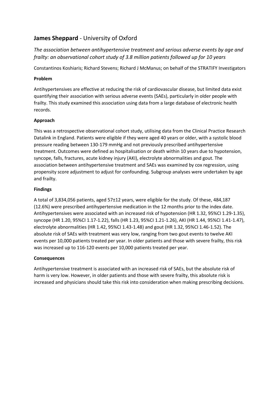# **James Sheppard** - University of Oxford

*The association between antihypertensive treatment and serious adverse events by age and frailty: an observational cohort study of 3.8 million patients followed up for 10 years*

Constantinos Koshiaris; Richard Stevens; Richard J McManus; on behalf of the STRATIFY Investigators

## **Problem**

Antihypertensives are effective at reducing the risk of cardiovascular disease, but limited data exist quantifying their association with serious adverse events (SAEs), particularly in older people with frailty. This study examined this association using data from a large database of electronic health records.

## **Approach**

This was a retrospective observational cohort study, utilising data from the Clinical Practice Research Datalink in England. Patients were eligible if they were aged 40 years or older, with a systolic blood pressure reading between 130-179 mmHg and not previously prescribed antihypertensive treatment. Outcomes were defined as hospitalisation or death within 10 years due to hypotension, syncope, falls, fractures, acute kidney injury (AKI), electrolyte abnormalities and gout. The association between antihypertensive treatment and SAEs was examined by cox regression, using propensity score adjustment to adjust for confounding. Subgroup analyses were undertaken by age and frailty.

### **Findings**

A total of 3,834,056 patients, aged 57±12 years, were eligible for the study. Of these, 484,187 (12.6%) were prescribed antihypertensive medication in the 12 months prior to the index date. Antihypertensives were associated with an increased risk of hypotension (HR 1.32, 95%CI 1.29-1.35), syncope (HR 1.20, 95%CI 1.17-1.22), falls (HR 1.23, 95%CI 1.21-1.26), AKI (HR 1.44, 95%CI 1.41-1.47), electrolyte abnormalities (HR 1.42, 95%CI 1.43-1.48) and gout (HR 1.32, 95%CI 1.46-1.52). The absolute risk of SAEs with treatment was very low, ranging from two gout events to twelve AKI events per 10,000 patients treated per year. In older patients and those with severe frailty, this risk was increased up to 116-120 events per 10,000 patients treated per year.

### **Consequences**

Antihypertensive treatment is associated with an increased risk of SAEs, but the absolute risk of harm is very low. However, in older patients and those with severe frailty, this absolute risk is increased and physicians should take this risk into consideration when making prescribing decisions.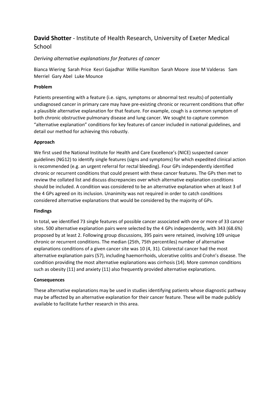# **David Shotter** - Institute of Health Research, University of Exeter Medical **School**

# *Deriving alternative explanations for features of cancer*

Bianca Wiering Sarah Price Kesri Gajadhar Willie Hamilton Sarah Moore Jose M Valderas Sam Merriel Gary Abel Luke Mounce

### **Problem**

Patients presenting with a feature (i.e. signs, symptoms or abnormal test results) of potentially undiagnosed cancer in primary care may have pre-existing chronic or recurrent conditions that offer a plausible alternative explanation for that feature. For example, cough is a common symptom of both chronic obstructive pulmonary disease and lung cancer. We sought to capture common "alternative explanation" conditions for key features of cancer included in national guidelines, and detail our method for achieving this robustly.

### **Approach**

We first used the National Institute for Health and Care Excellence's (NICE) suspected cancer guidelines (NG12) to identify single features (signs and symptoms) for which expedited clinical action is recommended (e.g. an urgent referral for rectal bleeding). Four GPs independently identified chronic or recurrent conditions that could present with these cancer features. The GPs then met to review the collated list and discuss discrepancies over which alternative explanation conditions should be included. A condition was considered to be an alternative explanation when at least 3 of the 4 GPs agreed on its inclusion. Unanimity was not required in order to catch conditions considered alternative explanations that would be considered by the majority of GPs.

### **Findings**

In total, we identified 73 single features of possible cancer associated with one or more of 33 cancer sites. 500 alternative explanation pairs were selected by the 4 GPs independently, with 343 (68.6%) proposed by at least 2. Following group discussions, 395 pairs were retained, involving 109 unique chronic or recurrent conditions. The median (25th, 75th percentiles) number of alternative explanations conditions of a given cancer site was 10 (4, 31). Colorectal cancer had the most alternative explanation pairs (57), including haemorrhoids, ulcerative colitis and Crohn's disease. The condition providing the most alternative explanations was cirrhosis (14). More common conditions such as obesity (11) and anxiety (11) also frequently provided alternative explanations.

### **Consequences**

These alternative explanations may be used in studies identifying patients whose diagnostic pathway may be affected by an alternative explanation for their cancer feature. These will be made publicly available to facilitate further research in this area.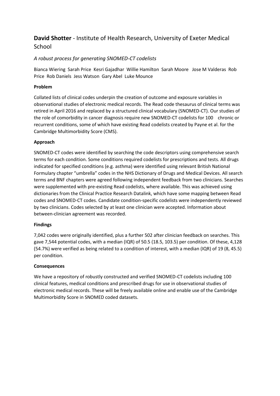# **David Shotter** - Institute of Health Research, University of Exeter Medical **School**

# *A robust process for generating SNOMED-CT codelists*

Bianca Wiering Sarah Price Kesri Gajadhar Willie Hamilton Sarah Moore Jose M Valderas Rob Price Rob Daniels Jess Watson Gary Abel Luke Mounce

### **Problem**

Collated lists of clinical codes underpin the creation of outcome and exposure variables in observational studies of electronic medical records. The Read code thesaurus of clinical terms was retired in April 2016 and replaced by a structured clinical vocabulary (SNOMED-CT). Our studies of the role of comorbidity in cancer diagnosis require new SNOMED-CT codelists for 100 chronic or recurrent conditions, some of which have existing Read codelists created by Payne et al. for the Cambridge Multimorbidity Score (CMS).

### **Approach**

SNOMED-CT codes were identified by searching the code descriptors using comprehensive search terms for each condition. Some conditions required codelists for prescriptions and tests. All drugs indicated for specified conditions (e.g. asthma) were identified using relevant British National Formulary chapter "umbrella" codes in the NHS Dictionary of Drugs and Medical Devices. All search terms and BNF chapters were agreed following independent feedback from two clinicians. Searches were supplemented with pre-existing Read codelists, where available. This was achieved using dictionaries from the Clinical Practice Research Datalink, which have some mapping between Read codes and SNOMED-CT codes. Candidate condition-specific codelists were independently reviewed by two clinicians. Codes selected by at least one clinician were accepted. Information about between-clinician agreement was recorded.

### **Findings**

7,042 codes were originally identified, plus a further 502 after clinician feedback on searches. This gave 7,544 potential codes, with a median (IQR) of 50.5 (18.5, 103.5) per condition. Of these, 4,128 (54.7%) were verified as being related to a condition of interest, with a median (IQR) of 19 (8, 45.5) per condition.

### **Consequences**

We have a repository of robustly constructed and verified SNOMED-CT codelists including 100 clinical features, medical conditions and prescribed drugs for use in observational studies of electronic medical records. These will be freely available online and enable use of the Cambridge Multimorbidity Score in SNOMED coded datasets.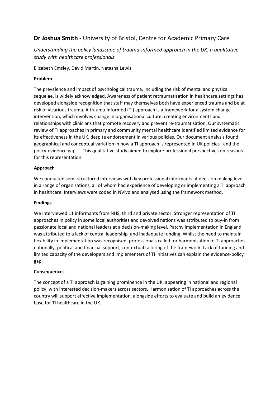# **Dr Joshua Smith** - University of Bristol, Centre for Academic Primary Care

# *Understanding the policy landscape of trauma-informed approach in the UK: a qualitative study with healthcare professionals*

Elizabeth Emsley, David Martin, Natasha Lewis

### **Problem**

The prevalence and impact of psychological trauma, including the risk of mental and physical sequelae, is widely acknowledged. Awareness of patient retraumatisation in healthcare settings has developed alongside recognition that staff may themselves both have experienced trauma and be at risk of vicarious trauma. A trauma-informed (TI) approach is a framework for a system change intervention, which involves change in organisational culture, creating environments and relationships with clinicians that promote recovery and prevent re-traumatisation. Our systematic review of TI approaches in primary and community mental healthcare identified limited evidence for its effectiveness in the UK, despite endorsement in various policies. Our document analysis found geographical and conceptual variation in how a TI approach is represented in UK policies and the policy-evidence gap. This qualitative study aimed to explore professional perspectives on reasons for this representation.

### **Approach**

We conducted semi-structured interviews with key professional informants at decision making level in a range of organisations, all of whom had experience of developing or implementing a TI approach in healthcare. Interviews were coded in NVivo and analysed using the framework method.

### **Findings**

We interviewed 11 informants from NHS, third and private sector. Stronger representation of TI approaches in policy in some local authorities and devolved nations was attributed to buy-in from passionate local and national leaders at a decision-making level. Patchy implementation in England was attributed to a lack of central leadership and inadequate funding. Whilst the need to maintain flexibility in implementation was recognised, professionals called for harmonisation of TI approaches nationally, political and financial support, contextual tailoring of the framework. Lack of funding and limited capacity of the developers and implementers of TI initiatives can explain the evidence-policy gap.

### **Consequences**

The concept of a TI approach is gaining prominence in the UK, appearing in national and regional policy, with interested decision-makers across sectors. Harmonisation of TI approaches across the country will support effective implementation, alongside efforts to evaluate and build an evidence base for TI healthcare in the UK.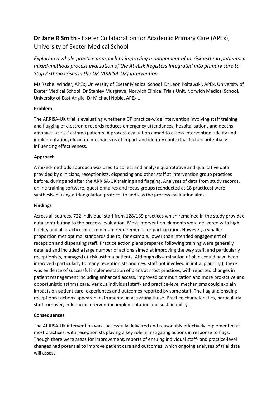# **Dr Jane R Smith** - Exeter Collaboration for Academic Primary Care (APEx), University of Exeter Medical School

*Exploring a whole-practice approach to improving management of at-risk asthma patients: a mixed-methods process evaluation of the At-Risk Registers Integrated into primary care to Stop Asthma crises in the UK (ARRISA-UK) intervention*

Ms Rachel Winder, APEx, University of Exeter Medical School Dr Leon Poltawski, APEx, University of Exeter Medical School Dr Stanley Musgrave, Norwich Clinical Trials Unit, Norwich Medical School, University of East Anglia Dr Michael Noble, APEx…

### **Problem**

The ARRISA-UK trial is evaluating whether a GP practice-wide intervention involving staff training and flagging of electronic records reduces emergency attendances, hospitalisations and deaths amongst 'at-risk' asthma patients. A process evaluation aimed to assess intervention fidelity and implementation, elucidate mechanisms of impact and identify contextual factors potentially influencing effectiveness.

### **Approach**

A mixed-methods approach was used to collect and analyse quantitative and qualitative data provided by clinicians, receptionists, dispensing and other staff at intervention group practices before, during and after the ARRISA-UK training and flagging. Analyses of data from study records, online training software, questionnaires and focus groups (conducted at 18 practices) were synthesised using a triangulation protocol to address the process evaluation aims.

### **Findings**

Across all sources, 722 individual staff from 128/139 practices which remained in the study provided data contributing to the process evaluation. Most intervention elements were delivered with high fidelity and all practices met minimum requirements for participation. However, a smaller proportion met optimal standards due to, for example, lower than intended engagement of reception and dispensing staff. Practice action plans prepared following training were generally detailed and included a large number of actions aimed at improving the way staff, and particularly receptionists, managed at-risk asthma patients. Although dissemination of plans could have been improved (particularly to many receptionists and new staff not involved in initial planning), there was evidence of successful implementation of plans at most practices, with reported changes in patient management including enhanced access, improved communication and more pro-active and opportunistic asthma care. Various individual staff- and practice-level mechanisms could explain impacts on patient care, experiences and outcomes reported by some staff. The flag and ensuing receptionist actions appeared instrumental in activating these. Practice characteristics, particularly staff turnover, influenced intervention implementation and sustainability.

### **Consequences**

The ARRISA-UK intervention was successfully delivered and reasonably effectively implemented at most practices, with receptionists playing a key role in instigating actions in response to flags. Though there were areas for improvement, reports of ensuing individual staff- and practice-level changes had potential to improve patient care and outcomes, which ongoing analyses of trial data will assess.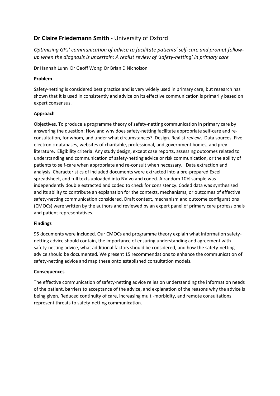# **Dr Claire Friedemann Smith** - University of Oxford

*Optimising GPs' communication of advice to facilitate patients' self-care and prompt followup when the diagnosis is uncertain: A realist review of 'safety-netting' in primary care*

Dr Hannah Lunn Dr Geoff Wong Dr Brian D Nicholson

## **Problem**

Safety-netting is considered best practice and is very widely used in primary care, but research has shown that it is used in consistently and advice on its effective communication is primarily based on expert consensus.

### **Approach**

Objectives. To produce a programme theory of safety-netting communication in primary care by answering the question: How and why does safety-netting facilitate appropriate self-care and reconsultation, for whom, and under what circumstances? Design. Realist review. Data sources. Five electronic databases, websites of charitable, professional, and government bodies, and grey literature. Eligibility criteria. Any study design, except case reports, assessing outcomes related to understanding and communication of safety-netting advice or risk communication, or the ability of patients to self-care when appropriate and re-consult when necessary. Data extraction and analysis. Characteristics of included documents were extracted into a pre-prepared Excel spreadsheet, and full texts uploaded into NVivo and coded. A random 10% sample was independently double extracted and coded to check for consistency. Coded data was synthesised and its ability to contribute an explanation for the contexts, mechanisms, or outcomes of effective safety-netting communication considered. Draft context, mechanism and outcome configurations (CMOCs) were written by the authors and reviewed by an expert panel of primary care professionals and patient representatives.

### **Findings**

95 documents were included. Our CMOCs and programme theory explain what information safetynetting advice should contain, the importance of ensuring understanding and agreement with safety-netting advice, what additional factors should be considered, and how the safety-netting advice should be documented. We present 15 recommendations to enhance the communication of safety-netting advice and map these onto established consultation models.

### **Consequences**

The effective communication of safety-netting advice relies on understanding the information needs of the patient, barriers to acceptance of the advice, and explanation of the reasons why the advice is being given. Reduced continuity of care, increasing multi-morbidity, and remote consultations represent threats to safety-netting communication.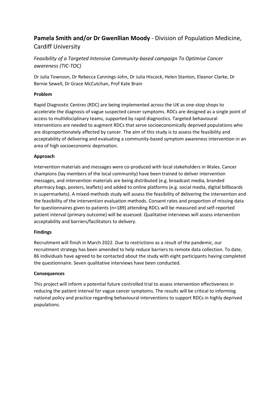# **Pamela Smith and/or Dr Gwenllian Moody** - Division of Population Medicine, Cardiff University

# *Feasibility of a Targeted Intensive Community-based campaign To Optimise Cancer awareness (TIC-TOC)*

Dr Julia Townson, Dr Rebecca Cannings-John, Dr Julia Hiscock, Helen Stanton, Eleanor Clarke, Dr Bernie Sewell, Dr Grace McCutchan, Prof Kate Brain

# **Problem**

Rapid Diagnostic Centres (RDC) are being implemented across the UK as one-stop shops to accelerate the diagnosis of vague suspected cancer symptoms. RDCs are designed as a single point of access to multidisciplinary teams, supported by rapid diagnostics. Targeted behavioural interventions are needed to augment RDCs that serve socioeconomically deprived populations who are disproportionately affected by cancer. The aim of this study is to assess the feasibility and acceptability of delivering and evaluating a community-based symptom awareness intervention in an area of high socioeconomic deprivation.

## **Approach**

Intervention materials and messages were co-produced with local stakeholders in Wales. Cancer champions (lay members of the local community) have been trained to deliver intervention messages, and intervention materials are being distributed (e.g. broadcast media, branded pharmacy bags, posters, leaflets) and added to online platforms (e.g. social media, digital billboards in supermarkets). A mixed-methods study will assess the feasibility of delivering the intervention and the feasibility of the intervention evaluation methods. Consent rates and proportion of missing data for questionnaires given to patients (n=189) attending RDCs will be measured and self-reported patient interval (primary outcome) will be assessed. Qualitative interviews will assess intervention acceptability and barriers/facilitators to delivery.

### **Findings**

Recruitment will finish in March 2022. Due to restrictions as a result of the pandemic, our recruitment strategy has been amended to help reduce barriers to remote data collection. To date, 86 individuals have agreed to be contacted about the study with eight participants having completed the questionnaire. Seven qualitative interviews have been conducted.

### **Consequences**

This project will inform a potential future controlled trial to assess intervention effectiveness in reducing the patient interval for vague cancer symptoms. The results will be critical to informing national policy and practice regarding behavioural interventions to support RDCs in highly deprived populations.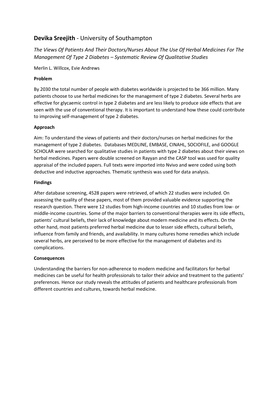# **Devika Sreejith** - University of Southampton

*The Views Of Patients And Their Doctors/Nurses About The Use Of Herbal Medicines For The Management Of Type 2 Diabetes – Systematic Review Of Qualitative Studies*

Merlin L. Willcox, Evie Andrews

# **Problem**

By 2030 the total number of people with diabetes worldwide is projected to be 366 million. Many patients choose to use herbal medicines for the management of type 2 diabetes. Several herbs are effective for glycaemic control in type 2 diabetes and are less likely to produce side effects that are seen with the use of conventional therapy. It is important to understand how these could contribute to improving self-management of type 2 diabetes.

## **Approach**

Aim: To understand the views of patients and their doctors/nurses on herbal medicines for the management of type 2 diabetes. Databases MEDLINE, EMBASE, CINAHL, SOCIOFILE, and GOOGLE SCHOLAR were searched for qualitative studies in patients with type 2 diabetes about their views on herbal medicines. Papers were double screened on Rayyan and the CASP tool was used for quality appraisal of the included papers. Full texts were imported into Nvivo and were coded using both deductive and inductive approaches. Thematic synthesis was used for data analysis.

## **Findings**

After database screening, 4528 papers were retrieved, of which 22 studies were included. On assessing the quality of these papers, most of them provided valuable evidence supporting the research question. There were 12 studies from high-income countries and 10 studies from low- or middle-income countries. Some of the major barriers to conventional therapies were its side effects, patients' cultural beliefs, their lack of knowledge about modern medicine and its effects. On the other hand, most patients preferred herbal medicine due to lesser side effects, cultural beliefs, influence from family and friends, and availability. In many cultures home remedies which include several herbs, are perceived to be more effective for the management of diabetes and its complications.

### **Consequences**

Understanding the barriers for non-adherence to modern medicine and facilitators for herbal medicines can be useful for health professionals to tailor their advice and treatment to the patients' preferences. Hence our study reveals the attitudes of patients and healthcare professionals from different countries and cultures, towards herbal medicine.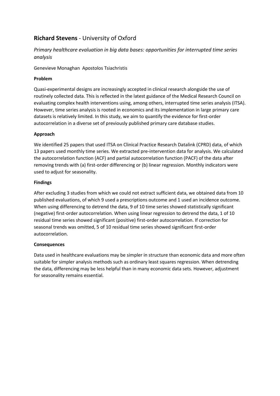# **Richard Stevens** - University of Oxford

# *Primary healthcare evaluation in big data bases: opportunities for interrupted time series analysis*

Genevieve Monaghan Apostolos Tsiachristis

## **Problem**

Quasi-experimental designs are increasingly accepted in clinical research alongside the use of routinely collected data. This is reflected in the latest guidance of the Medical Research Council on evaluating complex health interventions using, among others, interrupted time series analysis (ITSA). However, time series analysis is rooted in economics and its implementation in large primary care datasets is relatively limited. In this study, we aim to quantify the evidence for first-order autocorrelation in a diverse set of previously published primary care database studies.

## **Approach**

We identified 25 papers that used ITSA on Clinical Practice Research Datalink (CPRD) data, of which 13 papers used monthly time series. We extracted pre-intervention data for analysis. We calculated the autocorrelation function (ACF) and partial autocorrelation function (PACF) of the data after removing trends with (a) first-order differencing or (b) linear regression. Monthly indicators were used to adjust for seasonality.

### **Findings**

After excluding 3 studies from which we could not extract sufficient data, we obtained data from 10 published evaluations, of which 9 used a prescriptions outcome and 1 used an incidence outcome. When using differencing to detrend the data, 9 of 10 time series showed statistically significant (negative) first-order autocorrelation. When using linear regression to detrend the data, 1 of 10 residual time series showed significant (positive) first-order autocorrelation. If correction for seasonal trends was omitted, 5 of 10 residual time series showed significant first-order autocorrelation.

### **Consequences**

Data used in healthcare evaluations may be simpler in structure than economic data and more often suitable for simpler analysis methods such as ordinary least squares regression. When detrending the data, differencing may be less helpful than in many economic data sets. However, adjustment for seasonality remains essential.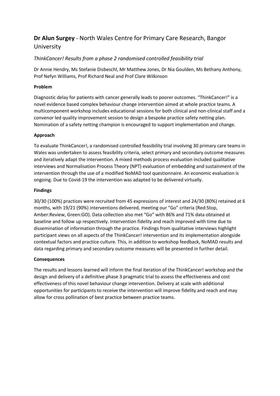# **Dr Alun Surgey** - North Wales Centre for Primary Care Research, Bangor University

# *ThinkCancer! Results from a phase 2 randomised controlled feasibility trial*

Dr Annie Hendry, Ms Stefanie Disbeschl, Mr Matthew Jones, Dr Nia Goulden, Ms Bethany Anthony, Prof Nefyn Williams, Prof Richard Neal and Prof Clare Wilkinson

### **Problem**

Diagnostic delay for patients with cancer generally leads to poorer outcomes. "ThinkCancer!" is a novel evidence based complex behaviour change intervention aimed at whole practice teams. A multicomponent workshop includes educational sessions for both clinical and non-clinical staff and a convenor led quality improvement session to design a bespoke practice safety netting plan. Nomination of a safety netting champion is encouraged to support implementation and change.

### **Approach**

To evaluate ThinkCancer!, a randomised controlled feasibility trial involving 30 primary care teams in Wales was undertaken to assess feasibility criteria, select primary and secondary outcome measures and iteratively adapt the intervention. A mixed methods process evaluation included qualitative interviews and Normalisation Process Theory (NPT) evaluation of embedding and sustainment of the intervention through the use of a modified NoMAD tool questionnaire. An economic evaluation is ongoing. Due to Covid-19 the intervention was adapted to be delivered virtually.

### **Findings**

30/30 (100%) practices were recruited from 45 expressions of interest and 24/30 (80%) retained at 6 months, with 19/21 (90%) interventions delivered, meeting our "Go" criteria (Red:Stop, Amber:Review, Green:GO). Data collection also met "Go" with 86% and 71% data obtained at baseline and follow up respectively. Intervention fidelity and reach improved with time due to dissemination of information through the practice. Findings from qualitative interviews highlight participant views on all aspects of the ThinkCancer! intervention and its implementation alongside contextual factors and practice culture. This, in addition to workshop feedback, NoMAD results and data regarding primary and secondary outcome measures will be presented in further detail.

### **Consequences**

The results and lessons learned will inform the final iteration of the ThinkCancer! workshop and the design and delivery of a definitive phase 3 pragmatic trial to assess the effectiveness and cost effectiveness of this novel behaviour change intervention. Delivery at scale with additional opportunities for participants to receive the intervention will improve fidelity and reach and may allow for cross pollination of best practice between practice teams.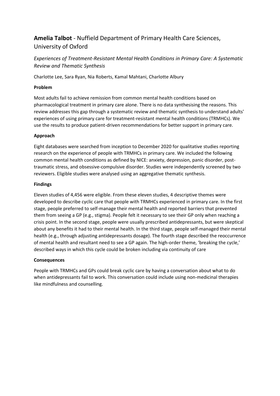# **Amelia Talbot** - Nuffield Department of Primary Health Care Sciences, University of Oxford

*Experiences of Treatment-Resistant Mental Health Conditions in Primary Care: A Systematic Review and Thematic Synthesis*

Charlotte Lee, Sara Ryan, Nia Roberts, Kamal Mahtani, Charlotte Albury

### **Problem**

Most adults fail to achieve remission from common mental health conditions based on pharmacological treatment in primary care alone. There is no data synthesising the reasons. This review addresses this gap through a systematic review and thematic synthesis to understand adults' experiences of using primary care for treatment-resistant mental health conditions (TRMHCs). We use the results to produce patient-driven recommendations for better support in primary care.

### **Approach**

Eight databases were searched from inception to December 2020 for qualitative studies reporting research on the experience of people with TRMHCs in primary care. We included the following common mental health conditions as defined by NICE: anxiety, depression, panic disorder, posttraumatic stress, and obsessive-compulsive disorder. Studies were independently screened by two reviewers. Eligible studies were analysed using an aggregative thematic synthesis.

### **Findings**

Eleven studies of 4,456 were eligible. From these eleven studies, 4 descriptive themes were developed to describe cyclic care that people with TRMHCs experienced in primary care. In the first stage, people preferred to self-manage their mental health and reported barriers that prevented them from seeing a GP (e.g., stigma). People felt it necessary to see their GP only when reaching a crisis point. In the second stage, people were usually prescribed antidepressants, but were skeptical about any benefits it had to their mental health. In the third stage, people self-managed their mental health (e.g., through adjusting antidepressants dosage). The fourth stage described the reoccurrence of mental health and resultant need to see a GP again. The high-order theme, 'breaking the cycle,' described ways in which this cycle could be broken including via continuity of care

### **Consequences**

People with TRMHCs and GPs could break cyclic care by having a conversation about what to do when antidepressants fail to work. This conversation could include using non-medicinal therapies like mindfulness and counselling.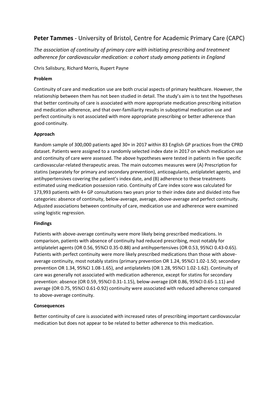# **Peter Tammes** - University of Bristol, Centre for Academic Primary Care (CAPC)

*The association of continuity of primary care with initiating prescribing and treatment adherence for cardiovascular medication: a cohort study among patients in England*

Chris Salisbury, Richard Morris, Rupert Payne

### **Problem**

Continuity of care and medication use are both crucial aspects of primary healthcare. However, the relationship between them has not been studied in detail. The study's aim is to test the hypotheses that better continuity of care is associated with more appropriate medication prescribing initiation and medication adherence, and that over-familiarity results in suboptimal medication use and perfect continuity is not associated with more appropriate prescribing or better adherence than good continuity.

## **Approach**

Random sample of 300,000 patients aged 30+ in 2017 within 83 English GP practices from the CPRD dataset. Patients were assigned to a randomly selected index date in 2017 on which medication use and continuity of care were assessed. The above hypotheses were tested in patients in five specific cardiovascular-related therapeutic areas. The main outcomes measures were (A) Prescription for statins (separately for primary and secondary prevention), anticoagulants, antiplatelet agents, and antihypertensives covering the patient's index date, and (B) adherence to these treatments estimated using medication possession ratio. Continuity of Care index score was calculated for 173,993 patients with 4+ GP consultations two years prior to their index date and divided into five categories: absence of continuity, below-average, average, above-average and perfect continuity. Adjusted associations between continuity of care, medication use and adherence were examined using logistic regression.

### **Findings**

Patients with above-average continuity were more likely being prescribed medications. In comparison, patients with absence of continuity had reduced prescribing, most notably for antiplatelet agents (OR 0.56, 95%CI 0.35-0.88) and antihypertensives (OR 0.53, 95%CI 0.43-0.65). Patients with perfect continuity were more likely prescribed medications than those with aboveaverage continuity, most notably statins (primary prevention OR 1.24, 95%CI 1.02-1.50; secondary prevention OR 1.34, 95%CI 1.08-1.65), and antiplatelets (OR 1.28, 95%CI 1.02-1.62). Continuity of care was generally not associated with medication adherence, except for statins for secondary prevention: absence (OR 0.59, 95%CI 0.31-1.15), below-average (OR 0.86, 95%CI 0.65-1.11) and average (OR 0.75, 95%CI 0.61-0.92) continuity were associated with reduced adherence compared to above-average continuity.

### **Consequences**

Better continuity of care is associated with increased rates of prescribing important cardiovascular medication but does not appear to be related to better adherence to this medication.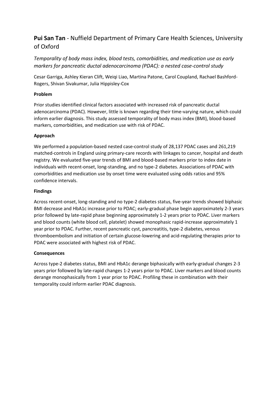# **Pui San Tan** - Nuffield Department of Primary Care Health Sciences, University of Oxford

*Temporality of body mass index, blood tests, comorbidities, and medication use as early markers for pancreatic ductal adenocarcinoma (PDAC): a nested case-control study*

Cesar Garriga, Ashley Kieran Clift, Weiqi Liao, Martina Patone, Carol Coupland, Rachael Bashford-Rogers, Shivan Sivakumar, Julia Hippisley-Cox

### **Problem**

Prior studies identified clinical factors associated with increased risk of pancreatic ductal adenocarcinoma (PDAC). However, little is known regarding their time-varying nature, which could inform earlier diagnosis. This study assessed temporality of body mass index (BMI), blood-based markers, comorbidities, and medication use with risk of PDAC.

## **Approach**

We performed a population-based nested case-control study of 28,137 PDAC cases and 261,219 matched-controls in England using primary-care records with linkages to cancer, hospital and death registry. We evaluated five-year trends of BMI and blood-based markers prior to index date in individuals with recent-onset, long-standing, and no type-2 diabetes. Associations of PDAC with comorbidities and medication use by onset time were evaluated using odds ratios and 95% confidence intervals.

### **Findings**

Across recent-onset, long-standing and no type-2 diabetes status, five-year trends showed biphasic BMI decrease and HbA1c increase prior to PDAC; early-gradual phase begin approximately 2-3 years prior followed by late-rapid phase beginning approximately 1-2 years prior to PDAC. Liver markers and blood counts (white blood cell, platelet) showed monophasic rapid-increase approximately 1 year prior to PDAC. Further, recent pancreatic cyst, pancreatitis, type-2 diabetes, venous thromboembolism and initiation of certain glucose-lowering and acid-regulating therapies prior to PDAC were associated with highest risk of PDAC.

### **Consequences**

Across type-2 diabetes status, BMI and HbA1c derange biphasically with early-gradual changes 2-3 years prior followed by late-rapid changes 1-2 years prior to PDAC. Liver markers and blood counts derange monophasically from 1 year prior to PDAC. Profiling these in combination with their temporality could inform earlier PDAC diagnosis.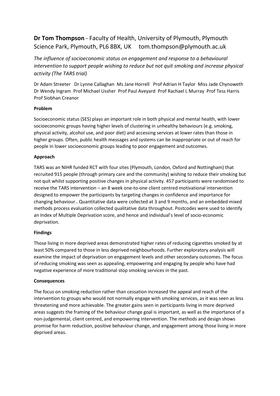# **Dr Tom Thompson** - Faculty of Health, University of Plymouth, Plymouth Science Park, Plymouth, PL6 8BX, UK tom.thompson@plymouth.ac.uk

*The influence of socioeconomic status on engagement and response to a behavioural intervention to support people wishing to reduce but not quit smoking and increase physical activity (The TARS trial)*

Dr Adam Streeter Dr Lynne Callaghan Ms Jane Horrell Prof Adrian H Taylor Miss Jade Chynoweth Dr Wendy Ingram Prof Michael Ussher Prof Paul Aveyard Prof Rachael L Murray Prof Tess Harris Prof Siobhan Creanor

### **Problem**

Socioeconomic status (SES) plays an important role in both physical and mental health, with lower socioeconomic groups having higher levels of clustering in unhealthy behaviours (e.g. smoking, physical activity, alcohol use, and poor diet) and accessing services at lower rates than those in higher groups. Often, public health messages and systems can be inappropriate or out of reach for people in lower socioeconomic groups leading to poor engagement and outcomes.

## **Approach**

TARS was an NIHR funded RCT with four sites (Plymouth, London, Oxford and Nottingham) that recruited 915 people (through primary care and the community) wishing to reduce their smoking but not quit whilst supporting positive changes in physical activity. 457 participants were randomised to receive the TARS intervention – an 8 week one-to-one client centred motivational intervention designed to empower the participants by targeting changes in confidence and importance for changing behaviour.. Quantitative data were collected at 3 and 9 months, and an embedded mixed methods process evaluation collected qualitative data throughout. Postcodes were used to identify an Index of Multiple Deprivation score, and hence and individual's level of socio-economic deprivation.

### **Findings**

Those living in more deprived areas demonstrated higher rates of reducing cigarettes smoked by at least 50% compared to those in less deprived neighbourhoods. Further exploratory analysis will examine the impact of deprivation on engagement levels and other secondary outcomes. The focus of reducing smoking was seen as appealing, empowering and engaging by people who have had negative experience of more traditional stop smoking services in the past.

### **Consequences**

The focus on smoking reduction rather than cessation increased the appeal and reach of the intervention to groups who would not normally engage with smoking services, as it was seen as less threatening and more achievable. The greater gains seen in participants living in more deprived areas suggests the framing of the behaviour change goal is important, as well as the importance of a non-judgemental, client centred, and empowering intervention. The methods and design shows promise for harm reduction, positive behaviour change, and engagement among those living in more deprived areas.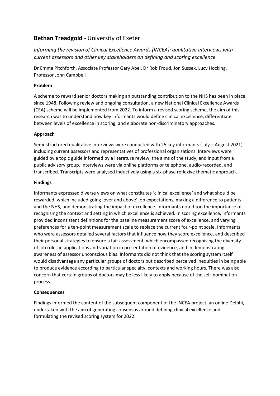# **Bethan Treadgold** - University of Exeter

*Informing the revision of Clinical Excellence Awards (INCEA): qualitative interviews with current assessors and other key stakeholders on defining and scoring excellence*

Dr Emma Pitchforth, Associate Professor Gary Abel, Dr Rob Froud, Jon Sussex, Lucy Hocking, Professor John Campbell

### **Problem**

A scheme to reward senior doctors making an outstanding contribution to the NHS has been in place since 1948. Following review and ongoing consultation, a new National Clinical Excellence Awards (CEA) scheme will be implemented from 2022. To inform a revised scoring scheme, the aim of this research was to understand how key informants would define clinical excellence, differentiate between levels of excellence in scoring, and elaborate non-discriminatory approaches.

## **Approach**

Semi-structured qualitative interviews were conducted with 25 key informants (July – August 2021), including current assessors and representatives of professional organisations. Interviews were guided by a topic guide informed by a literature review, the aims of the study, and input from a public advisory group. Interviews were via online platforms or telephone, audio-recorded, and transcribed. Transcripts were analysed inductively using a six-phase reflexive thematic approach.

### **Findings**

Informants expressed diverse views on what constitutes 'clinical excellence' and what should be rewarded, which included going 'over and above' job expectations, making a difference to patients and the NHS, and demonstrating the impact of excellence. Informants noted too the importance of recognising the context and setting in which excellence is achieved. In scoring excellence, informants provided inconsistent definitions for the baseline measurement score of excellence, and varying preferences for a ten-point measurement scale to replace the current four-point scale. Informants who were assessors detailed several factors that influence how they score excellence, and described their personal strategies to ensure a fair assessment, which encompassed recognising the diversity of job roles in applications and variation in presentation of evidence, and in demonstrating awareness of assessor unconscious bias. Informants did not think that the scoring system itself would disadvantage any particular groups of doctors but described perceived inequities in being able to produce evidence according to particular specialty, contexts and working hours. There was also concern that certain groups of doctors may be less likely to apply because of the self-nomination process.

### **Consequences**

Findings informed the content of the subsequent component of the INCEA project, an online Delphi, undertaken with the aim of generating consensus around defining clinical excellence and formulating the revised scoring system for 2022.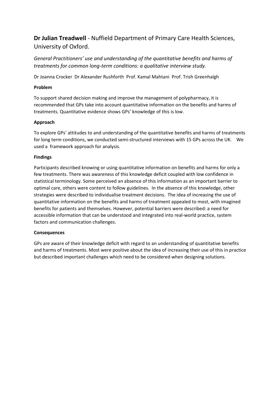**Dr Julian Treadwell** - Nuffield Department of Primary Care Health Sciences, University of Oxford.

*General Practitioners' use and understanding of the quantitative benefits and harms of treatments for common long-term conditions: a qualitative interview study.*

Dr Joanna Crocker Dr Alexander Rushforth Prof. Kamal Mahtani Prof. Trish Greenhalgh

### **Problem**

To support shared decision making and improve the management of polypharmacy, it is recommended that GPs take into account quantitative information on the benefits and harms of treatments. Quantitative evidence shows GPs' knowledge of this is low.

### **Approach**

To explore GPs' attitudes to and understanding of the quantitative benefits and harms of treatments for long term conditions, we conducted semi-structured interviews with 15 GPs across the UK. We used a framework approach for analysis.

### **Findings**

Participants described knowing or using quantitative information on benefits and harms for only a few treatments. There was awareness of this knowledge deficit coupled with low confidence in statistical terminology. Some perceived an absence of this information as an important barrier to optimal care, others were content to follow guidelines. In the absence of this knowledge, other strategies were described to individualise treatment decisions. The idea of increasing the use of quantitative information on the benefits and harms of treatment appealed to most, with imagined benefits for patients and themselves. However, potential barriers were described: a need for accessible information that can be understood and integrated into real-world practice, system factors and communication challenges.

### **Consequences**

GPs are aware of their knowledge deficit with regard to an understanding of quantitative benefits and harms of treatments. Most were positive about the idea of increasing their use of this in practice but described important challenges which need to be considered when designing solutions.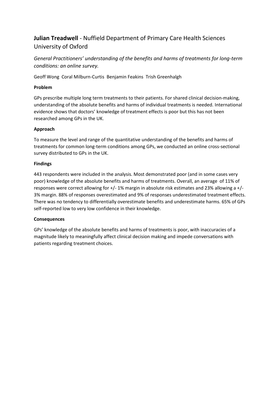# **Julian Treadwell** - Nuffield Department of Primary Care Health Sciences University of Oxford

*General Practitioners' understanding of the benefits and harms of treatments for long-term conditions: an online survey.*

Geoff Wong Coral Milburn-Curtis Benjamin Feakins Trish Greenhalgh

### **Problem**

GPs prescribe multiple long term treatments to their patients. For shared clinical decision-making, understanding of the absolute benefits and harms of individual treatments is needed. International evidence shows that doctors' knowledge of treatment effects is poor but this has not been researched among GPs in the UK.

## **Approach**

To measure the level and range of the quantitative understanding of the benefits and harms of treatments for common long-term conditions among GPs, we conducted an online cross-sectional survey distributed to GPs in the UK.

### **Findings**

443 respondents were included in the analysis. Most demonstrated poor (and in some cases very poor) knowledge of the absolute benefits and harms of treatments. Overall, an average of 11% of responses were correct allowing for +/- 1% margin in absolute risk estimates and 23% allowing a +/- 3% margin. 88% of responses overestimated and 9% of responses underestimated treatment effects. There was no tendency to differentially overestimate benefits and underestimate harms. 65% of GPs self-reported low to very low confidence in their knowledge.

### **Consequences**

GPs' knowledge of the absolute benefits and harms of treatments is poor, with inaccuracies of a magnitude likely to meaningfully affect clinical decision making and impede conversations with patients regarding treatment choices.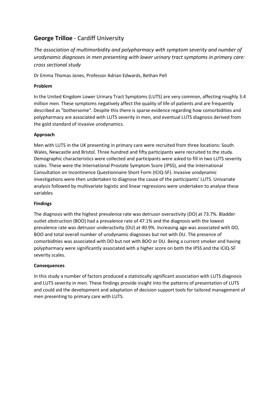# **George Trilloe** - Cardiff University

*The association of multimorbidity and polypharmacy with symptom severity and number of urodynamic diagnoses in men presenting with lower urinary tract symptoms in primary care: cross sectional study*

Dr Emma Thomas Jones, Professor Adrian Edwards, Bethan Pell

### **Problem**

In the United Kingdom Lower Urinary Tract Symptoms (LUTS) are very common, affecting roughly 3.4 million men. These symptoms negatively affect the quality of life of patients and are frequently described as "bothersome". Despite this there is sparse evidence regarding how comorbidities and polypharmacy are associated with LUTS severity in men, and eventual LUTS diagnosis derived from the gold standard of invasive urodynamics.

### **Approach**

Men with LUTS in the UK presenting in primary care were recruited from three locations: South Wales, Newcastle and Bristol. Three hundred and fifty participants were recruited to the study. Demographic characteristics were collected and participants were asked to fill in two LUTS severity scales. These were the International Prostate Symptom Score (IPSS), and the International Consultation on Incontinence Questionnaire Short Form (ICIQ-SF). Invasive urodynamic investigations were then undertaken to diagnose the cause of the participants' LUTS. Univariate analysis followed by multivariate logistic and linear regressions were undertaken to analyse these variables

### **Findings**

The diagnosis with the highest prevalence rate was detrusor overactivity (DO) at 73.7%. Bladder outlet obstruction (BOO) had a prevalence rate of 47.1% and the diagnosis with the lowest prevalence rate was detrusor underactivity (DU) at 40.9%. Increasing age was associated with DO, BOO and total overall number of urodynamic diagnoses but not with DU. The presence of comorbidities was associated with DO but not with BOO or DU. Being a current smoker and having polypharmacy were significantly associated with a higher score on both the IPSS and the ICIQ-SF severity scales.

### **Consequences**

In this study a number of factors produced a statistically significant association with LUTS diagnosis and LUTS severity in men. These findings provide insight into the patterns of presentation of LUTS and could aid the development and adaptation of decision support tools for tailored management of men presenting to primary care with LUTS.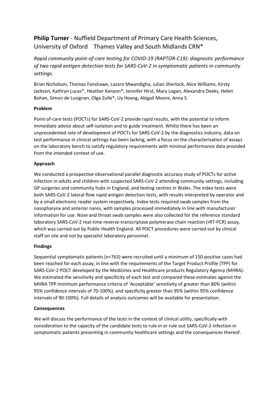# **Philip Turner** - Nuffield Department of Primary Care Health Sciences, University of Oxford Thames Valley and South Midlands CRN\*

*Rapid community point-of-care testing for COVID-19 (RAPTOR-C19): diagnostic performance of two rapid antigen detection tests for SARS-CoV-2 in symptomatic patients in community settings.*

Brian Nicholson, Thomas Fanshawe, Lazaro Mwandigha, Julian Sherlock, Alice Williams, Kirsty Jackson, Kathryn Lucas\*, Heather Kenyon\*, Jennifer Hirst, Mary Logan, Alexandra Deeks, Helen Bohan, Simon de Lusignan, Olga Zolle\*, Uy Hoang, Abigail Moore, Anna S

## **Problem**

Point-of-care tests (POCTs) for SARS-CoV-2 provide rapid results, with the potential to inform immediate advice about self-isolation and to guide treatment. Whilst there has been an unprecedented rate of development of POCTs for SARS-CoV-2 by the diagnostics industry, data on test performance in clinical settings has been lacking, with a focus on the characterisation of assays on the laboratory bench to satisfy regulatory requirements with minimal performance data provided from the intended context of use.

## **Approach**

We conducted a prospective observational parallel diagnostic accuracy study of POCTs for active infection in adults and children with suspected SARS-CoV-2 attending community settings, including GP surgeries and community hubs in England, and testing centres in Wales. The index tests were both SARS-CoV-2 lateral flow rapid antigen detection tests, with results interpreted by operator and by a small electronic reader system respectively. Index tests required swab samples from the nasopharynx and anterior nares, with samples processed immediately in line with manufacturer information for use. Nose and throat swab samples were also collected for the reference standard laboratory SARS-CoV-2 real-time reverse-transcriptase polymerase chain reaction (rRT-PCR) assay, which was carried out by Public Health England. All POCT procedures were carried out by clinical staff on site and not by specialist laboratory personnel.

# **Findings**

Sequential symptomatic patients (n=763) were recruited until a minimum of 150 positive cases had been reached for each assay, in line with the requirements of the Target Product Profile (TPP) for SARS-CoV-2 POCT developed by the Medicines and Healthcare products Regulatory Agency (MHRA). We estimated the sensitivity and specificity of each test and compared these estimates against the MHRA TPP minimum performance criteria of 'Acceptable' sensitivity of greater than 80% (within 95% confidence intervals of 70-100%), and specificity greater than 95% (within 95% confidence intervals of 90-100%). Full details of analysis outcomes will be available for presentation.

### **Consequences**

We will discuss the performance of the tests in the context of clinical utility, specifically with consideration to the capacity of the candidate tests to rule in or rule out SARS-CoV-2 infection in symptomatic patients presenting in community healthcare settings and the consequences thereof.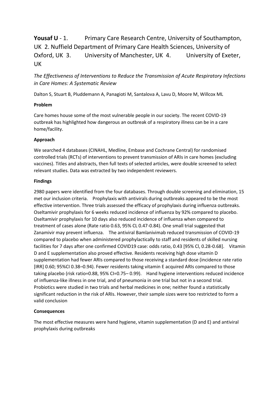# **Yousaf U** - 1. Primary Care Research Centre, University of Southampton, UK 2. Nuffield Department of Primary Care Health Sciences, University of Oxford, UK 3. University of Manchester, UK 4. University of Exeter, UK

*The Effectiveness of Interventions to Reduce the Transmission of Acute Respiratory Infections in Care Homes: A Systematic Review*

Dalton S, Stuart B, Pluddemann A, Panagioti M, Santalova A, Lavu D, Moore M, Willcox ML

### **Problem**

Care homes house some of the most vulnerable people in our society. The recent COVID-19 outbreak has highlighted how dangerous an outbreak of a respiratory illness can be in a care home/facility.

## **Approach**

We searched 4 databases (CINAHL, Medline, Embase and Cochrane Central) for randomised controlled trials (RCTs) of interventions to prevent transmission of ARIs in care homes (excluding vaccines). Titles and abstracts, then full texts of selected articles, were double screened to select relevant studies. Data was extracted by two independent reviewers.

### **Findings**

2980 papers were identified from the four databases. Through double screening and elimination, 15 met our inclusion criteria. Prophylaxis with antivirals during outbreaks appeared to be the most effective intervention. Three trials assessed the efficacy of prophylaxis during influenza outbreaks. Oseltamivir prophylaxis for 6 weeks reduced incidence of influenza by 92% compared to placebo. Oseltamivir prophylaxis for 10 days also reduced incidence of influenza when compared to treatment of cases alone (Rate ratio 0.63, 95% CL 0.47-0.84). One small trial suggested that Zanamivir may prevent influenza. The antiviral Bamlanivimab reduced transmission of COVID-19 compared to placebo when administered prophylactically to staff and residents of skilled nursing facilities for 7 days after one confirmed COVID19 case: odds ratio, 0.43 [95% Cl, 0.28-0.68]. Vitamin D and E supplementation also proved effective. Residents receiving high dose vitamin D supplementation had fewer ARIs compared to those receiving a standard dose (incidence rate ratio [IRR] 0.60; 95%CI 0.38–0.94). Fewer residents taking vitamin E acquired ARIs compared to those taking placebo (risk ratio=0.88, 95% CI=0.75–0.99). Hand hygiene interventions reduced incidence of influenza-like illness in one trial, and of pneumonia in one trial but not in a second trial. Probiotics were studied in two trials and herbal medicines in one; neither found a statistically significant reduction in the risk of ARIs. However, their sample sizes were too restricted to form a valid conclusion

### **Consequences**

The most effective measures were hand hygiene, vitamin supplementation (D and E) and antiviral prophylaxis during outbreaks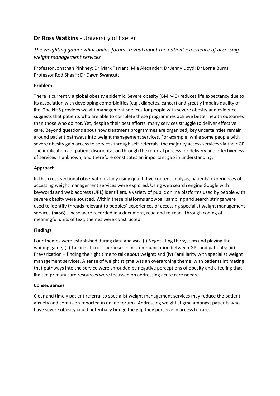# **Dr Ross Watkins** - University of Exeter

# *The weighting game: what online forums reveal about the patient experience of accessing weight management services*

Professor Jonathan Pinkney; Dr Mark Tarrant; Mia Alexander; Dr Jenny Lloyd; Dr Lorna Burns; Professor Rod Sheaff; Dr Dawn Swancutt

### **Problem**

There is currently a global obesity epidemic. Severe obesity (BMI>40) reduces life expectancy due to its association with developing comorbidities (e.g., diabetes, cancer) and greatly impairs quality of life. The NHS provides weight management services for people with severe obesity and evidence suggests that patients who are able to complete these programmes achieve better health outcomes than those who do not. Yet, despite their best efforts, many services struggle to deliver effective care. Beyond questions about how treatment programmes are organised, key uncertainties remain around patient pathways into weight management services. For example, while some people with severe obesity gain access to services through self-referrals, the majority access services via their GP. The implications of patient disorientation through the referral process for delivery and effectiveness of services is unknown, and therefore constitutes an important gap in understanding.

### **Approach**

In this cross-sectional observation study using qualitative content analysis, patients' experiences of accessing weight management services were explored. Using web search engine Google with keywords and web address (URL) identifiers, a variety of public online platforms used by people with severe obesity were sourced. Within these platforms snowball sampling and search strings were used to identify threads relevant to peoples' experiences of accessing specialist weight management services (n=56). These were recorded in a document, read and re-read. Through coding of meaningful units of text, themes were constructed.

### **Findings**

Four themes were established during data analysis: (i) Negotiating the system and playing the waiting game; (ii) Talking at cross-purposes – miscommunication between GPs and patients; (iii) Prevarication – finding the right time to talk about weight; and (iv) Familiarity with specialist weight management services. A sense of weight stigma was an overarching theme, with patients intimating that pathways into the service were shrouded by negative perceptions of obesity and a feeling that limited primary care resources were focussed on addressing acute care needs.

### **Consequences**

Clear and timely patient referral to specialist weight management services may reduce the patient anxiety and confusion reported in online forums. Addressing weight stigma amongst patients who have severe obesity could potentially bridge the gap they perceive in access to care.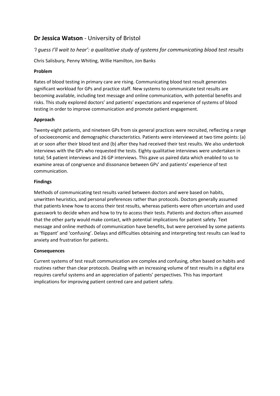# **Dr Jessica Watson** - University of Bristol

# *'I guess I'll wait to hear': a qualitative study of systems for communicating blood test results*

Chris Salisbury, Penny Whiting, Willie Hamilton, Jon Banks

### **Problem**

Rates of blood testing in primary care are rising. Communicating blood test result generates significant workload for GPs and practice staff. New systems to communicate test results are becoming available, including text message and online communication, with potential benefits and risks. This study explored doctors' and patients' expectations and experience of systems of blood testing in order to improve communication and promote patient engagement.

## **Approach**

Twenty-eight patients, and nineteen GPs from six general practices were recruited, reflecting a range of socioeconomic and demographic characteristics. Patients were interviewed at two time points: (a) at or soon after their blood test and (b) after they had received their test results. We also undertook interviews with the GPs who requested the tests. Eighty qualitative interviews were undertaken in total; 54 patient interviews and 26 GP interviews. This gave us paired data which enabled to us to examine areas of congruence and dissonance between GPs' and patients' experience of test communication.

## **Findings**

Methods of communicating test results varied between doctors and were based on habits, unwritten heuristics, and personal preferences rather than protocols. Doctors generally assumed that patients knew how to access their test results, whereas patients were often uncertain and used guesswork to decide when and how to try to access their tests. Patients and doctors often assumed that the other party would make contact, with potential implications for patient safety. Text message and online methods of communication have benefits, but were perceived by some patients as 'flippant' and 'confusing'. Delays and difficulties obtaining and interpreting test results can lead to anxiety and frustration for patients.

# **Consequences**

Current systems of test result communication are complex and confusing, often based on habits and routines rather than clear protocols. Dealing with an increasing volume of test results in a digital era requires careful systems and an appreciation of patients' perspectives. This has important implications for improving patient centred care and patient safety.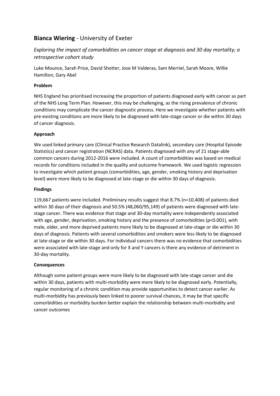# **Bianca Wiering** - University of Exeter

*Exploring the impact of comorbidities on cancer stage at diagnosis and 30 day mortality; a retrospective cohort study*

Luke Mounce, Sarah Price, David Shotter, Jose M Valderas, Sam Merriel, Sarah Moore, Willie Hamilton, Gary Abel

#### **Problem**

NHS England has prioritised increasing the proportion of patients diagnosed early with cancer as part of the NHS Long Term Plan. However, this may be challenging, as the rising prevalence of chronic conditions may complicate the cancer diagnostic process. Here we investigate whether patients with pre-existing conditions are more likely to be diagnosed with late-stage cancer or die within 30 days of cancer diagnosis.

#### **Approach**

We used linked primary care (Clinical Practice Research Datalink), secondary care (Hospital Episode Statistics) and cancer registration (NCRAS) data. Patients diagnosed with any of 21 stage-able common cancers during 2012-2016 were included. A count of comorbidities was based on medical records for conditions included in the quality and outcome framework. We used logistic regression to investigate which patient groups (comorbidities, age, gender, smoking history and deprivation level) were more likely to be diagnosed at late-stage or die within 30 days of diagnosis.

#### **Findings**

119,667 patients were included. Preliminary results suggest that 8.7% (n=10,408) of patients died within 30 days of their diagnosis and 50.5% (48,060/95,149) of patients were diagnosed with latestage cancer. There was evidence that stage and 30-day mortality were independently associated with age, gender, deprivation, smoking history and the presence of comorbidities (p<0.001), with male, older, and more deprived patients more likely to be diagnosed at late-stage or die within 30 days of diagnosis. Patients with several comorbidities and smokers were less likely to be diagnosed at late-stage or die within 30 days. For individual cancers there was no evidence that comorbidities were associated with late-stage and only for X and Y cancers is there any evidence of detriment in 30-day mortality.

#### **Consequences**

Although some patient groups were more likely to be diagnosed with late-stage cancer and die within 30 days, patients with multi-morbidity were more likely to be diagnosed early. Potentially, regular monitoring of a chronic condition may provide opportunities to detect cancer earlier. As multi-morbidity has previously been linked to poorer survival chances, it may be that specific comorbidities or morbidity burden better explain the relationship between multi-morbidity and cancer outcomes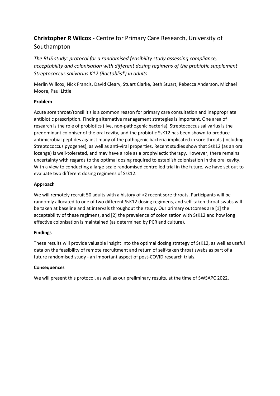# **Christopher R Wilcox** - Centre for Primary Care Research, University of Southampton

*The BLIS study: protocol for a randomised feasibility study assessing compliance, acceptability and colonisation with different dosing regimens of the probiotic supplement Streptococcus salivarius K12 (Bactoblis®) in adults*

Merlin Willcox, Nick Francis, David Cleary, Stuart Clarke, Beth Stuart, Rebecca Anderson, Michael Moore, Paul Little

### **Problem**

Acute sore throat/tonsillitis is a common reason for primary care consultation and inappropriate antibiotic prescription. Finding alternative management strategies is important. One area of research is the role of probiotics (live, non-pathogenic bacteria). Streptococcus salivarius is the predominant coloniser of the oral cavity, and the probiotic SsK12 has been shown to produce antimicrobial peptides against many of the pathogenic bacteria implicated in sore throats (including Streptococcus pyogenes), as well as anti-viral properties. Recent studies show that SsK12 (as an oral lozenge) is well-tolerated, and may have a role as a prophylactic therapy. However, there remains uncertainty with regards to the optimal dosing required to establish colonisation in the oral cavity. With a view to conducting a large-scale randomised controlled trial in the future, we have set out to evaluate two different dosing regimens of Ssk12.

## **Approach**

We will remotely recruit 50 adults with a history of >2 recent sore throats. Participants will be randomly allocated to one of two different SsK12 dosing regimens, and self-taken throat swabs will be taken at baseline and at intervals throughout the study. Our primary outcomes are [1] the acceptability of these regimens, and [2] the prevalence of colonisation with SsK12 and how long effective colonisation is maintained (as determined by PCR and culture).

### **Findings**

These results will provide valuable insight into the optimal dosing strategy of SsK12, as well as useful data on the feasibility of remote recruitment and return of self-taken throat swabs as part of a future randomised study - an important aspect of post-COVID research trials.

### **Consequences**

We will present this protocol, as well as our preliminary results, at the time of SWSAPC 2022.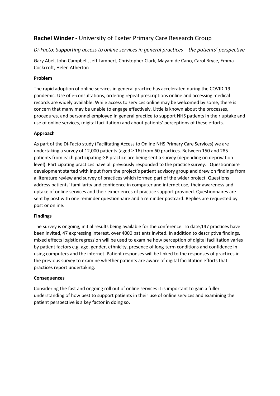# **Rachel Winder** - University of Exeter Primary Care Research Group

# *Di-Facto: Supporting access to online services in general practices – the patients' perspective*

Gary Abel, John Campbell, Jeff Lambert, Christopher Clark, Mayam de Cano, Carol Bryce, Emma Cockcroft, Helen Atherton

#### **Problem**

The rapid adoption of online services in general practice has accelerated during the COVID-19 pandemic. Use of e-consultations, ordering repeat prescriptions online and accessing medical records are widely available. While access to services online may be welcomed by some, there is concern that many may be unable to engage effectively. Little is known about the processes, procedures, and personnel employed in general practice to support NHS patients in their uptake and use of online services, (digital facilitation) and about patients' perceptions of these efforts.

#### **Approach**

As part of the Di-Facto study (Facilitating Access to Online NHS Primary Care Services) we are undertaking a survey of 12,000 patients (aged ≥ 16) from 60 practices. Between 150 and 285 patients from each participating GP practice are being sent a survey (depending on deprivation level). Participating practices have all previously responded to the practice survey. Questionnaire development started with input from the project's patient advisory group and drew on findings from a literature review and survey of practices which formed part of the wider project. Questions address patients' familiarity and confidence in computer and internet use, their awareness and uptake of online services and their experiences of practice support provided. Questionnaires are sent by post with one reminder questionnaire and a reminder postcard. Replies are requested by post or online.

#### **Findings**

The survey is ongoing, initial results being available for the conference. To date,147 practices have been invited, 47 expressing interest, over 4000 patients invited. In addition to descriptive findings, mixed effects logistic regression will be used to examine how perception of digital facilitation varies by patient factors e.g. age, gender, ethnicity, presence of long-term conditions and confidence in using computers and the internet. Patient responses will be linked to the responses of practices in the previous survey to examine whether patients are aware of digital facilitation efforts that practices report undertaking.

#### **Consequences**

Considering the fast and ongoing roll out of online services it is important to gain a fuller understanding of how best to support patients in their use of online services and examining the patient perspective is a key factor in doing so.